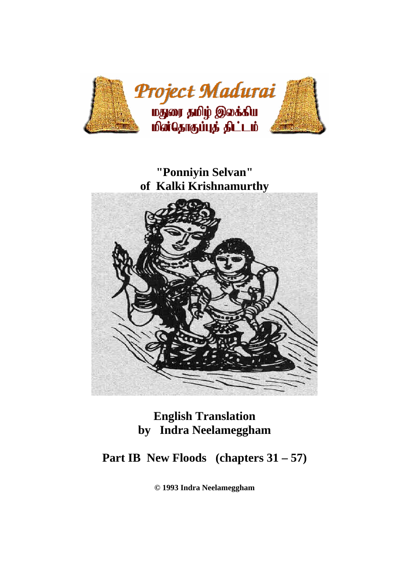

**"Ponniyin Selvan" of Kalki Krishnamurthy** 



**English Translation by Indra Neelameggham** 

**Part IB New Floods (chapters 31 – 57)** 

**© 1993 Indra Neelameggham**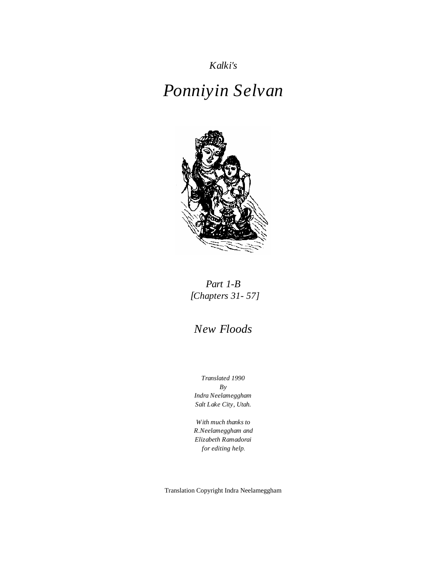*Kalki's*

# *Ponniyin Selvan*



*Part 1-B [Chapters 31- 57]*

*New Floods*

*Translated 1990 By Indra Neelameggham Salt Lake City, Utah.*

*With much thanks to R.Neelameggham and Elizabeth Ramadorai for editing help.*

Translation Copyright Indra Neelameggham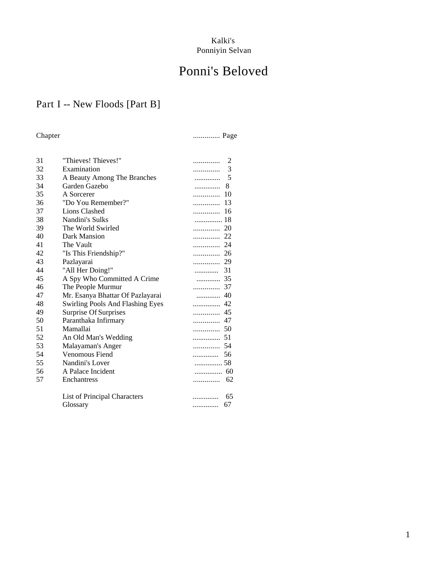### Kalki's Ponniyin Selvan

## Ponni's Beloved

### Part I -- New Floods [Part B]

Chapter .............. Page

| 31 | "Thieves! Thieves!"                     | .  | 2  |
|----|-----------------------------------------|----|----|
| 32 | Examination                             | .  | 3  |
| 33 | A Beauty Among The Branches             | .  | 5  |
| 34 | Garden Gazebo                           | .  | 8  |
| 35 | A Sorcerer                              |    |    |
| 36 | "Do You Remember?"                      | .  | 13 |
| 37 | <b>Lions Clashed</b>                    | 16 |    |
| 38 | Nandini's Sulks                         | 18 |    |
| 39 | The World Swirled                       |    |    |
| 40 | Dark Mansion                            | 22 |    |
| 41 | The Vault                               | 24 |    |
| 42 | "Is This Friendship?"                   |    |    |
| 43 | Pazlayarai                              |    |    |
| 44 | "All Her Doing!"                        |    |    |
| 45 | A Spy Who Committed A Crime             |    |    |
| 46 | The People Murmur                       |    |    |
| 47 | Mr. Esanya Bhattar Of Pazlayarai        |    |    |
| 48 | <b>Swirling Pools And Flashing Eyes</b> |    |    |
| 49 | Surprise Of Surprises                   |    |    |
| 50 | Paranthaka Infirmary                    |    |    |
| 51 | Mamallai                                |    |    |
| 52 | An Old Man's Wedding                    |    |    |
| 53 | Malayaman's Anger                       | 54 |    |
| 54 | Venomous Fiend                          | .  | 56 |
| 55 | Nandini's Lover                         |    |    |
| 56 | A Palace Incident                       |    |    |
| 57 | Enchantress                             |    |    |
|    | List of Principal Characters            | .  | 65 |
|    | Glossary                                | .  | 67 |
|    |                                         |    |    |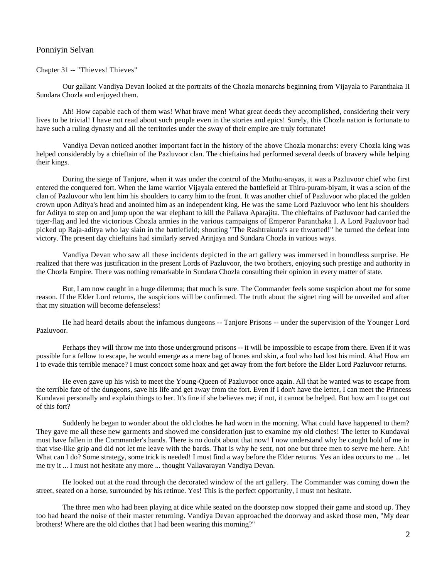#### Ponniyin Selvan

#### Chapter 31 -- "Thieves! Thieves"

Our gallant Vandiya Devan looked at the portraits of the Chozla monarchs beginning from Vijayala to Paranthaka II Sundara Chozla and enjoyed them.

Ah! How capable each of them was! What brave men! What great deeds they accomplished, considering their very lives to be trivial! I have not read about such people even in the stories and epics! Surely, this Chozla nation is fortunate to have such a ruling dynasty and all the territories under the sway of their empire are truly fortunate!

Vandiya Devan noticed another important fact in the history of the above Chozla monarchs: every Chozla king was helped considerably by a chieftain of the Pazluvoor clan. The chieftains had performed several deeds of bravery while helping their kings.

During the siege of Tanjore, when it was under the control of the Muthu-arayas, it was a Pazluvoor chief who first entered the conquered fort. When the lame warrior Vijayala entered the battlefield at Thiru-puram-biyam, it was a scion of the clan of Pazluvoor who lent him his shoulders to carry him to the front. It was another chief of Pazluvoor who placed the golden crown upon Aditya's head and anointed him as an independent king. He was the same Lord Pazluvoor who lent his shoulders for Aditya to step on and jump upon the war elephant to kill the Pallava Aparajita. The chieftains of Pazluvoor had carried the tiger-flag and led the victorious Chozla armies in the various campaigns of Emperor Paranthaka I. A Lord Pazluvoor had picked up Raja-aditya who lay slain in the battlefield; shouting "The Rashtrakuta's are thwarted!" he turned the defeat into victory. The present day chieftains had similarly served Arinjaya and Sundara Chozla in various ways.

Vandiya Devan who saw all these incidents depicted in the art gallery was immersed in boundless surprise. He realized that there was justification in the present Lords of Pazluvoor, the two brothers, enjoying such prestige and authority in the Chozla Empire. There was nothing remarkable in Sundara Chozla consulting their opinion in every matter of state.

But, I am now caught in a huge dilemma; that much is sure. The Commander feels some suspicion about me for some reason. If the Elder Lord returns, the suspicions will be confirmed. The truth about the signet ring will be unveiled and after that my situation will become defenseless!

He had heard details about the infamous dungeons -- Tanjore Prisons -- under the supervision of the Younger Lord Pazluvoor.

Perhaps they will throw me into those underground prisons -- it will be impossible to escape from there. Even if it was possible for a fellow to escape, he would emerge as a mere bag of bones and skin, a fool who had lost his mind. Aha! How am I to evade this terrible menace? I must concoct some hoax and get away from the fort before the Elder Lord Pazluvoor returns.

He even gave up his wish to meet the Young-Queen of Pazluvoor once again. All that he wanted was to escape from the terrible fate of the dungeons, save his life and get away from the fort. Even if I don't have the letter, I can meet the Princess Kundavai personally and explain things to her. It's fine if she believes me; if not, it cannot be helped. But how am I to get out of this fort?

Suddenly he began to wonder about the old clothes he had worn in the morning. What could have happened to them? They gave me all these new garments and showed me consideration just to examine my old clothes! The letter to Kundavai must have fallen in the Commander's hands. There is no doubt about that now! I now understand why he caught hold of me in that vise-like grip and did not let me leave with the bards. That is why he sent, not one but three men to serve me here. Ah! What can I do? Some strategy, some trick is needed! I must find a way before the Elder returns. Yes an idea occurs to me ... let me try it ... I must not hesitate any more ... thought Vallavarayan Vandiya Devan.

He looked out at the road through the decorated window of the art gallery. The Commander was coming down the street, seated on a horse, surrounded by his retinue. Yes! This is the perfect opportunity, I must not hesitate.

The three men who had been playing at dice while seated on the doorstep now stopped their game and stood up. They too had heard the noise of their master returning. Vandiya Devan approached the doorway and asked those men, "My dear brothers! Where are the old clothes that I had been wearing this morning?"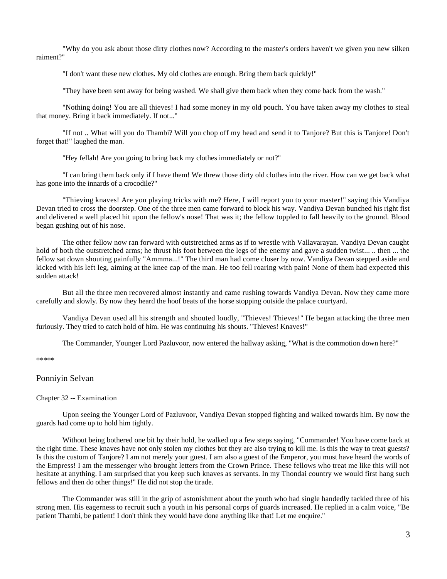"Why do you ask about those dirty clothes now? According to the master's orders haven't we given you new silken raiment?"

"I don't want these new clothes. My old clothes are enough. Bring them back quickly!"

"They have been sent away for being washed. We shall give them back when they come back from the wash."

"Nothing doing! You are all thieves! I had some money in my old pouch. You have taken away my clothes to steal that money. Bring it back immediately. If not..."

"If not .. What will you do Thambi? Will you chop off my head and send it to Tanjore? But this is Tanjore! Don't forget that!" laughed the man.

"Hey fellah! Are you going to bring back my clothes immediately or not?"

"I can bring them back only if I have them! We threw those dirty old clothes into the river. How can we get back what has gone into the innards of a crocodile?"

"Thieving knaves! Are you playing tricks with me? Here, I will report you to your master!" saying this Vandiya Devan tried to cross the doorstep. One of the three men came forward to block his way. Vandiya Devan bunched his right fist and delivered a well placed hit upon the fellow's nose! That was it; the fellow toppled to fall heavily to the ground. Blood began gushing out of his nose.

The other fellow now ran forward with outstretched arms as if to wrestle with Vallavarayan. Vandiya Devan caught hold of both the outstretched arms; he thrust his foot between the legs of the enemy and gave a sudden twist... .. then ... the fellow sat down shouting painfully "Ammma...!" The third man had come closer by now. Vandiya Devan stepped aside and kicked with his left leg, aiming at the knee cap of the man. He too fell roaring with pain! None of them had expected this sudden attack!

But all the three men recovered almost instantly and came rushing towards Vandiya Devan. Now they came more carefully and slowly. By now they heard the hoof beats of the horse stopping outside the palace courtyard.

Vandiya Devan used all his strength and shouted loudly, "Thieves! Thieves!" He began attacking the three men furiously. They tried to catch hold of him. He was continuing his shouts. "Thieves! Knaves!"

The Commander, Younger Lord Pazluvoor, now entered the hallway asking, "What is the commotion down here?"

\*\*\*\*\*

#### Ponniyin Selvan

#### Chapter 32 -- Examination

Upon seeing the Younger Lord of Pazluvoor, Vandiya Devan stopped fighting and walked towards him. By now the guards had come up to hold him tightly.

Without being bothered one bit by their hold, he walked up a few steps saying, "Commander! You have come back at the right time. These knaves have not only stolen my clothes but they are also trying to kill me. Is this the way to treat guests? Is this the custom of Tanjore? I am not merely your guest. I am also a guest of the Emperor, you must have heard the words of the Empress! I am the messenger who brought letters from the Crown Prince. These fellows who treat me like this will not hesitate at anything. I am surprised that you keep such knaves as servants. In my Thondai country we would first hang such fellows and then do other things!" He did not stop the tirade.

The Commander was still in the grip of astonishment about the youth who had single handedly tackled three of his strong men. His eagerness to recruit such a youth in his personal corps of guards increased. He replied in a calm voice, "Be patient Thambi, be patient! I don't think they would have done anything like that! Let me enquire."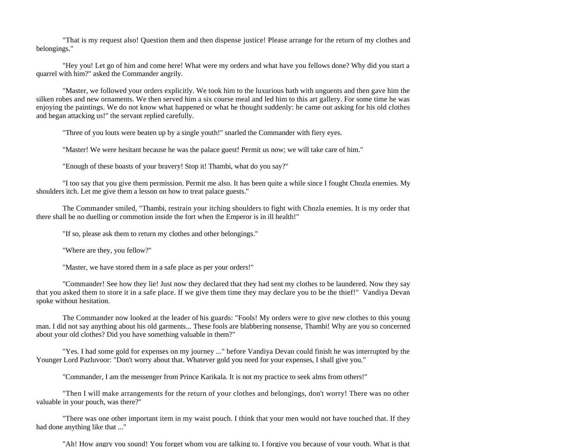"That is my request also! Question them and then dispense justice! Please arrange for the return of my clothes and belongings."

"Hey you! Let go of him and come here! What were my orders and what have you fellows done? Why did you start a quarrel with him?" asked the Commander angrily.

"Master, we followed your orders explicitly. We took him to the luxurious bath with unguents and then gave him the silken robes and new ornaments. We then served him a six course meal and led him to this art gallery. For some time he was enjoying the paintings. We do not know what happened or what he thought suddenly: he came out asking for his old clothes and began attacking us!" the servant replied carefully.

"Three of you louts were beaten up by a single youth!" snarled the Commander with fiery eyes.

"Master! We were hesitant because he was the palace guest! Permit us now; we will take care of him."

"Enough of these boasts of your bravery! Stop it! Thambi, what do you say?"

"I too say that you give them permission. Permit me also. It has been quite a while since I fought Chozla enemies. My shoulders itch. Let me give them a lesson on how to treat palace guests."

The Commander smiled, "Thambi, restrain your itching shoulders to fight with Chozla enemies. It is my order that there shall be no duelling or commotion inside the fort when the Emperor is in ill health!"

"If so, please ask them to return my clothes and other belongings."

"Where are they, you fellow?"

"Master, we have stored them in a safe place as per your orders!"

"Commander! See how they lie! Just now they declared that they had sent my clothes to be laundered. Now they say that you asked them to store it in a safe place. If we give them time they may declare you to be the thief!" Vandiya Devan spoke without hesitation.

The Commander now looked at the leader of his guards: "Fools! My orders were to give new clothes to this young man. I did not say anything about his old garments... These fools are blabbering nonsense, Thambi! Why are you so concerned about your old clothes? Did you have something valuable in them?"

"Yes. I had some gold for expenses on my journey ..." before Vandiya Devan could finish he was interrupted by the Younger Lord Pazluvoor: "Don't worry about that. Whatever gold you need for your expenses, I shall give you."

"Commander, I am the messenger from Prince Karikala. It is not my practice to seek alms from others!"

"Then I will make arrangements for the return of your clothes and belongings, don't worry! There was no other valuable in your pouch, was there?"

"There was one other important item in my waist pouch. I think that your men would not have touched that. If they had done anything like that ..."

"Ah! How angry you sound! You forget whom you are talking to. I forgive you because of your youth. What is that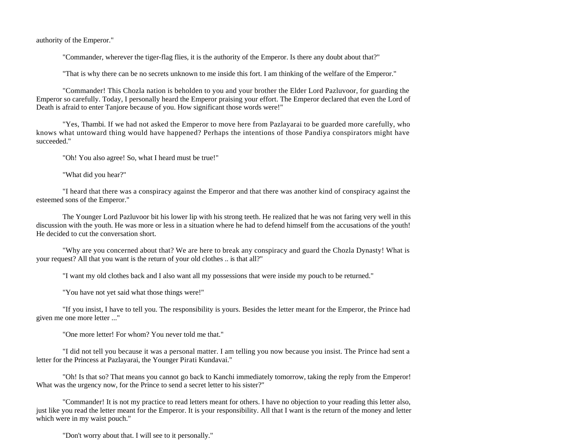authority of the Emperor."

"Commander, wherever the tiger-flag flies, it is the authority of the Emperor. Is there any doubt about that?"

"That is why there can be no secrets unknown to me inside this fort. I am thinking of the welfare of the Emperor."

"Commander! This Chozla nation is beholden to you and your brother the Elder Lord Pazluvoor, for guarding the Emperor so carefully. Today, I personally heard the Emperor praising your effort. The Emperor declared that even the Lord of Death is afraid to enter Tanjore because of you. How significant those words were!"

"Yes, Thambi. If we had not asked the Emperor to move here from Pazlayarai to be guarded more carefully, who knows what untoward thing would have happened? Perhaps the intentions of those Pandiya conspirators might have succeeded."

"Oh! You also agree! So, what I heard must be true!"

"What did you hear?"

"I heard that there was a conspiracy against the Emperor and that there was another kind of conspiracy against the esteemed sons of the Emperor."

The Younger Lord Pazluvoor bit his lower lip with his strong teeth. He realized that he was not faring very well in this discussion with the youth. He was more or less in a situation where he had to defend himself from the accusations of the youth! He decided to cut the conversation short.

"Why are you concerned about that? We are here to break any conspiracy and guard the Chozla Dynasty! What is your request? All that you want is the return of your old clothes .. is that all?"

"I want my old clothes back and I also want all my possessions that were inside my pouch to be returned."

"You have not yet said what those things were!"

"If you insist, I have to tell you. The responsibility is yours. Besides the letter meant for the Emperor, the Prince had given me one more letter ..."

"One more letter! For whom? You never told me that."

"I did not tell you because it was a personal matter. I am telling you now because you insist. The Prince had sent a letter for the Princess at Pazlayarai, the Younger Pirati Kundavai."

"Oh! Is that so? That means you cannot go back to Kanchi immediately tomorrow, taking the reply from the Emperor! What was the urgency now, for the Prince to send a secret letter to his sister?"

"Commander! It is not my practice to read letters meant for others. I have no objection to your reading this letter also, just like you read the letter meant for the Emperor. It is your responsibility. All that I want is the return of the money and letter which were in my waist pouch."

"Don't worry about that. I will see to it personally."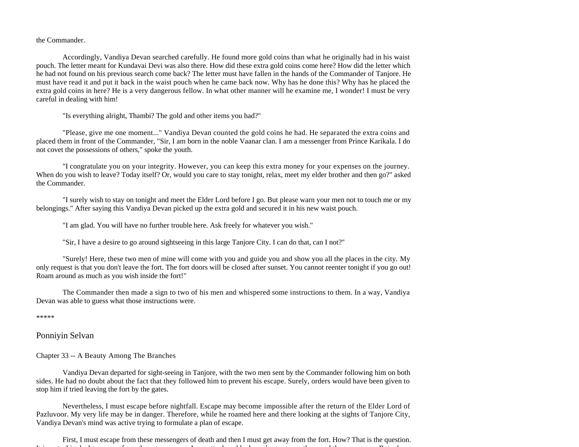the Commander.

Accordingly, Vandiya Devan searched carefully. He found more gold coins than what he originally had in his waist pouch. The letter meant for Kundavai Devi was also there. How did these extra gold coins come here? How did the letter which he had not found on his previous search come back? The letter must have fallen in the hands of the Commander of Tanjore. He must have read it and put it back in the waist pouch when he came back now. Why has he done this? Why has he placed the extra gold coins in here? He is a very dangerous fellow. In what other manner will he examine me, I wonder! I must be very careful in dealing with him!

"Is everything alright, Thambi? The gold and other items you had?"

"Please, give me one moment..." Vandiya Devan counted the gold coins he had. He separated the extra coins and placed them in front of the Commander, "Sir, I am born in the noble Vaanar clan. I am a messenger from Prince Karikala. I do not covet the possessions of others," spoke the youth.

"I congratulate you on your integrity. However, you can keep this extra money for your expenses on the journey. When do you wish to leave? Today itself? Or, would you care to stay tonight, relax, meet my elder brother and then go?" asked the Commander.

"I surely wish to stay on tonight and meet the Elder Lord before I go. But please warn your men not to touch me or my belongings." After saying this Vandiya Devan picked up the extra gold and secured it in his new waist pouch.

"I am glad. You will have no further trouble here. Ask freely for whatever you wish."

"Sir, I have a desire to go around sightseeing in this large Tanjore City. I can do that, can I not?"

"Surely! Here, these two men of mine will come with you and guide you and show you all the places in the city. My only request is that you don't leave the fort. The fort doors will be closed after sunset. You cannot reenter tonight if you go out! Roam around as much as you wish inside the fort!"

The Commander then made a sign to two of his men and whispered some instructions to them. In a way, Vandiya Devan was able to guess what those instructions were.

\*\*\*\*\*

Ponniyin Selvan

Chapter 33 -- A Beauty Among The Branches

Vandiya Devan departed for sight-seeing in Tanjore, with the two men sent by the Commander following him on both sides. He had no doubt about the fact that they followed him to prevent his escape. Surely, orders would have been given to stop him if tried leaving the fort by the gates.

Nevertheless, I must escape before nightfall. Escape may become impossible after the return of the Elder Lord of Pazluvoor. My very life may be in danger. Therefore, while he roamed here and there looking at the sights of Tanjore City, Vandiya Devan's mind was active trying to formulate a plan of escape.

First, I must escape from these messengers of death and then I must get away from the fort. How? That is the question. It is not a big deal to escape from the men ... In attack suddenly and overpower the run away. But where  $\mathbf{h}$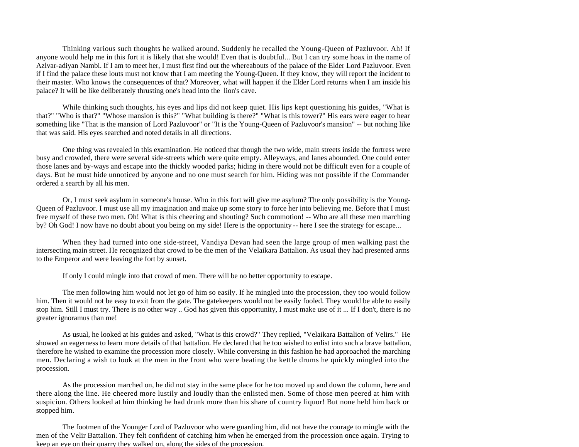Thinking various such thoughts he walked around. Suddenly he recalled the Young-Queen of Pazluvoor. Ah! If anyone would help me in this fort it is likely that she would! Even that is doubtful... But I can try some hoax in the name of Azlvar-adiyan Nambi. If I am to meet her, I must first find out the whereabouts of the palace of the Elder Lord Pazluvoor. Even if I find the palace these louts must not know that I am meeting the Young-Queen. If they know, they will report the incident to their master. Who knows the consequences of that? Moreover, what will happen if the Elder Lord returns when I am inside his palace? It will be like deliberately thrusting one's head into the lion's cave.

While thinking such thoughts, his eyes and lips did not keep quiet. His lips kept questioning his guides, "What is that?" "Who is that?" "Whose mansion is this?" "What building is there?" "What is this tower?" His ears were eager to hear something like "That is the mansion of Lord Pazluvoor" or "It is the Young-Queen of Pazluvoor's mansion" -- but nothing like that was said. His eyes searched and noted details in all directions.

One thing was revealed in this examination. He noticed that though the two wide, main streets inside the fortress were busy and crowded, there were several side-streets which were quite empty. Alleyways, and lanes abounded. One could enter those lanes and by-ways and escape into the thickly wooded parks; hiding in there would not be difficult even for a couple of days. But he must hide unnoticed by anyone and no one must search for him. Hiding was not possible if the Commander ordered a search by all his men.

Or, I must seek asylum in someone's house. Who in this fort will give me asylum? The only possibility is the Young-Queen of Pazluvoor. I must use all my imagination and make up some story to force her into believing me. Before that I must free myself of these two men. Oh! What is this cheering and shouting? Such commotion! -- Who are all these men marching by? Oh God! I now have no doubt about you being on my side! Here is the opportunity -- here I see the strategy for escape...

When they had turned into one side-street, Vandiya Devan had seen the large group of men walking past the intersecting main street. He recognized that crowd to be the men of the Velaikara Battalion. As usual they had presented arms to the Emperor and were leaving the fort by sunset.

If only I could mingle into that crowd of men. There will be no better opportunity to escape.

The men following him would not let go of him so easily. If he mingled into the procession, they too would follow him. Then it would not be easy to exit from the gate. The gatekeepers would not be easily fooled. They would be able to easily stop him. Still I must try. There is no other way .. God has given this opportunity, I must make use of it ... If I don't, there is no greater ignoramus than me!

As usual, he looked at his guides and asked, "What is this crowd?" They replied, "Velaikara Battalion of Velirs." He showed an eagerness to learn more details of that battalion. He declared that he too wished to enlist into such a brave battalion, therefore he wished to examine the procession more closely. While conversing in this fashion he had approached the marching men. Declaring a wish to look at the men in the front who were beating the kettle drums he quickly mingled into the procession.

As the procession marched on, he did not stay in the same place for he too moved up and down the column, here and there along the line. He cheered more lustily and loudly than the enlisted men. Some of those men peered at him with suspicion. Others looked at him thinking he had drunk more than his share of country liquor! But none held him back or stopped him.

The footmen of the Younger Lord of Pazluvoor who were guarding him, did not have the courage to mingle with the men of the Velir Battalion. They felt confident of catching him when he emerged from the procession once again. Trying to keep an eye on their quarry they walked on, along the sides of the procession.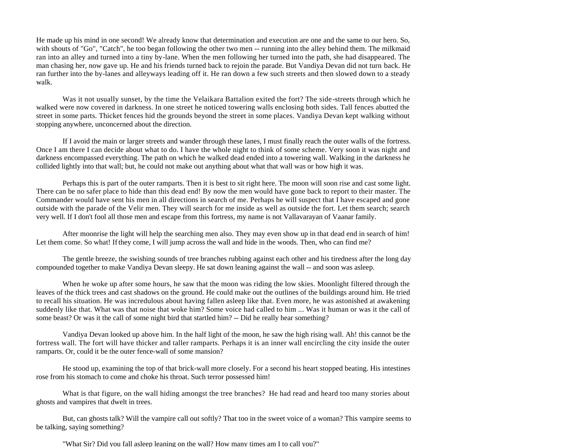He made up his mind in one second! We already know that determination and execution are one and the same to our hero. So, with shouts of "Go", "Catch", he too began following the other two men -- running into the alley behind them. The milkmaid ran into an alley and turned into a tiny by-lane. When the men following her turned into the path, she had disappeared. The man chasing her, now gave up. He and his friends turned back to rejoin the parade. But Vandiya Devan did not turn back. He ran further into the by-lanes and alleyways leading off it. He ran down a few such streets and then slowed down to a steady walk.

Was it not usually sunset, by the time the Velaikara Battalion exited the fort? The side-streets through which he walked were now covered in darkness. In one street he noticed towering walls enclosing both sides. Tall fences abutted the street in some parts. Thicket fences hid the grounds beyond the street in some places. Vandiya Devan kept walking without stopping anywhere, unconcerned about the direction.

If I avoid the main or larger streets and wander through these lanes, I must finally reach the outer walls of the fortress. Once I am there I can decide about what to do. I have the whole night to think of some scheme. Very soon it was night and darkness encompassed everything. The path on which he walked dead ended into a towering wall. Walking in the darkness he collided lightly into that wall; but, he could not make out anything about what that wall was or how high it was.

Perhaps this is part of the outer ramparts. Then it is best to sit right here. The moon will soon rise and cast some light. There can be no safer place to hide than this dead end! By now the men would have gone back to report to their master. The Commander would have sent his men in all directions in search of me. Perhaps he will suspect that I have escaped and gone outside with the parade of the Velir men. They will search for me inside as well as outside the fort. Let them search; search very well. If I don't fool all those men and escape from this fortress, my name is not Vallavarayan of Vaanar family.

After moonrise the light will help the searching men also. They may even show up in that dead end in search of him! Let them come. So what! If they come, I will jump across the wall and hide in the woods. Then, who can find me?

The gentle breeze, the swishing sounds of tree branches rubbing against each other and his tiredness after the long day compounded together to make Vandiya Devan sleepy. He sat down leaning against the wall -- and soon was asleep.

When he woke up after some hours, he saw that the moon was riding the low skies. Moonlight filtered through the leaves of the thick trees and cast shadows on the ground. He could make out the outlines of the buildings around him. He tried to recall his situation. He was incredulous about having fallen asleep like that. Even more, he was astonished at awakening suddenly like that. What was that noise that woke him? Some voice had called to him ... Was it human or was it the call of some beast? Or was it the call of some night bird that startled him? -- Did he really hear something?

Vandiya Devan looked up above him. In the half light of the moon, he saw the high rising wall. Ah! this cannot be the fortress wall. The fort will have thicker and taller ramparts. Perhaps it is an inner wall encircling the city inside the outer ramparts. Or, could it be the outer fence-wall of some mansion?

He stood up, examining the top of that brick-wall more closely. For a second his heart stopped beating. His intestines rose from his stomach to come and choke his throat. Such terror possessed him!

What is that figure, on the wall hiding amongst the tree branches? He had read and heard too many stories about ghosts and vampires that dwelt in trees.

But, can ghosts talk? Will the vampire call out softly? That too in the sweet voice of a woman? This vampire seems to be talking, saying something?

"What Sir? Did you fall asleep leaning on the wall? How many times am I to call you?"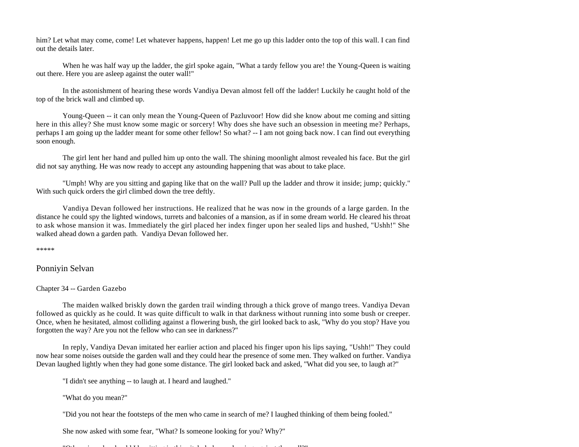him? Let what may come, come! Let whatever happens, happen! Let me go up this ladder onto the top of this wall. I can find out the details later.

When he was half way up the ladder, the girl spoke again, "What a tardy fellow you are! the Young-Queen is waiting out there. Here you are asleep against the outer wall!"

In the astonishment of hearing these words Vandiya Devan almost fell off the ladder! Luckily he caught hold of the top of the brick wall and climbed up.

Young-Queen -- it can only mean the Young-Queen of Pazluvoor! How did she know about me coming and sitting here in this alley? She must know some magic or sorcery! Why does she have such an obsession in meeting me? Perhaps, perhaps I am going up the ladder meant for some other fellow! So what? -- I am not going back now. I can find out everything soon enough.

The girl lent her hand and pulled him up onto the wall. The shining moonlight almost revealed his face. But the girl did not say anything. He was now ready to accept any astounding happening that was about to take place.

"Umph! Why are you sitting and gaping like that on the wall? Pull up the ladder and throw it inside; jump; quickly." With such quick orders the girl climbed down the tree deftly.

Vandiya Devan followed her instructions. He realized that he was now in the grounds of a large garden. In the distance he could spy the lighted windows, turrets and balconies of a mansion, as if in some dream world. He cleared his throat to ask whose mansion it was. Immediately the girl placed her index finger upon her sealed lips and hushed, "Ushh!" She walked ahead down a garden path. Vandiya Devan followed her.

\*\*\*\*\*

#### Ponniyin Selvan

Chapter 34 -- Garden Gazebo

The maiden walked briskly down the garden trail winding through a thick grove of mango trees. Vandiya Devan followed as quickly as he could. It was quite difficult to walk in that darkness without running into some bush or creeper. Once, when he hesitated, almost colliding against a flowering bush, the girl looked back to ask, "Why do you stop? Have you forgotten the way? Are you not the fellow who can see in darkness?"

In reply, Vandiya Devan imitated her earlier action and placed his finger upon his lips saying, "Ushh!" They could now hear some noises outside the garden wall and they could hear the presence of some men. They walked on further. Vandiya Devan laughed lightly when they had gone some distance. The girl looked back and asked, "What did you see, to laugh at?"

"I didn't see anything -- to laugh at. I heard and laughed."

"What do you mean?"

"Did you not hear the footsteps of the men who came in search of me? I laughed thinking of them being fooled."

She now asked with some fear, "What? Is someone looking for you? Why?"

 $\overline{a}$  otherwise why should in this pitch darkness, leading in this pitch darkness, leaving against the wall?"  $\overline{a}$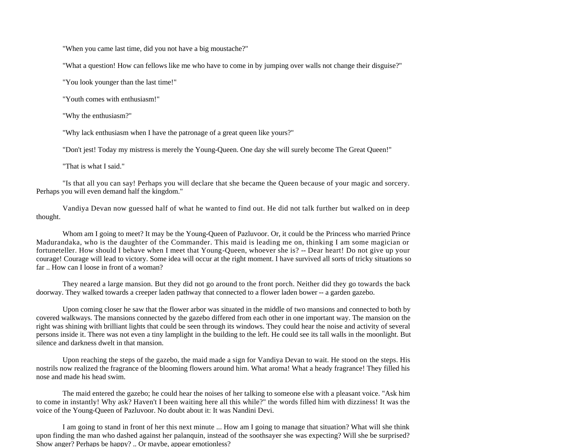"When you came last time, did you not have a big moustache?"

"What a question! How can fellows like me who have to come in by jumping over walls not change their disguise?"

"You look younger than the last time!"

"Youth comes with enthusiasm!"

"Why the enthusiasm?"

"Why lack enthusiasm when I have the patronage of a great queen like yours?"

"Don't jest! Today my mistress is merely the Young-Queen. One day she will surely become The Great Queen!"

"That is what I said."

"Is that all you can say! Perhaps you will declare that she became the Queen because of your magic and sorcery. Perhaps you will even demand half the kingdom."

Vandiya Devan now guessed half of what he wanted to find out. He did not talk further but walked on in deep thought.

Whom am I going to meet? It may be the Young-Queen of Pazluvoor. Or, it could be the Princess who married Prince Madurandaka, who is the daughter of the Commander. This maid is leading me on, thinking I am some magician or fortuneteller. How should I behave when I meet that Young-Queen, whoever she is? -- Dear heart! Do not give up your courage! Courage will lead to victory. Some idea will occur at the right moment. I have survived all sorts of tricky situations so far .. How can I loose in front of a woman?

They neared a large mansion. But they did not go around to the front porch. Neither did they go towards the back doorway. They walked towards a creeper laden pathway that connected to a flower laden bower -- a garden gazebo.

Upon coming closer he saw that the flower arbor was situated in the middle of two mansions and connected to both by covered walkways. The mansions connected by the gazebo differed from each other in one important way. The mansion on the right was shining with brilliant lights that could be seen through its windows. They could hear the noise and activity of several persons inside it. There was not even a tiny lamplight in the building to the left. He could see its tall walls in the moonlight. But silence and darkness dwelt in that mansion.

Upon reaching the steps of the gazebo, the maid made a sign for Vandiya Devan to wait. He stood on the steps. His nostrils now realized the fragrance of the blooming flowers around him. What aroma! What a heady fragrance! They filled his nose and made his head swim.

The maid entered the gazebo; he could hear the noises of her talking to someone else with a pleasant voice. "Ask him to come in instantly! Why ask? Haven't I been waiting here all this while?" the words filled him with dizziness! It was the voice of the Young-Queen of Pazluvoor. No doubt about it: It was Nandini Devi.

I am going to stand in front of her this next minute ... How am I going to manage that situation? What will she think upon finding the man who dashed against her palanquin, instead of the soothsayer she was expecting? Will she be surprised? Show anger? Perhaps be happy? .. Or maybe, appear emotionless?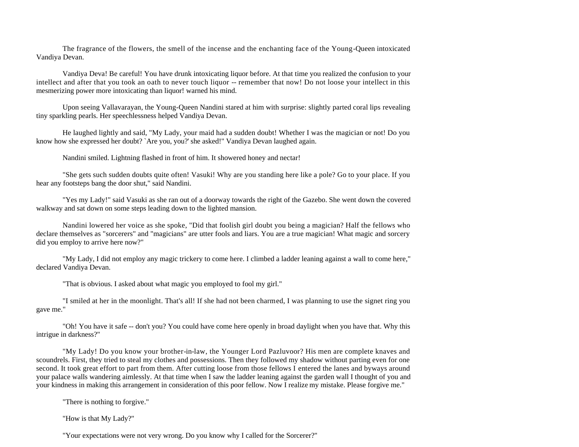The fragrance of the flowers, the smell of the incense and the enchanting face of the Young-Queen intoxicated Vandiya Devan.

Vandiya Deva! Be careful! You have drunk intoxicating liquor before. At that time you realized the confusion to your intellect and after that you took an oath to never touch liquor -- remember that now! Do not loose your intellect in this mesmerizing power more intoxicating than liquor! warned his mind.

Upon seeing Vallavarayan, the Young-Queen Nandini stared at him with surprise: slightly parted coral lips revealing tiny sparkling pearls. Her speechlessness helped Vandiya Devan.

He laughed lightly and said, "My Lady, your maid had a sudden doubt! Whether I was the magician or not! Do you know how she expressed her doubt? `Are you, you?' she asked!" Vandiya Devan laughed again.

Nandini smiled. Lightning flashed in front of him. It showered honey and nectar!

"She gets such sudden doubts quite often! Vasuki! Why are you standing here like a pole? Go to your place. If you hear any footsteps bang the door shut," said Nandini.

"Yes my Lady!" said Vasuki as she ran out of a doorway towards the right of the Gazebo. She went down the covered walkway and sat down on some steps leading down to the lighted mansion.

Nandini lowered her voice as she spoke, "Did that foolish girl doubt you being a magician? Half the fellows who declare themselves as "sorcerers" and "magicians" are utter fools and liars. You are a true magician! What magic and sorcery did you employ to arrive here now?"

"My Lady, I did not employ any magic trickery to come here. I climbed a ladder leaning against a wall to come here," declared Vandiya Devan.

"That is obvious. I asked about what magic you employed to fool my girl."

"I smiled at her in the moonlight. That's all! If she had not been charmed, I was planning to use the signet ring you gave me."

"Oh! You have it safe -- don't you? You could have come here openly in broad daylight when you have that. Why this intrigue in darkness?"

"My Lady! Do you know your brother-in-law, the Younger Lord Pazluvoor? His men are complete knaves and scoundrels. First, they tried to steal my clothes and possessions. Then they followed my shadow without parting even for one second. It took great effort to part from them. After cutting loose from those fellows I entered the lanes and byways around your palace walls wandering aimlessly. At that time when I saw the ladder leaning against the garden wall I thought of you and your kindness in making this arrangement in consideration of this poor fellow. Now I realize my mistake. Please forgive me."

"There is nothing to forgive."

"How is that My Lady?"

"Your expectations were not very wrong. Do you know why I called for the Sorcerer?"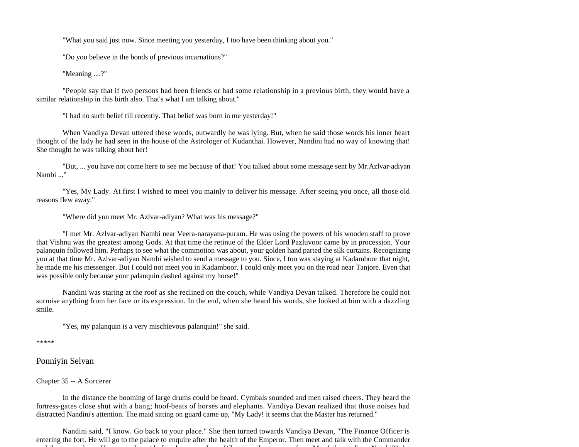"What you said just now. Since meeting you yesterday, I too have been thinking about you."

"Do you believe in the bonds of previous incarnations?"

"Meaning ....?"

"People say that if two persons had been friends or had some relationship in a previous birth, they would have a similar relationship in this birth also. That's what I am talking about."

"I had no such belief till recently. That belief was born in me yesterday!"

When Vandiya Devan uttered these words, outwardly he was lying. But, when he said those words his inner heart thought of the lady he had seen in the house of the Astrologer of Kudanthai. However, Nandini had no way of knowing that! She thought he was talking about her!

"But, ... you have not come here to see me because of that! You talked about some message sent by Mr.Azlvar-adiyan Nambi ..."

"Yes, My Lady. At first I wished to meet you mainly to deliver his message. After seeing you once, all those old reasons flew away."

"Where did you meet Mr. Azlvar-adiyan? What was his message?"

"I met Mr. Azlvar-adiyan Nambi near Veera-narayana-puram. He was using the powers of his wooden staff to prove that Vishnu was the greatest among Gods. At that time the retinue of the Elder Lord Pazluvoor came by in procession. Your palanquin followed him. Perhaps to see what the commotion was about, your golden hand parted the silk curtains. Recognizing you at that time Mr. Azlvar-adiyan Nambi wished to send a message to you. Since, I too was staying at Kadamboor that night, he made me his messenger. But I could not meet you in Kadamboor. I could only meet you on the road near Tanjore. Even that was possible only because your palanquin dashed against my horse!"

Nandini was staring at the roof as she reclined on the couch, while Vandiya Devan talked. Therefore he could not surmise anything from her face or its expression. In the end, when she heard his words, she looked at him with a dazzling smile.

"Yes, my palanquin is a very mischievous palanquin!" she said.

\*\*\*\*\*

Ponniyin Selvan

Chapter 35 -- A Sorcerer

In the distance the booming of large drums could be heard. Cymbals sounded and men raised cheers. They heard the fortress-gates close shut with a bang; hoof-beats of horses and elephants. Vandiya Devan realized that those noises had distracted Nandini's attention. The maid sitting on guard came up, "My Lady! it seems that the Master has returned."

Nandini said, "I know. Go back to your place." She then turned towards Vandiya Devan, "The Finance Officer is entering the fort. He will go to the palace to enquire after the health of the Emperor. Then meet and talk with the Commander and then come here. You must depart before he comes here. What was the message from Mr. Azlvar-adiyan Nambi?" she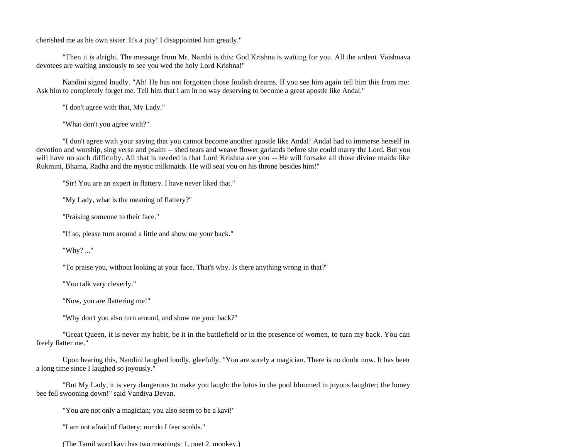cherished me as his own sister. It's a pity! I disappointed him greatly."

"Then it is alright. The message from Mr. Nambi is this: God Krishna is waiting for you. All the ardent Vaishnava devotees are waiting anxiously to see you wed the holy Lord Krishna!"

Nandini signed loudly. "Ah! He has not forgotten those foolish dreams. If you see him again tell him this from me: Ask him to completely forget me. Tell him that I am in no way deserving to become a great apostle like Andal."

"I don't agree with that, My Lady."

"What don't you agree with?"

"I don't agree with your saying that you cannot become another apostle like Andal! Andal had to immerse herself in devotion and worship, sing verse and psalm -- shed tears and weave flower garlands before she could marry the Lord. But you will have no such difficulty. All that is needed is that Lord Krishna see you -- He will forsake all those divine maids like Rukmini, Bhama, Radha and the mystic milkmaids. He will seat you on his throne besides him!"

"Sir! You are an expert in flattery. I have never liked that."

"My Lady, what is the meaning of flattery?"

"Praising someone to their face."

"If so, please turn around a little and show me your back."

"Why? ..."

"To praise you, without looking at your face. That's why. Is there anything wrong in that?"

"You talk very cleverly."

"Now, you are flattering me!"

"Why don't you also turn around, and show me your back?"

"Great Queen, it is never my habit, be it in the battlefield or in the presence of women, to turn my back. You can freely flatter me."

Upon hearing this, Nandini laughed loudly, gleefully. "You are surely a magician. There is no doubt now. It has been a long time since I laughed so joyously."

"But My Lady, it is very dangerous to make you laugh: the lotus in the pool bloomed in joyous laughter; the honey bee fell swooning down!" said Vandiya Devan.

"You are not only a magician; you also seem to be a kavi!"

"I am not afraid of flattery; nor do I fear scolds."

(The Tamil word kavi has two meanings: 1. poet 2. monkey.)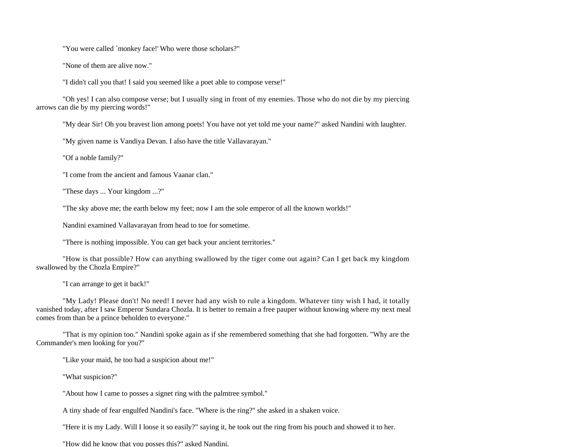"You were called `monkey face!' Who were those scholars?"

"None of them are alive now."

"I didn't call you that! I said you seemed like a poet able to compose verse!"

"Oh yes! I can also compose verse; but I usually sing in front of my enemies. Those who do not die by my piercing arrows can die by my piercing words!"

"My dear Sir! Oh you bravest lion among poets! You have not yet told me your name?" asked Nandini with laughter.

"My given name is Vandiya Devan. I also have the title Vallavarayan."

"Of a noble family?"

"I come from the ancient and famous Vaanar clan."

"These days ... Your kingdom ...?"

"The sky above me; the earth below my feet; now I am the sole emperor of all the known worlds!"

Nandini examined Vallavarayan from head to toe for sometime.

"There is nothing impossible. You can get back your ancient territories."

"How is that possible? How can anything swallowed by the tiger come out again? Can I get back my kingdom swallowed by the Chozla Empire?"

"I can arrange to get it back!"

"My Lady! Please don't! No need! I never had any wish to rule a kingdom. Whatever tiny wish I had, it totally vanished today, after I saw Emperor Sundara Chozla. It is better to remain a free pauper without knowing where my next meal comes from than be a prince beholden to everyone."

"That is my opinion too." Nandini spoke again as if she remembered something that she had forgotten. "Why are the Commander's men looking for you?"

"Like your maid, he too had a suspicion about me!"

"What suspicion?"

"About how I came to posses a signet ring with the palmtree symbol."

A tiny shade of fear engulfed Nandini's face. "Where is the ring?" she asked in a shaken voice.

"Here it is my Lady. Will I loose it so easily?" saying it, he took out the ring from his pouch and showed it to her.

"How did he know that you posses this?" asked Nandini.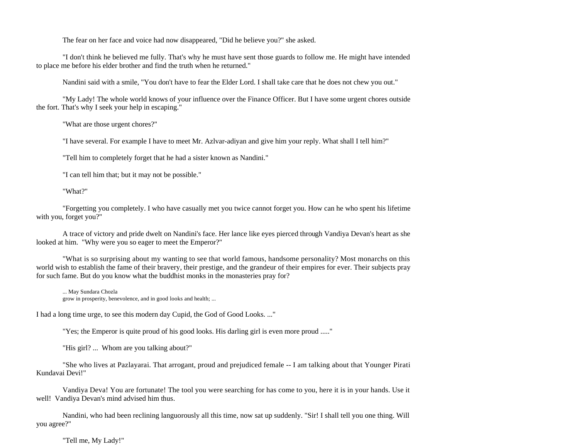The fear on her face and voice had now disappeared, "Did he believe you?" she asked.

"I don't think he believed me fully. That's why he must have sent those guards to follow me. He might have intended to place me before his elder brother and find the truth when he returned."

Nandini said with a smile, "You don't have to fear the Elder Lord. I shall take care that he does not chew you out."

"My Lady! The whole world knows of your influence over the Finance Officer. But I have some urgent chores outside the fort. That's why I seek your help in escaping."

"What are those urgent chores?"

"I have several. For example I have to meet Mr. Azlvar-adiyan and give him your reply. What shall I tell him?"

"Tell him to completely forget that he had a sister known as Nandini."

"I can tell him that; but it may not be possible."

"What?"

"Forgetting you completely. I who have casually met you twice cannot forget you. How can he who spent his lifetime with you, forget you?"

A trace of victory and pride dwelt on Nandini's face. Her lance like eyes pierced through Vandiya Devan's heart as she looked at him. "Why were you so eager to meet the Emperor?"

"What is so surprising about my wanting to see that world famous, handsome personality? Most monarchs on this world wish to establish the fame of their bravery, their prestige, and the grandeur of their empires for ever. Their subjects pray for such fame. But do you know what the buddhist monks in the monasteries pray for?

... May Sundara Chozla grow in prosperity, benevolence, and in good looks and health; ...

I had a long time urge, to see this modern day Cupid, the God of Good Looks. ..."

"Yes; the Emperor is quite proud of his good looks. His darling girl is even more proud ....."

"His girl? ... Whom are you talking about?"

"She who lives at Pazlayarai. That arrogant, proud and prejudiced female -- I am talking about that Younger Pirati Kundavai Devi!"

Vandiya Deva! You are fortunate! The tool you were searching for has come to you, here it is in your hands. Use it well! Vandiya Devan's mind advised him thus.

Nandini, who had been reclining languorously all this time, now sat up suddenly. "Sir! I shall tell you one thing. Will you agree?"

"Tell me, My Lady!"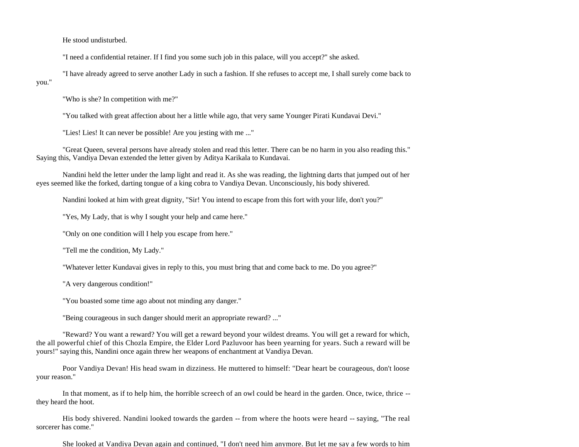He stood undisturbed.

"I need a confidential retainer. If I find you some such job in this palace, will you accept?" she asked.

"I have already agreed to serve another Lady in such a fashion. If she refuses to accept me, I shall surely come back to you."

"Who is she? In competition with me?"

"You talked with great affection about her a little while ago, that very same Younger Pirati Kundavai Devi."

"Lies! Lies! It can never be possible! Are you jesting with me ..."

"Great Queen, several persons have already stolen and read this letter. There can be no harm in you also reading this." Saying this, Vandiya Devan extended the letter given by Aditya Karikala to Kundavai.

Nandini held the letter under the lamp light and read it. As she was reading, the lightning darts that jumped out of her eyes seemed like the forked, darting tongue of a king cobra to Vandiya Devan. Unconsciously, his body shivered.

Nandini looked at him with great dignity, "Sir! You intend to escape from this fort with your life, don't you?"

"Yes, My Lady, that is why I sought your help and came here."

"Only on one condition will I help you escape from here."

"Tell me the condition, My Lady."

"Whatever letter Kundavai gives in reply to this, you must bring that and come back to me. Do you agree?"

"A very dangerous condition!"

"You boasted some time ago about not minding any danger."

"Being courageous in such danger should merit an appropriate reward? ..."

"Reward? You want a reward? You will get a reward beyond your wildest dreams. You will get a reward for which, the all powerful chief of this Chozla Empire, the Elder Lord Pazluvoor has been yearning for years. Such a reward will be yours!" saying this, Nandini once again threw her weapons of enchantment at Vandiya Devan.

Poor Vandiya Devan! His head swam in dizziness. He muttered to himself: "Dear heart be courageous, don't loose your reason."

In that moment, as if to help him, the horrible screech of an owl could be heard in the garden. Once, twice, thrice -they heard the hoot.

His body shivered. Nandini looked towards the garden -- from where the hoots were heard -- saying, "The real sorcerer has come."

She looked at Vandiya Devan again and continued, "I don't need him anymore. But let me say a few words to him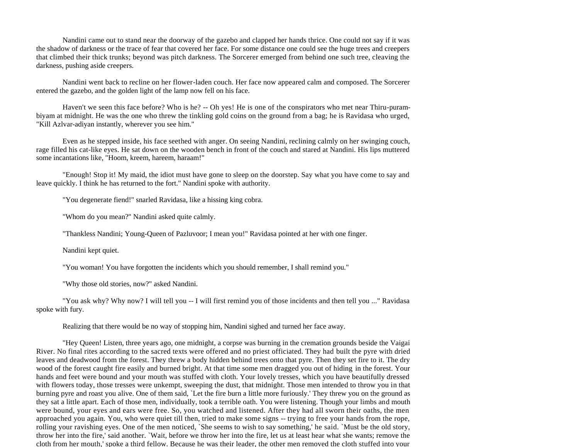Nandini came out to stand near the doorway of the gazebo and clapped her hands thrice. One could not say if it was the shadow of darkness or the trace of fear that covered her face. For some distance one could see the huge trees and creepers that climbed their thick trunks; beyond was pitch darkness. The Sorcerer emerged from behind one such tree, cleaving the darkness, pushing aside creepers.

Nandini went back to recline on her flower-laden couch. Her face now appeared calm and composed. The Sorcerer entered the gazebo, and the golden light of the lamp now fell on his face.

Haven't we seen this face before? Who is he? -- Oh yes! He is one of the conspirators who met near Thiru-purambiyam at midnight. He was the one who threw the tinkling gold coins on the ground from a bag; he is Ravidasa who urged, "Kill Azlvar-adiyan instantly, wherever you see him."

Even as he stepped inside, his face seethed with anger. On seeing Nandini, reclining calmly on her swinging couch, rage filled his cat-like eyes. He sat down on the wooden bench in front of the couch and stared at Nandini. His lips muttered some incantations like, "Hoom, kreem, hareem, haraam!"

"Enough! Stop it! My maid, the idiot must have gone to sleep on the doorstep. Say what you have come to say and leave quickly. I think he has returned to the fort." Nandini spoke with authority.

"You degenerate fiend!" snarled Ravidasa, like a hissing king cobra.

"Whom do you mean?" Nandini asked quite calmly.

"Thankless Nandini; Young-Queen of Pazluvoor; I mean you!" Ravidasa pointed at her with one finger.

Nandini kept quiet.

"You woman! You have forgotten the incidents which you should remember, I shall remind you."

"Why those old stories, now?" asked Nandini.

"You ask why? Why now? I will tell you -- I will first remind you of those incidents and then tell you ..." Ravidasa spoke with fury.

Realizing that there would be no way of stopping him, Nandini sighed and turned her face away.

"Hey Queen! Listen, three years ago, one midnight, a corpse was burning in the cremation grounds beside the Vaigai River. No final rites according to the sacred texts were offered and no priest officiated. They had built the pyre with dried leaves and deadwood from the forest. They threw a body hidden behind trees onto that pyre. Then they set fire to it. The dry wood of the forest caught fire easily and burned bright. At that time some men dragged you out of hiding in the forest. Your hands and feet were bound and your mouth was stuffed with cloth. Your lovely tresses, which you have beautifully dressed with flowers today, those tresses were unkempt, sweeping the dust, that midnight. Those men intended to throw you in that burning pyre and roast you alive. One of them said, `Let the fire burn a little more furiously.' They threw you on the ground as they sat a little apart. Each of those men, individually, took a terrible oath. You were listening. Though your limbs and mouth were bound, your eyes and ears were free. So, you watched and listened. After they had all sworn their oaths, the men approached you again. You, who were quiet till then, tried to make some signs -- trying to free your hands from the rope, rolling your ravishing eyes. One of the men noticed, `She seems to wish to say something,' he said. `Must be the old story, throw her into the fire,' said another. `Wait, before we throw her into the fire, let us at least hear what she wants; remove the cloth from her mouth,' spoke a third fellow. Because he was their leader, the other men removed the cloth stuffed into your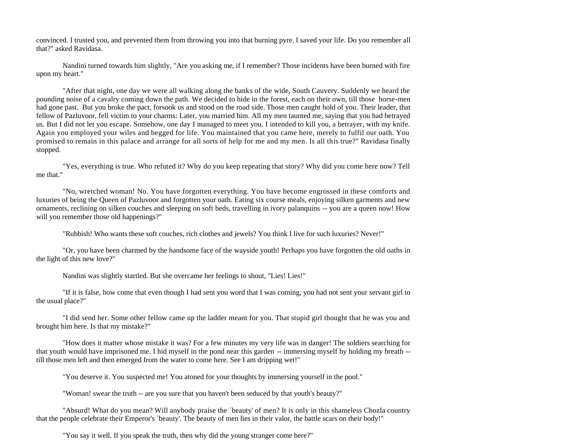convinced. I trusted you, and prevented them from throwing you into that burning pyre. I saved your life. Do you remember all that?" asked Ravidasa.

Nandini turned towards him slightly, "Are you asking me, if I remember? Those incidents have been burned with fire upon my heart."

"After that night, one day we were all walking along the banks of the wide, South Cauvery. Suddenly we heard the pounding noise of a cavalry coming down the path. We decided to hide in the forest, each on their own, till those horse-men had gone past. But you broke the pact, forsook us and stood on the road side. Those men caught hold of you. Their leader, that fellow of Pazluvoor, fell victim to your charms: Later, you married him. All my men taunted me, saying that you had betrayed us. But I did not let you escape. Somehow, one day I managed to meet you. I intended to kill you, a betrayer, with my knife. Again you employed your wiles and begged for life. You maintained that you came here, merely to fulfil our oath. You promised to remain in this palace and arrange for all sorts of help for me and my men. Is all this true?" Ravidasa finally stopped.

"Yes, everything is true. Who refuted it? Why do you keep repeating that story? Why did you come here now? Tell me that."

"No, wretched woman! No. You have forgotten everything. You have become engrossed in these comforts and luxuries of being the Queen of Pazluvoor and forgotten your oath. Eating six course meals, enjoying silken garments and new ornaments, reclining on silken couches and sleeping on soft beds, travelling in ivory palanquins -- you are a queen now! How will you remember those old happenings?"

"Rubbish! Who wants these soft couches, rich clothes and jewels? You think I live for such luxuries? Never!"

"Or, you have been charmed by the handsome face of the wayside youth! Perhaps you have forgotten the old oaths in the light of this new love?"

Nandini was slightly startled. But she overcame her feelings to shout, "Lies! Lies!"

"If it is false, how come that even though I had sent you word that I was coming, you had not sent your servant girl to the usual place?"

"I did send her. Some other fellow came up the ladder meant for you. That stupid girl thought that he was you and brought him here. Is that my mistake?"

"How does it matter whose mistake it was? For a few minutes my very life was in danger! The soldiers searching for that youth would have imprisoned me. I hid myself in the pond near this garden -- immersing myself by holding my breath - till those men left and then emerged from the water to come here. See I am dripping wet!"

"You deserve it. You suspected me! You atoned for your thoughts by immersing yourself in the pool."

"Woman! swear the truth -- are you sure that you haven't been seduced by that youth's beauty?"

"Absurd! What do you mean? Will anybody praise the `beauty' of men? It is only in this shameless Chozla country that the people celebrate their Emperor's `beauty'. The beauty of men lies in their valor, the battle scars on their body!"

"You say it well. If you speak the truth, then why did the young stranger come here?"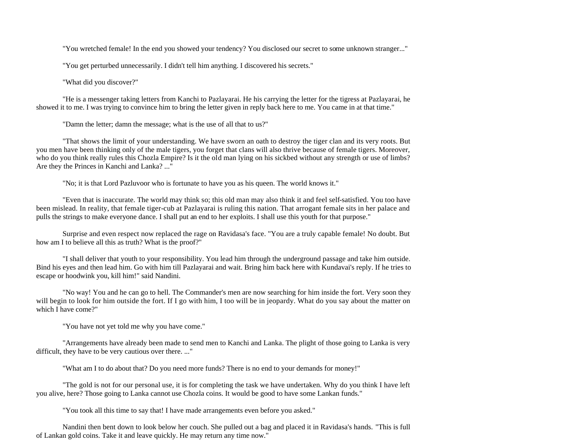"You wretched female! In the end you showed your tendency? You disclosed our secret to some unknown stranger..."

"You get perturbed unnecessarily. I didn't tell him anything. I discovered his secrets."

"What did you discover?"

"He is a messenger taking letters from Kanchi to Pazlayarai. He his carrying the letter for the tigress at Pazlayarai, he showed it to me. I was trying to convince him to bring the letter given in reply back here to me. You came in at that time."

"Damn the letter; damn the message; what is the use of all that to us?"

"That shows the limit of your understanding. We have sworn an oath to destroy the tiger clan and its very roots. But you men have been thinking only of the male tigers, you forget that clans will also thrive because of female tigers. Moreover, who do you think really rules this Chozla Empire? Is it the old man lying on his sickbed without any strength or use of limbs? Are they the Princes in Kanchi and Lanka? ..."

"No; it is that Lord Pazluvoor who is fortunate to have you as his queen. The world knows it."

"Even that is inaccurate. The world may think so; this old man may also think it and feel self-satisfied. You too have been mislead. In reality, that female tiger-cub at Pazlayarai is ruling this nation. That arrogant female sits in her palace and pulls the strings to make everyone dance. I shall put an end to her exploits. I shall use this youth for that purpose."

Surprise and even respect now replaced the rage on Ravidasa's face. "You are a truly capable female! No doubt. But how am I to believe all this as truth? What is the proof?"

"I shall deliver that youth to your responsibility. You lead him through the underground passage and take him outside. Bind his eyes and then lead him. Go with him till Pazlayarai and wait. Bring him back here with Kundavai's reply. If he tries to escape or hoodwink you, kill him!" said Nandini.

"No way! You and he can go to hell. The Commander's men are now searching for him inside the fort. Very soon they will begin to look for him outside the fort. If I go with him, I too will be in jeopardy. What do you say about the matter on which I have come?"

"You have not yet told me why you have come."

"Arrangements have already been made to send men to Kanchi and Lanka. The plight of those going to Lanka is very difficult, they have to be very cautious over there. ..."

"What am I to do about that? Do you need more funds? There is no end to your demands for money!"

"The gold is not for our personal use, it is for completing the task we have undertaken. Why do you think I have left you alive, here? Those going to Lanka cannot use Chozla coins. It would be good to have some Lankan funds."

"You took all this time to say that! I have made arrangements even before you asked."

Nandini then bent down to look below her couch. She pulled out a bag and placed it in Ravidasa's hands. "This is full of Lankan gold coins. Take it and leave quickly. He may return any time now."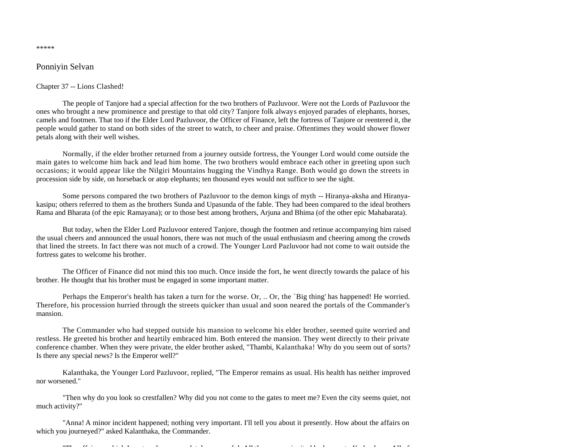\*\*\*\*\*

#### Ponniyin Selvan

Chapter 37 -- Lions Clashed!

The people of Tanjore had a special affection for the two brothers of Pazluvoor. Were not the Lords of Pazluvoor the ones who brought a new prominence and prestige to that old city? Tanjore folk always enjoyed parades of elephants, horses, camels and footmen. That too if the Elder Lord Pazluvoor, the Officer of Finance, left the fortress of Tanjore or reentered it, the people would gather to stand on both sides of the street to watch, to cheer and praise. Oftentimes they would shower flower petals along with their well wishes.

Normally, if the elder brother returned from a journey outside fortress, the Younger Lord would come outside the main gates to welcome him back and lead him home. The two brothers would embrace each other in greeting upon such occasions; it would appear like the Nilgiri Mountains hugging the Vindhya Range. Both would go down the streets in procession side by side, on horseback or atop elephants; ten thousand eyes would not suffice to see the sight.

Some persons compared the two brothers of Pazluvoor to the demon kings of myth -- Hiranya-aksha and Hiranyakasipu; others referred to them as the brothers Sunda and Upasunda of the fable. They had been compared to the ideal brothers Rama and Bharata (of the epic Ramayana); or to those best among brothers, Arjuna and Bhima (of the other epic Mahabarata).

But today, when the Elder Lord Pazluvoor entered Tanjore, though the footmen and retinue accompanying him raised the usual cheers and announced the usual honors, there was not much of the usual enthusiasm and cheering among the crowds that lined the streets. In fact there was not much of a crowd. The Younger Lord Pazluvoor had not come to wait outside the fortress gates to welcome his brother.

The Officer of Finance did not mind this too much. Once inside the fort, he went directly towards the palace of his brother. He thought that his brother must be engaged in some important matter.

Perhaps the Emperor's health has taken a turn for the worse. Or, .. Or, the `Big thing' has happened! He worried. Therefore, his procession hurried through the streets quicker than usual and soon neared the portals of the Commander's mansion.

The Commander who had stepped outside his mansion to welcome his elder brother, seemed quite worried and restless. He greeted his brother and heartily embraced him. Both entered the mansion. They went directly to their private conference chamber. When they were private, the elder brother asked, "Thambi, Kalanthaka! Why do you seem out of sorts? Is there any special news? Is the Emperor well?"

Kalanthaka, the Younger Lord Pazluvoor, replied, "The Emperor remains as usual. His health has neither improved nor worsened."

"Then why do you look so crestfallen? Why did you not come to the gates to meet me? Even the city seems quiet, not much activity?"

"Anna! A minor incident happened; nothing very important. I'll tell you about it presently. How about the affairs on which you journeyed?" asked Kalanthaka, the Commander.

 $\mathbf{u}$  are affair in which I ventured was completely successful. All the persons invited had completely successful. All of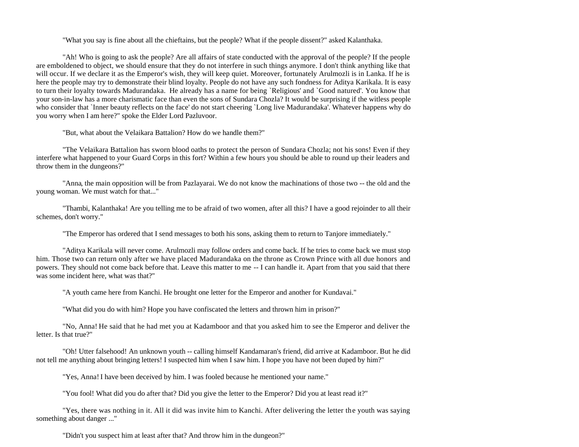"What you say is fine about all the chieftains, but the people? What if the people dissent?" asked Kalanthaka.

"Ah! Who is going to ask the people? Are all affairs of state conducted with the approval of the people? If the people are emboldened to object, we should ensure that they do not interfere in such things anymore. I don't think anything like that will occur. If we declare it as the Emperor's wish, they will keep quiet. Moreover, fortunately Arulmozli is in Lanka. If he is here the people may try to demonstrate their blind loyalty. People do not have any such fondness for Aditya Karikala. It is easy to turn their loyalty towards Madurandaka. He already has a name for being `Religious' and `Good natured'. You know that your son-in-law has a more charismatic face than even the sons of Sundara Chozla? It would be surprising if the witless people who consider that `Inner beauty reflects on the face' do not start cheering `Long live Madurandaka'. Whatever happens why do you worry when I am here?" spoke the Elder Lord Pazluvoor.

"But, what about the Velaikara Battalion? How do we handle them?"

"The Velaikara Battalion has sworn blood oaths to protect the person of Sundara Chozla; not his sons! Even if they interfere what happened to your Guard Corps in this fort? Within a few hours you should be able to round up their leaders and throw them in the dungeons?"

"Anna, the main opposition will be from Pazlayarai. We do not know the machinations of those two -- the old and the young woman. We must watch for that..."

"Thambi, Kalanthaka! Are you telling me to be afraid of two women, after all this? I have a good rejoinder to all their schemes, don't worry."

"The Emperor has ordered that I send messages to both his sons, asking them to return to Tanjore immediately."

"Aditya Karikala will never come. Arulmozli may follow orders and come back. If he tries to come back we must stop him. Those two can return only after we have placed Madurandaka on the throne as Crown Prince with all due honors and powers. They should not come back before that. Leave this matter to me -- I can handle it. Apart from that you said that there was some incident here, what was that?"

"A youth came here from Kanchi. He brought one letter for the Emperor and another for Kundavai."

"What did you do with him? Hope you have confiscated the letters and thrown him in prison?"

"No, Anna! He said that he had met you at Kadamboor and that you asked him to see the Emperor and deliver the letter. Is that true?"

"Oh! Utter falsehood! An unknown youth -- calling himself Kandamaran's friend, did arrive at Kadamboor. But he did not tell me anything about bringing letters! I suspected him when I saw him. I hope you have not been duped by him?"

"Yes, Anna! I have been deceived by him. I was fooled because he mentioned your name."

"You fool! What did you do after that? Did you give the letter to the Emperor? Did you at least read it?"

"Yes, there was nothing in it. All it did was invite him to Kanchi. After delivering the letter the youth was saying something about danger ..."

"Didn't you suspect him at least after that? And throw him in the dungeon?"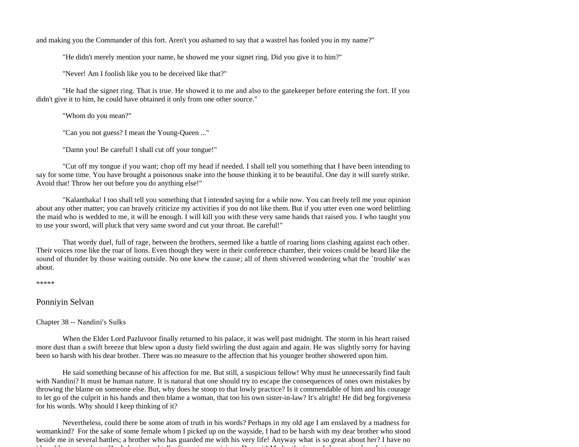and making you the Commander of this fort. Aren't you ashamed to say that a wastrel has fooled you in my name?"

"He didn't merely mention your name, he showed me your signet ring. Did you give it to him?"

"Never! Am I foolish like you to be deceived like that?"

"He had the signet ring. That is true. He showed it to me and also to the gatekeeper before entering the fort. If you didn't give it to him, he could have obtained it only from one other source."

"Whom do you mean?"

"Can you not guess? I mean the Young-Queen ..."

"Damn you! Be careful! I shall cut off your tongue!"

"Cut off my tongue if you want; chop off my head if needed. I shall tell you something that I have been intending to say for some time. You have brought a poisonous snake into the house thinking it to be beautiful. One day it will surely strike. Avoid that! Throw her out before you do anything else!"

"Kalanthaka! I too shall tell you something that I intended saying for a while now. You can freely tell me your opinion about any other matter; you can bravely criticize my activities if you do not like them. But if you utter even one word belittling the maid who is wedded to me, it will be enough. I will kill you with these very same hands that raised you. I who taught you to use your sword, will pluck that very same sword and cut your throat. Be careful!"

That wordy duel, full of rage, between the brothers, seemed like a battle of roaring lions clashing against each other. Their voices rose like the roar of lions. Even though they were in their conference chamber, their voices could be heard like the sound of thunder by those waiting outside. No one knew the cause; all of them shivered wondering what the `trouble' was about.

\*\*\*\*\*

#### Ponniyin Selvan

Chapter 38 -- Nandini's Sulks

When the Elder Lord Pazluvoor finally returned to his palace, it was well past midnight. The storm in his heart raised more dust than a swift breeze that blew upon a dusty field swirling the dust again and again. He was slightly sorry for having been so harsh with his dear brother. There was no measure to the affection that his younger brother showered upon him.

He said something because of his affection for me. But still, a suspicious fellow! Why must he unnecessarily find fault with Nandini? It must be human nature. It is natural that one should try to escape the consequences of ones own mistakes by throwing the blame on someone else. But, why does he stoop to that lowly practice? Is it commendable of him and his courage to let go of the culprit in his hands and then blame a woman, that too his own sister-in-law? It's alright! He did beg forgiveness for his words. Why should I keep thinking of it?

Nevertheless, could there be some atom of truth in his words? Perhaps in my old age I am enslaved by a madness for womankind? For the sake of some female whom I picked up on the wayside, I had to be harsh with my dear brother who stood beside me in several battles; a brother who has guarded me with his very life! Anyway what is so great about her? I have no idea of her antecedents. Her behavior and talk often raise suspicions. Damn it! My brother's words have raised confusion even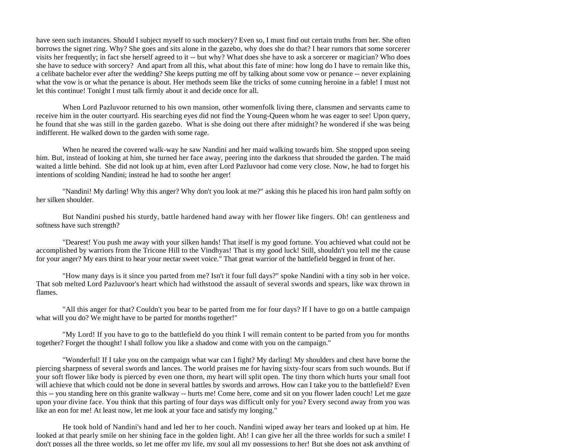have seen such instances. Should I subject myself to such mockery? Even so, I must find out certain truths from her. She often borrows the signet ring. Why? She goes and sits alone in the gazebo, why does she do that? I hear rumors that some sorcerer visits her frequently; in fact she herself agreed to it -- but why? What does she have to ask a sorcerer or magician? Who does she have to seduce with sorcery? And apart from all this, what about this fate of mine: how long do I have to remain like this, a celibate bachelor ever after the wedding? She keeps putting me off by talking about some vow or penance -- never explaining what the vow is or what the penance is about. Her methods seem like the tricks of some cunning heroine in a fable! I must not let this continue! Tonight I must talk firmly about it and decide once for all.

When Lord Pazluvoor returned to his own mansion, other womenfolk living there, clansmen and servants came to receive him in the outer courtyard. His searching eyes did not find the Young-Queen whom he was eager to see! Upon query, he found that she was still in the garden gazebo. What is she doing out there after midnight? he wondered if she was being indifferent. He walked down to the garden with some rage.

When he neared the covered walk-way he saw Nandini and her maid walking towards him. She stopped upon seeing him. But, instead of looking at him, she turned her face away, peering into the darkness that shrouded the garden. The maid waited a little behind. She did not look up at him, even after Lord Pazluvoor had come very close. Now, he had to forget his intentions of scolding Nandini; instead he had to soothe her anger!

"Nandini! My darling! Why this anger? Why don't you look at me?" asking this he placed his iron hard palm softly on her silken shoulder.

But Nandini pushed his sturdy, battle hardened hand away with her flower like fingers. Oh! can gentleness and softness have such strength?

"Dearest! You push me away with your silken hands! That itself is my good fortune. You achieved what could not be accomplished by warriors from the Tricone Hill to the Vindhyas! That is my good luck! Still, shouldn't you tell me the cause for your anger? My ears thirst to hear your nectar sweet voice." That great warrior of the battlefield begged in front of her.

"How many days is it since you parted from me? Isn't it four full days?" spoke Nandini with a tiny sob in her voice. That sob melted Lord Pazluvoor's heart which had withstood the assault of several swords and spears, like wax thrown in flames.

"All this anger for that? Couldn't you bear to be parted from me for four days? If I have to go on a battle campaign what will you do? We might have to be parted for months together!"

"My Lord! If you have to go to the battlefield do you think I will remain content to be parted from you for months together? Forget the thought! I shall follow you like a shadow and come with you on the campaign."

"Wonderful! If I take you on the campaign what war can I fight? My darling! My shoulders and chest have borne the piercing sharpness of several swords and lances. The world praises me for having sixty-four scars from such wounds. But if your soft flower like body is pierced by even one thorn, my heart will split open. The tiny thorn which hurts your small foot will achieve that which could not be done in several battles by swords and arrows. How can I take you to the battlefield? Even this -- you standing here on this granite walkway -- hurts me! Come here, come and sit on you flower laden couch! Let me gaze upon your divine face. You think that this parting of four days was difficult only for you? Every second away from you was like an eon for me! At least now, let me look at your face and satisfy my longing."

He took hold of Nandini's hand and led her to her couch. Nandini wiped away her tears and looked up at him. He looked at that pearly smile on her shining face in the golden light. Ah! I can give her all the three worlds for such a smile! I don't posses all the three worlds, so let me offer my life, my soul all my possessions to her! But she does not ask anything of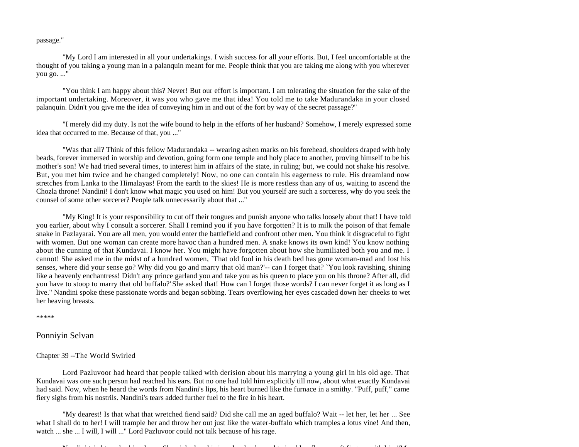passage."

"My Lord I am interested in all your undertakings. I wish success for all your efforts. But, I feel uncomfortable at the thought of you taking a young man in a palanquin meant for me. People think that you are taking me along with you wherever you go. ..."

"You think I am happy about this? Never! But our effort is important. I am tolerating the situation for the sake of the important undertaking. Moreover, it was you who gave me that idea! You told me to take Madurandaka in your closed palanquin. Didn't you give me the idea of conveying him in and out of the fort by way of the secret passage?"

"I merely did my duty. Is not the wife bound to help in the efforts of her husband? Somehow, I merely expressed some idea that occurred to me. Because of that, you ..."

"Was that all? Think of this fellow Madurandaka -- wearing ashen marks on his forehead, shoulders draped with holy beads, forever immersed in worship and devotion, going form one temple and holy place to another, proving himself to be his mother's son! We had tried several times, to interest him in affairs of the state, in ruling; but, we could not shake his resolve. But, you met him twice and he changed completely! Now, no one can contain his eagerness to rule. His dreamland now stretches from Lanka to the Himalayas! From the earth to the skies! He is more restless than any of us, waiting to ascend the Chozla throne! Nandini! I don't know what magic you used on him! But you yourself are such a sorceress, why do you seek the counsel of some other sorcerer? People talk unnecessarily about that ..."

"My King! It is your responsibility to cut off their tongues and punish anyone who talks loosely about that! I have told you earlier, about why I consult a sorcerer. Shall I remind you if you have forgotten? It is to milk the poison of that female snake in Pazlayarai. You are all men, you would enter the battlefield and confront other men. You think it disgraceful to fight with women. But one woman can create more havoc than a hundred men. A snake knows its own kind! You know nothing about the cunning of that Kundavai. I know her. You might have forgotten about how she humiliated both you and me. I cannot! She asked me in the midst of a hundred women, `That old fool in his death bed has gone woman-mad and lost his senses, where did your sense go? Why did you go and marry that old man?'-- can I forget that? `You look ravishing, shining like a heavenly enchantress! Didn't any prince garland you and take you as his queen to place you on his throne? After all, did you have to stoop to marry that old buffalo?' She asked that! How can I forget those words? I can never forget it as long as I live." Nandini spoke these passionate words and began sobbing. Tears overflowing her eyes cascaded down her cheeks to wet her heaving breasts.

\*\*\*\*\*

#### Ponniyin Selvan

#### Chapter 39 --The World Swirled

Lord Pazluvoor had heard that people talked with derision about his marrying a young girl in his old age. That Kundavai was one such person had reached his ears. But no one had told him explicitly till now, about what exactly Kundavai had said. Now, when he heard the words from Nandini's lips, his heart burned like the furnace in a smithy. "Puff, puff," came fiery sighs from his nostrils. Nandini's tears added further fuel to the fire in his heart.

"My dearest! Is that what that wretched fiend said? Did she call me an aged buffalo? Wait -- let her, let her ... See what I shall do to her! I will trample her and throw her out just like the water-buffalo which tramples a lotus vine! And then, watch ... she ... I will, I will ..." Lord Pazluvoor could not talk because of his rage.

Nandini tried to calm him down. She picked up his iron-hard palm and twined her flower-soft fingers with his. "My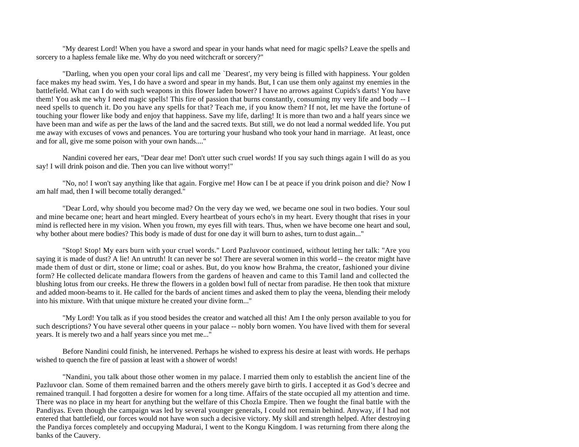"My dearest Lord! When you have a sword and spear in your hands what need for magic spells? Leave the spells and sorcery to a hapless female like me. Why do you need witchcraft or sorcery?"

"Darling, when you open your coral lips and call me `Dearest', my very being is filled with happiness. Your golden face makes my head swim. Yes, I do have a sword and spear in my hands. But, I can use them only against my enemies in the battlefield. What can I do with such weapons in this flower laden bower? I have no arrows against Cupids's darts! You have them! You ask me why I need magic spells! This fire of passion that burns constantly, consuming my very life and body -- I need spells to quench it. Do you have any spells for that? Teach me, if you know them? If not, let me have the fortune of touching your flower like body and enjoy that happiness. Save my life, darling! It is more than two and a half years since we have been man and wife as per the laws of the land and the sacred texts. But still, we do not lead a normal wedded life. You put me away with excuses of vows and penances. You are torturing your husband who took your hand in marriage. At least, once and for all, give me some poison with your own hands...."

Nandini covered her ears, "Dear dear me! Don't utter such cruel words! If you say such things again I will do as you say! I will drink poison and die. Then you can live without worry!"

"No, no! I won't say anything like that again. Forgive me! How can I be at peace if you drink poison and die? Now I am half mad, then I will become totally deranged."

"Dear Lord, why should you become mad? On the very day we wed, we became one soul in two bodies. Your soul and mine became one; heart and heart mingled. Every heartbeat of yours echo's in my heart. Every thought that rises in your mind is reflected here in my vision. When you frown, my eyes fill with tears. Thus, when we have become one heart and soul, why bother about mere bodies? This body is made of dust for one day it will burn to ashes, turn to dust again..."

"Stop! Stop! My ears burn with your cruel words." Lord Pazluvoor continued, without letting her talk: "Are you saying it is made of dust? A lie! An untruth! It can never be so! There are several women in this world -- the creator might have made them of dust or dirt, stone or lime; coal or ashes. But, do you know how Brahma, the creator, fashioned your divine form? He collected delicate mandara flowers from the gardens of heaven and came to this Tamil land and collected the blushing lotus from our creeks. He threw the flowers in a golden bowl full of nectar from paradise. He then took that mixture and added moon-beams to it. He called for the bards of ancient times and asked them to play the veena, blending their melody into his mixture. With that unique mixture he created your divine form..."

"My Lord! You talk as if you stood besides the creator and watched all this! Am I the only person available to you for such descriptions? You have several other queens in your palace -- nobly born women. You have lived with them for several years. It is merely two and a half years since you met me..."

Before Nandini could finish, he intervened. Perhaps he wished to express his desire at least with words. He perhaps wished to quench the fire of passion at least with a shower of words!

"Nandini, you talk about those other women in my palace. I married them only to establish the ancient line of the Pazluvoor clan. Some of them remained barren and the others merely gave birth to girls. I accepted it as God 's decree and remained tranquil. I had forgotten a desire for women for a long time. Affairs of the state occupied all my attention and time. There was no place in my heart for anything but the welfare of this Chozla Empire. Then we fought the final battle with the Pandiyas. Even though the campaign was led by several younger generals, I could not remain behind. Anyway, if I had not entered that battlefield, our forces would not have won such a decisive victory. My skill and strength helped. After destroying the Pandiya forces completely and occupying Madurai, I went to the Kongu Kingdom. I was returning from there along the banks of the Cauvery.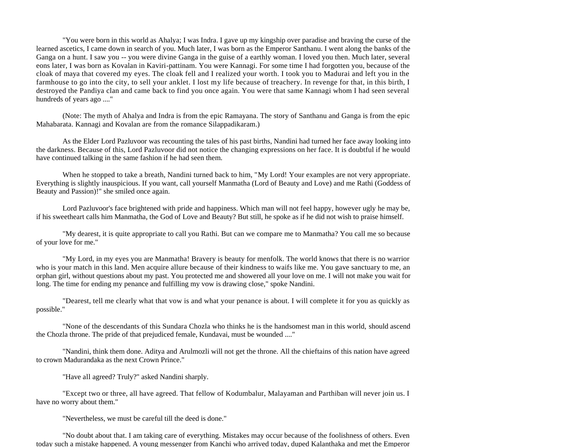"You were born in this world as Ahalya; I was Indra. I gave up my kingship over paradise and braving the curse of the learned ascetics, I came down in search of you. Much later, I was born as the Emperor Santhanu. I went along the banks of the Ganga on a hunt. I saw you -- you were divine Ganga in the guise of a earthly woman. I loved you then. Much later, several eons later, I was born as Kovalan in Kaviri-pattinam. You were Kannagi. For some time I had forgotten you, because of the cloak of maya that covered my eyes. The cloak fell and I realized your worth. I took you to Madurai and left you in the farmhouse to go into the city, to sell your anklet. I lost my life because of treachery. In revenge for that, in this birth, I destroyed the Pandiya clan and came back to find you once again. You were that same Kannagi whom I had seen several hundreds of years ago ...."

(Note: The myth of Ahalya and Indra is from the epic Ramayana. The story of Santhanu and Ganga is from the epic Mahabarata. Kannagi and Kovalan are from the romance Silappadikaram.)

As the Elder Lord Pazluvoor was recounting the tales of his past births, Nandini had turned her face away looking into the darkness. Because of this, Lord Pazluvoor did not notice the changing expressions on her face. It is doubtful if he would have continued talking in the same fashion if he had seen them.

When he stopped to take a breath, Nandini turned back to him, "My Lord! Your examples are not very appropriate. Everything is slightly inauspicious. If you want, call yourself Manmatha (Lord of Beauty and Love) and me Rathi (Goddess of Beauty and Passion)!" she smiled once again.

Lord Pazluvoor's face brightened with pride and happiness. Which man will not feel happy, however ugly he may be, if his sweetheart calls him Manmatha, the God of Love and Beauty? But still, he spoke as if he did not wish to praise himself.

"My dearest, it is quite appropriate to call you Rathi. But can we compare me to Manmatha? You call me so because of your love for me."

"My Lord, in my eyes you are Manmatha! Bravery is beauty for menfolk. The world knows that there is no warrior who is your match in this land. Men acquire allure because of their kindness to waifs like me. You gave sanctuary to me, an orphan girl, without questions about my past. You protected me and showered all your love on me. I will not make you wait for long. The time for ending my penance and fulfilling my vow is drawing close," spoke Nandini.

"Dearest, tell me clearly what that vow is and what your penance is about. I will complete it for you as quickly as possible."

"None of the descendants of this Sundara Chozla who thinks he is the handsomest man in this world, should ascend the Chozla throne. The pride of that prejudiced female, Kundavai, must be wounded ...."

"Nandini, think them done. Aditya and Arulmozli will not get the throne. All the chieftains of this nation have agreed to crown Madurandaka as the next Crown Prince."

"Have all agreed? Truly?" asked Nandini sharply.

"Except two or three, all have agreed. That fellow of Kodumbalur, Malayaman and Parthiban will never join us. I have no worry about them."

"Nevertheless, we must be careful till the deed is done."

"No doubt about that. I am taking care of everything. Mistakes may occur because of the foolishness of others. Even today such a mistake happened. A young messenger from Kanchi who arrived today, duped Kalanthaka and met the Emperor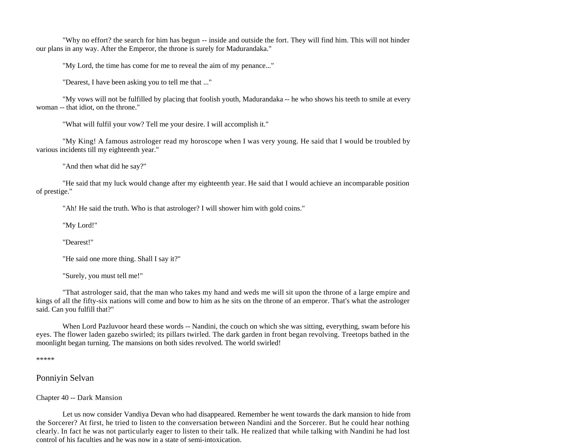"Why no effort? the search for him has begun -- inside and outside the fort. They will find him. This will not hinder our plans in any way. After the Emperor, the throne is surely for Madurandaka."

"My Lord, the time has come for me to reveal the aim of my penance..."

"Dearest, I have been asking you to tell me that ..."

"My vows will not be fulfilled by placing that foolish youth, Madurandaka -- he who shows his teeth to smile at every woman -- that idiot, on the throne."

"What will fulfil your vow? Tell me your desire. I will accomplish it."

"My King! A famous astrologer read my horoscope when I was very young. He said that I would be troubled by various incidents till my eighteenth year."

"And then what did he say?"

"He said that my luck would change after my eighteenth year. He said that I would achieve an incomparable position of prestige."

"Ah! He said the truth. Who is that astrologer? I will shower him with gold coins."

"My Lord!"

"Dearest!"

"He said one more thing. Shall I say it?"

"Surely, you must tell me!"

"That astrologer said, that the man who takes my hand and weds me will sit upon the throne of a large empire and kings of all the fifty-six nations will come and bow to him as he sits on the throne of an emperor. That's what the astrologer said. Can you fulfill that?"

When Lord Pazluvoor heard these words -- Nandini, the couch on which she was sitting, everything, swam before his eyes. The flower laden gazebo swirled; its pillars twirled. The dark garden in front began revolving. Treetops bathed in the moonlight began turning. The mansions on both sides revolved. The world swirled!

\*\*\*\*\*

Ponniyin Selvan

Chapter 40 -- Dark Mansion

Let us now consider Vandiya Devan who had disappeared. Remember he went towards the dark mansion to hide from the Sorcerer? At first, he tried to listen to the conversation between Nandini and the Sorcerer. But he could hear nothing clearly. In fact he was not particularly eager to listen to their talk. He realized that while talking with Nandini he had lost control of his faculties and he was now in a state of semi-intoxication.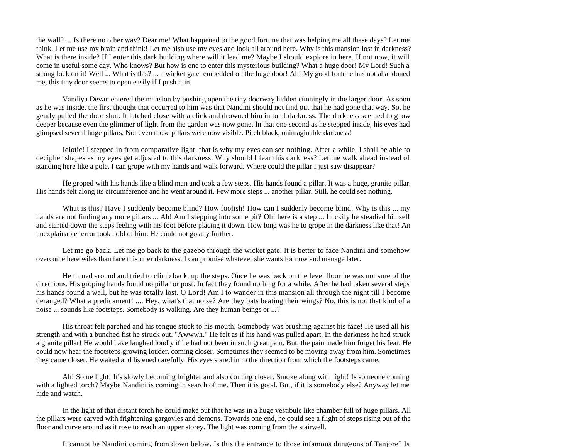the wall? ... Is there no other way? Dear me! What happened to the good fortune that was helping me all these days? Let me think. Let me use my brain and think! Let me also use my eyes and look all around here. Why is this mansion lost in darkness? What is there inside? If I enter this dark building where will it lead me? Maybe I should explore in here. If not now, it will come in useful some day. Who knows? But how is one to enter this mysterious building? What a huge door! My Lord! Such a strong lock on it! Well ... What is this? ... a wicket gate embedded on the huge door! Ah! My good fortune has not abandoned me, this tiny door seems to open easily if I push it in.

Vandiya Devan entered the mansion by pushing open the tiny doorway hidden cunningly in the larger door. As soon as he was inside, the first thought that occurred to him was that Nandini should not find out that he had gone that way. So, he gently pulled the door shut. It latched close with a click and drowned him in total darkness. The darkness seemed to grow deeper because even the glimmer of light from the garden was now gone. In that one second as he stepped inside, his eyes had glimpsed several huge pillars. Not even those pillars were now visible. Pitch black, unimaginable darkness!

Idiotic! I stepped in from comparative light, that is why my eyes can see nothing. After a while, I shall be able to decipher shapes as my eyes get adjusted to this darkness. Why should I fear this darkness? Let me walk ahead instead of standing here like a pole. I can grope with my hands and walk forward. Where could the pillar I just saw disappear?

He groped with his hands like a blind man and took a few steps. His hands found a pillar. It was a huge, granite pillar. His hands felt along its circumference and he went around it. Few more steps ... another pillar. Still, he could see nothing.

What is this? Have I suddenly become blind? How foolish! How can I suddenly become blind. Why is this ... my hands are not finding any more pillars ... Ah! Am I stepping into some pit? Oh! here is a step ... Luckily he steadied himself and started down the steps feeling with his foot before placing it down. How long was he to grope in the darkness like that! An unexplainable terror took hold of him. He could not go any further.

Let me go back. Let me go back to the gazebo through the wicket gate. It is better to face Nandini and somehow overcome here wiles than face this utter darkness. I can promise whatever she wants for now and manage later.

He turned around and tried to climb back, up the steps. Once he was back on the level floor he was not sure of the directions. His groping hands found no pillar or post. In fact they found nothing for a while. After he had taken several steps his hands found a wall, but he was totally lost. O Lord! Am I to wander in this mansion all through the night till I become deranged? What a predicament! .... Hey, what's that noise? Are they bats beating their wings? No, this is not that kind of a noise ... sounds like footsteps. Somebody is walking. Are they human beings or ...?

His throat felt parched and his tongue stuck to his mouth. Somebody was brushing against his face! He used all his strength and with a bunched fist he struck out. "Awwwh." He felt as if his hand was pulled apart. In the darkness he had struck a granite pillar! He would have laughed loudly if he had not been in such great pain. But, the pain made him forget his fear. He could now hear the footsteps growing louder, coming closer. Sometimes they seemed to be moving away from him. Sometimes they came closer. He waited and listened carefully. His eyes stared in to the direction from which the footsteps came.

Ah! Some light! It's slowly becoming brighter and also coming closer. Smoke along with light! Is someone coming with a lighted torch? Maybe Nandini is coming in search of me. Then it is good. But, if it is somebody else? Anyway let me hide and watch.

In the light of that distant torch he could make out that he was in a huge vestibule like chamber full of huge pillars. All the pillars were carved with frightening gargoyles and demons. Towards one end, he could see a flight of steps rising out of the floor and curve around as it rose to reach an upper storey. The light was coming from the stairwell.

It cannot be Nandini coming from down below. Is this the entrance to those infamous dungeons of Tanjore? Is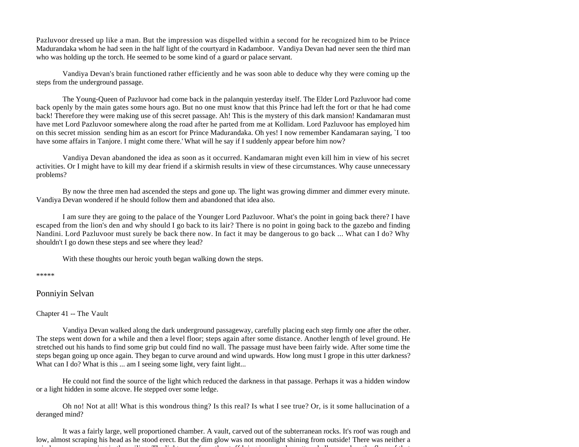Pazluvoor dressed up like a man. But the impression was dispelled within a second for he recognized him to be Prince Madurandaka whom he had seen in the half light of the courtyard in Kadamboor. Vandiya Devan had never seen the third man who was holding up the torch. He seemed to be some kind of a guard or palace servant.

Vandiya Devan's brain functioned rather efficiently and he was soon able to deduce why they were coming up the steps from the underground passage.

The Young-Queen of Pazluvoor had come back in the palanquin yesterday itself. The Elder Lord Pazluvoor had come back openly by the main gates some hours ago. But no one must know that this Prince had left the fort or that he had come back! Therefore they were making use of this secret passage. Ah! This is the mystery of this dark mansion! Kandamaran must have met Lord Pazluvoor somewhere along the road after he parted from me at Kollidam. Lord Pazluvoor has employed him on this secret mission sending him as an escort for Prince Madurandaka. Oh yes! I now remember Kandamaran saying, `I too have some affairs in Tanjore. I might come there.' What will he say if I suddenly appear before him now?

Vandiya Devan abandoned the idea as soon as it occurred. Kandamaran might even kill him in view of his secret activities. Or I might have to kill my dear friend if a skirmish results in view of these circumstances. Why cause unnecessary problems?

By now the three men had ascended the steps and gone up. The light was growing dimmer and dimmer every minute. Vandiya Devan wondered if he should follow them and abandoned that idea also.

I am sure they are going to the palace of the Younger Lord Pazluvoor. What's the point in going back there? I have escaped from the lion's den and why should I go back to its lair? There is no point in going back to the gazebo and finding Nandini. Lord Pazluvoor must surely be back there now. In fact it may be dangerous to go back ... What can I do? Why shouldn't I go down these steps and see where they lead?

With these thoughts our heroic youth began walking down the steps.

\*\*\*\*\*

#### Ponniyin Selvan

#### Chapter 41 -- The Vault

Vandiya Devan walked along the dark underground passageway, carefully placing each step firmly one after the other. The steps went down for a while and then a level floor; steps again after some distance. Another length of level ground. He stretched out his hands to find some grip but could find no wall. The passage must have been fairly wide. After some time the steps began going up once again. They began to curve around and wind upwards. How long must I grope in this utter darkness? What can I do? What is this ... am I seeing some light, very faint light...

He could not find the source of the light which reduced the darkness in that passage. Perhaps it was a hidden window or a light hidden in some alcove. He stepped over some ledge.

Oh no! Not at all! What is this wondrous thing? Is this real? Is what I see true? Or, is it some hallucination of a deranged mind?

It was a fairly large, well proportioned chamber. A vault, carved out of the subterranean rocks. It's roof was rough and low, almost scraping his head as he stood erect. But the dim glow was not moonlight shining from outside! There was neither a window nor an opening in the studies of the stuff lying in mounds scattered all around on the floor of that flo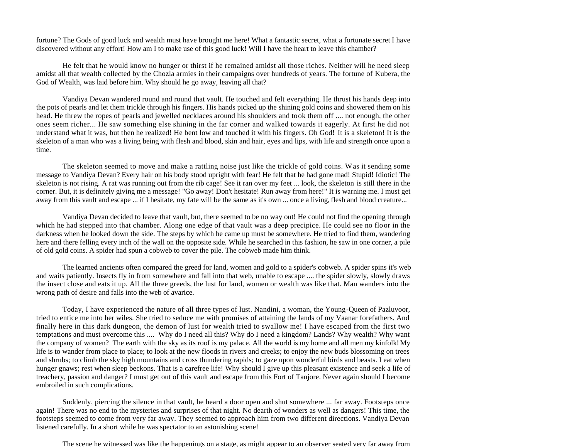fortune? The Gods of good luck and wealth must have brought me here! What a fantastic secret, what a fortunate secret I have discovered without any effort! How am I to make use of this good luck! Will I have the heart to leave this chamber?

He felt that he would know no hunger or thirst if he remained amidst all those riches. Neither will he need sleep amidst all that wealth collected by the Chozla armies in their campaigns over hundreds of years. The fortune of Kubera, the God of Wealth, was laid before him. Why should he go away, leaving all that?

Vandiya Devan wandered round and round that vault. He touched and felt everything. He thrust his hands deep into the pots of pearls and let them trickle through his fingers. His hands picked up the shining gold coins and showered them on his head. He threw the ropes of pearls and jewelled necklaces around his shoulders and took them off .... not enough, the other ones seem richer... He saw something else shining in the far corner and walked towards it eagerly. At first he did not understand what it was, but then he realized! He bent low and touched it with his fingers. Oh God! It is a skeleton! It is the skeleton of a man who was a living being with flesh and blood, skin and hair, eyes and lips, with life and strength once upon a time.

The skeleton seemed to move and make a rattling noise just like the trickle of gold coins. Was it sending some message to Vandiya Devan? Every hair on his body stood upright with fear! He felt that he had gone mad! Stupid! Idiotic! The skeleton is not rising. A rat was running out from the rib cage! See it ran over my feet ... look, the skeleton is still there in the corner. But, it is definitely giving me a message! "Go away! Don't hesitate! Run away from here!" It is warning me. I must get away from this vault and escape ... if I hesitate, my fate will be the same as it's own ... once a living, flesh and blood creature...

Vandiya Devan decided to leave that vault, but, there seemed to be no way out! He could not find the opening through which he had stepped into that chamber. Along one edge of that vault was a deep precipice. He could see no floor in the darkness when he looked down the side. The steps by which he came up must be somewhere. He tried to find them, wandering here and there felling every inch of the wall on the opposite side. While he searched in this fashion, he saw in one corner, a pile of old gold coins. A spider had spun a cobweb to cover the pile. The cobweb made him think.

The learned ancients often compared the greed for land, women and gold to a spider's cobweb. A spider spins it's web and waits patiently. Insects fly in from somewhere and fall into that web, unable to escape .... the spider slowly, slowly draws the insect close and eats it up. All the three greeds, the lust for land, women or wealth was like that. Man wanders into the wrong path of desire and falls into the web of avarice.

Today, I have experienced the nature of all three types of lust. Nandini, a woman, the Young-Queen of Pazluvoor, tried to entice me into her wiles. She tried to seduce me with promises of attaining the lands of my Vaanar forefathers. And finally here in this dark dungeon, the demon of lust for wealth tried to swallow me! I have escaped from the first two temptations and must overcome this .... Why do I need all this? Why do I need a kingdom? Lands? Why wealth? Why want the company of women? The earth with the sky as its roof is my palace. All the world is my home and all men my kinfolk! My life is to wander from place to place; to look at the new floods in rivers and creeks; to enjoy the new buds blossoming on trees and shrubs; to climb the sky high mountains and cross thundering rapids; to gaze upon wonderful birds and beasts. I eat when hunger gnaws; rest when sleep beckons. That is a carefree life! Why should I give up this pleasant existence and seek a life of treachery, passion and danger? I must get out of this vault and escape from this Fort of Tanjore. Never again should I become embroiled in such complications.

Suddenly, piercing the silence in that vault, he heard a door open and shut somewhere ... far away. Footsteps once again! There was no end to the mysteries and surprises of that night. No dearth of wonders as well as dangers! This time, the footsteps seemed to come from very far away. They seemed to approach him from two different directions. Vandiya Devan listened carefully. In a short while he was spectator to an astonishing scene!

The scene he witnessed was like the happenings on a stage, as might appear to an observer seated very far away from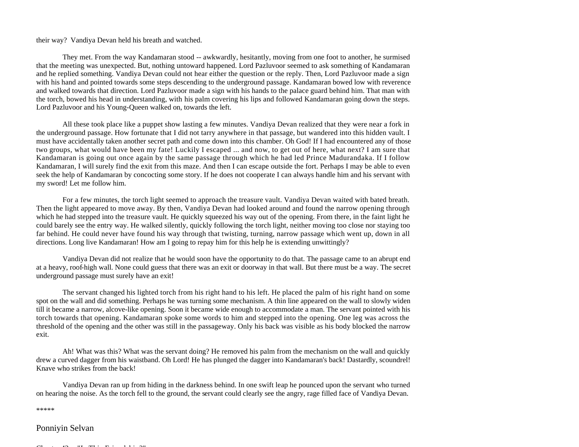#### their way? Vandiya Devan held his breath and watched.

They met. From the way Kandamaran stood -- awkwardly, hesitantly, moving from one foot to another, he surmised that the meeting was unexpected. But, nothing untoward happened. Lord Pazluvoor seemed to ask something of Kandamaran and he replied something. Vandiya Devan could not hear either the question or the reply. Then, Lord Pazluvoor made a sign with his hand and pointed towards some steps descending to the underground passage. Kandamaran bowed low with reverence and walked towards that direction. Lord Pazluvoor made a sign with his hands to the palace guard behind him. That man with the torch, bowed his head in understanding, with his palm covering his lips and followed Kandamaran going down the steps. Lord Pazluvoor and his Young-Queen walked on, towards the left.

All these took place like a puppet show lasting a few minutes. Vandiya Devan realized that they were near a fork in the underground passage. How fortunate that I did not tarry anywhere in that passage, but wandered into this hidden vault. I must have accidentally taken another secret path and come down into this chamber. Oh God! If I had encountered any of those two groups, what would have been my fate! Luckily I escaped ... and now, to get out of here, what next? I am sure that Kandamaran is going out once again by the same passage through which he had led Prince Madurandaka. If I follow Kandamaran, I will surely find the exit from this maze. And then I can escape outside the fort. Perhaps I may be able to even seek the help of Kandamaran by concocting some story. If he does not cooperate I can always handle him and his servant with my sword! Let me follow him.

For a few minutes, the torch light seemed to approach the treasure vault. Vandiya Devan waited with bated breath. Then the light appeared to move away. By then, Vandiya Devan had looked around and found the narrow opening through which he had stepped into the treasure vault. He quickly squeezed his way out of the opening. From there, in the faint light he could barely see the entry way. He walked silently, quickly following the torch light, neither moving too close nor staying too far behind. He could never have found his way through that twisting, turning, narrow passage which went up, down in all directions. Long live Kandamaran! How am I going to repay him for this help he is extending unwittingly?

Vandiya Devan did not realize that he would soon have the opportunity to do that. The passage came to an abrupt end at a heavy, roof-high wall. None could guess that there was an exit or doorway in that wall. But there must be a way. The secret underground passage must surely have an exit!

The servant changed his lighted torch from his right hand to his left. He placed the palm of his right hand on some spot on the wall and did something. Perhaps he was turning some mechanism. A thin line appeared on the wall to slowly widen till it became a narrow, alcove-like opening. Soon it became wide enough to accommodate a man. The servant pointed with his torch towards that opening. Kandamaran spoke some words to him and stepped into the opening. One leg was across the threshold of the opening and the other was still in the passageway. Only his back was visible as his body blocked the narrow exit.

Ah! What was this? What was the servant doing? He removed his palm from the mechanism on the wall and quickly drew a curved dagger from his waistband. Oh Lord! He has plunged the dagger into Kandamaran's back! Dastardly, scoundrel! Knave who strikes from the back!

Vandiya Devan ran up from hiding in the darkness behind. In one swift leap he pounced upon the servant who turned on hearing the noise. As the torch fell to the ground, the servant could clearly see the angry, rage filled face of Vandiya Devan.

\*\*\*\*\*

Ponniyin Selvan

 $\mathbb{C}^1$  -42  $\mathbb{C}^1$   $\mathbb{C}^1$   $\mathbb{C}^1$   $\mathbb{C}^1$   $\mathbb{C}^1$   $\mathbb{C}^1$   $\mathbb{C}^1$   $\mathbb{C}^1$   $\mathbb{C}^1$   $\mathbb{C}^1$   $\mathbb{C}^1$   $\mathbb{C}^1$   $\mathbb{C}^1$   $\mathbb{C}^1$   $\mathbb{C}^1$   $\mathbb{C}^1$   $\mathbb{C}^1$   $\mathbb{C}^1$   $\mathbb{C}^$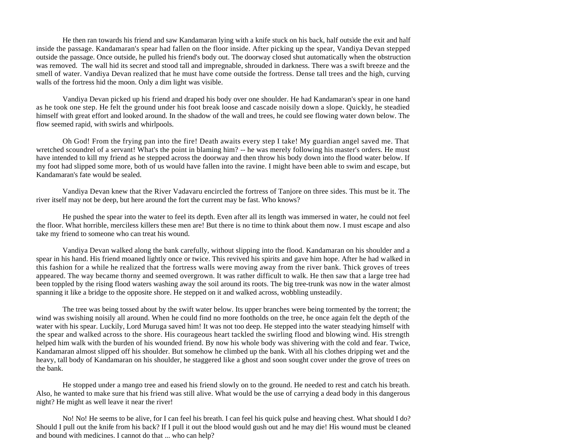He then ran towards his friend and saw Kandamaran lying with a knife stuck on his back, half outside the exit and half inside the passage. Kandamaran's spear had fallen on the floor inside. After picking up the spear, Vandiya Devan stepped outside the passage. Once outside, he pulled his friend's body out. The doorway closed shut automatically when the obstruction was removed. The wall hid its secret and stood tall and impregnable, shrouded in darkness. There was a swift breeze and the smell of water. Vandiya Devan realized that he must have come outside the fortress. Dense tall trees and the high, curving walls of the fortress hid the moon. Only a dim light was visible.

Vandiya Devan picked up his friend and draped his body over one shoulder. He had Kandamaran's spear in one hand as he took one step. He felt the ground under his foot break loose and cascade noisily down a slope. Quickly, he steadied himself with great effort and looked around. In the shadow of the wall and trees, he could see flowing water down below. The flow seemed rapid, with swirls and whirlpools.

Oh God! From the frying pan into the fire! Death awaits every step I take! My guardian angel saved me. That wretched scoundrel of a servant! What's the point in blaming him? -- he was merely following his master's orders. He must have intended to kill my friend as he stepped across the doorway and then throw his body down into the flood water below. If my foot had slipped some more, both of us would have fallen into the ravine. I might have been able to swim and escape, but Kandamaran's fate would be sealed.

Vandiya Devan knew that the River Vadavaru encircled the fortress of Tanjore on three sides. This must be it. The river itself may not be deep, but here around the fort the current may be fast. Who knows?

He pushed the spear into the water to feel its depth. Even after all its length was immersed in water, he could not feel the floor. What horrible, merciless killers these men are! But there is no time to think about them now. I must escape and also take my friend to someone who can treat his wound.

Vandiya Devan walked along the bank carefully, without slipping into the flood. Kandamaran on his shoulder and a spear in his hand. His friend moaned lightly once or twice. This revived his spirits and gave him hope. After he had walked in this fashion for a while he realized that the fortress walls were moving away from the river bank. Thick groves of trees appeared. The way became thorny and seemed overgrown. It was rather difficult to walk. He then saw that a large tree had been toppled by the rising flood waters washing away the soil around its roots. The big tree-trunk was now in the water almost spanning it like a bridge to the opposite shore. He stepped on it and walked across, wobbling unsteadily.

The tree was being tossed about by the swift water below. Its upper branches were being tormented by the torrent; the wind was swishing noisily all around. When he could find no more footholds on the tree, he once again felt the depth of the water with his spear. Luckily, Lord Muruga saved him! It was not too deep. He stepped into the water steadying himself with the spear and walked across to the shore. His courageous heart tackled the swirling flood and blowing wind. His strength helped him walk with the burden of his wounded friend. By now his whole body was shivering with the cold and fear. Twice, Kandamaran almost slipped off his shoulder. But somehow he climbed up the bank. With all his clothes dripping wet and the heavy, tall body of Kandamaran on his shoulder, he staggered like a ghost and soon sought cover under the grove of trees on the bank.

He stopped under a mango tree and eased his friend slowly on to the ground. He needed to rest and catch his breath. Also, he wanted to make sure that his friend was still alive. What would be the use of carrying a dead body in this dangerous night? He might as well leave it near the river!

No! No! He seems to be alive, for I can feel his breath. I can feel his quick pulse and heaving chest. What should I do? Should I pull out the knife from his back? If I pull it out the blood would gush out and he may die! His wound must be cleaned and bound with medicines. I cannot do that ... who can help?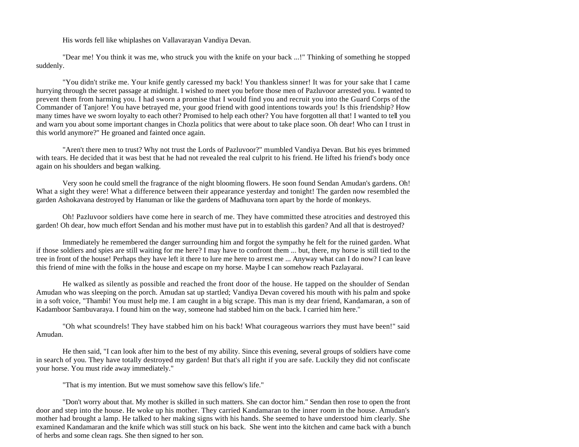His words fell like whiplashes on Vallavarayan Vandiya Devan.

"Dear me! You think it was me, who struck you with the knife on your back ...!" Thinking of something he stopped suddenly.

"You didn't strike me. Your knife gently caressed my back! You thankless sinner! It was for your sake that I came hurrying through the secret passage at midnight. I wished to meet you before those men of Pazluvoor arrested you. I wanted to prevent them from harming you. I had sworn a promise that I would find you and recruit you into the Guard Corps of the Commander of Tanjore! You have betrayed me, your good friend with good intentions towards you! Is this friendship? How many times have we sworn loyalty to each other? Promised to help each other? You have forgotten all that! I wanted to tell you and warn you about some important changes in Chozla politics that were about to take place soon. Oh dear! Who can I trust in this world anymore?" He groaned and fainted once again.

"Aren't there men to trust? Why not trust the Lords of Pazluvoor?" mumbled Vandiya Devan. But his eyes brimmed with tears. He decided that it was best that he had not revealed the real culprit to his friend. He lifted his friend's body once again on his shoulders and began walking.

Very soon he could smell the fragrance of the night blooming flowers. He soon found Sendan Amudan's gardens. Oh! What a sight they were! What a difference between their appearance yesterday and tonight! The garden now resembled the garden Ashokavana destroyed by Hanuman or like the gardens of Madhuvana torn apart by the horde of monkeys.

Oh! Pazluvoor soldiers have come here in search of me. They have committed these atrocities and destroyed this garden! Oh dear, how much effort Sendan and his mother must have put in to establish this garden? And all that is destroyed?

Immediately he remembered the danger surrounding him and forgot the sympathy he felt for the ruined garden. What if those soldiers and spies are still waiting for me here? I may have to confront them ... but, there, my horse is still tied to the tree in front of the house! Perhaps they have left it there to lure me here to arrest me ... Anyway what can I do now? I can leave this friend of mine with the folks in the house and escape on my horse. Maybe I can somehow reach Pazlayarai.

He walked as silently as possible and reached the front door of the house. He tapped on the shoulder of Sendan Amudan who was sleeping on the porch. Amudan sat up startled; Vandiya Devan covered his mouth with his palm and spoke in a soft voice, "Thambi! You must help me. I am caught in a big scrape. This man is my dear friend, Kandamaran, a son of Kadamboor Sambuvaraya. I found him on the way, someone had stabbed him on the back. I carried him here."

"Oh what scoundrels! They have stabbed him on his back! What courageous warriors they must have been!" said Amudan.

He then said, "I can look after him to the best of my ability. Since this evening, several groups of soldiers have come in search of you. They have totally destroyed my garden! But that's all right if you are safe. Luckily they did not confiscate your horse. You must ride away immediately."

"That is my intention. But we must somehow save this fellow's life."

"Don't worry about that. My mother is skilled in such matters. She can doctor him." Sendan then rose to open the front door and step into the house. He woke up his mother. They carried Kandamaran to the inner room in the house. Amudan's mother had brought a lamp. He talked to her making signs with his hands. She seemed to have understood him clearly. She examined Kandamaran and the knife which was still stuck on his back. She went into the kitchen and came back with a bunch of herbs and some clean rags. She then signed to her son.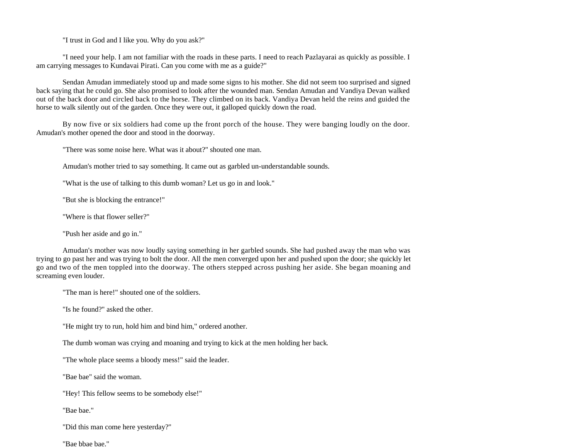"I trust in God and I like you. Why do you ask?"

"I need your help. I am not familiar with the roads in these parts. I need to reach Pazlayarai as quickly as possible. I am carrying messages to Kundavai Pirati. Can you come with me as a guide?"

Sendan Amudan immediately stood up and made some signs to his mother. She did not seem too surprised and signed back saying that he could go. She also promised to look after the wounded man. Sendan Amudan and Vandiya Devan walked out of the back door and circled back to the horse. They climbed on its back. Vandiya Devan held the reins and guided the horse to walk silently out of the garden. Once they were out, it galloped quickly down the road.

By now five or six soldiers had come up the front porch of the house. They were banging loudly on the door. Amudan's mother opened the door and stood in the doorway.

"There was some noise here. What was it about?" shouted one man.

Amudan's mother tried to say something. It came out as garbled un-understandable sounds.

"What is the use of talking to this dumb woman? Let us go in and look."

"But she is blocking the entrance!"

"Where is that flower seller?"

"Push her aside and go in."

Amudan's mother was now loudly saying something in her garbled sounds. She had pushed away the man who was trying to go past her and was trying to bolt the door. All the men converged upon her and pushed upon the door; she quickly let go and two of the men toppled into the doorway. The others stepped across pushing her aside. She began moaning and screaming even louder.

"The man is here!" shouted one of the soldiers.

"Is he found?" asked the other.

"He might try to run, hold him and bind him," ordered another.

The dumb woman was crying and moaning and trying to kick at the men holding her back.

"The whole place seems a bloody mess!" said the leader.

"Bae bae" said the woman.

"Hey! This fellow seems to be somebody else!"

"Bae bae."

"Did this man come here yesterday?"

"Bae bbae bae."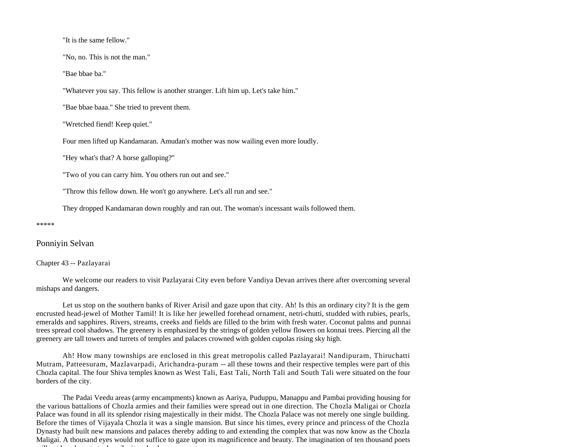"It is the same fellow."

"No, no. This is not the man."

"Bae bbae ba."

"Whatever you say. This fellow is another stranger. Lift him up. Let's take him."

"Bae bbae baaa." She tried to prevent them.

"Wretched fiend! Keep quiet."

Four men lifted up Kandamaran. Amudan's mother was now wailing even more loudly.

"Hey what's that? A horse galloping?"

"Two of you can carry him. You others run out and see."

"Throw this fellow down. He won't go anywhere. Let's all run and see."

They dropped Kandamaran down roughly and ran out. The woman's incessant wails followed them.

\*\*\*\*\*

Ponniyin Selvan

### Chapter 43 -- Pazlayarai

We welcome our readers to visit Pazlayarai City even before Vandiya Devan arrives there after overcoming several mishaps and dangers.

Let us stop on the southern banks of River Arisil and gaze upon that city. Ah! Is this an ordinary city? It is the gem encrusted head-jewel of Mother Tamil! It is like her jewelled forehead ornament, netri-chutti, studded with rubies, pearls, emeralds and sapphires. Rivers, streams, creeks and fields are filled to the brim with fresh water. Coconut palms and punnai trees spread cool shadows. The greenery is emphasized by the strings of golden yellow flowers on konnai trees. Piercing all the greenery are tall towers and turrets of temples and palaces crowned with golden cupolas rising sky high.

Ah! How many townships are enclosed in this great metropolis called Pazlayarai! Nandipuram, Thiruchatti Mutram, Patteesuram, Mazlavarpadi, Arichandra-puram -- all these towns and their respective temples were part of this Chozla capital. The four Shiva temples known as West Tali, East Tali, North Tali and South Tali were situated on the four borders of the city.

The Padai Veedu areas (army encampments) known as Aariya, Puduppu, Manappu and Pambai providing housing for the various battalions of Chozla armies and their families were spread out in one direction. The Chozla Maligai or Chozla Palace was found in all its splendor rising majestically in their midst. The Chozla Palace was not merely one single building. Before the times of Vijayala Chozla it was a single mansion. But since his times, every prince and princess of the Chozla Dynasty had built new mansions and palaces thereby adding to and extending the complex that was now know as the Chozla Maligai. A thousand eyes would not suffice to gaze upon its magnificence and beauty. The imagination of ten thousand poets will not be added to describe its splendor. The spells of the splendor. The spells of the splendor. The spells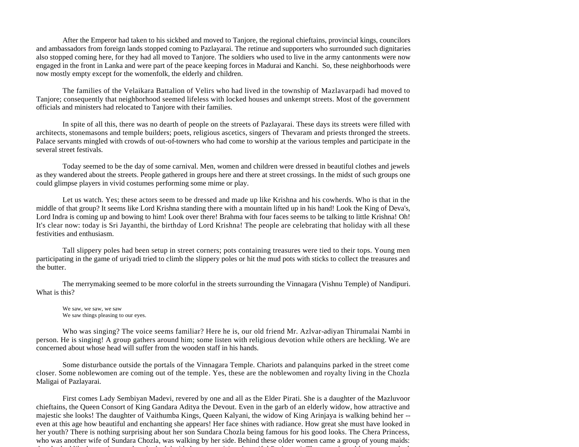After the Emperor had taken to his sickbed and moved to Tanjore, the regional chieftains, provincial kings, councilors and ambassadors from foreign lands stopped coming to Pazlayarai. The retinue and supporters who surrounded such dignitaries also stopped coming here, for they had all moved to Tanjore. The soldiers who used to live in the army cantonments were now engaged in the front in Lanka and were part of the peace keeping forces in Madurai and Kanchi. So, these neighborhoods were now mostly empty except for the womenfolk, the elderly and children.

The families of the Velaikara Battalion of Velirs who had lived in the township of Mazlavarpadi had moved to Tanjore; consequently that neighborhood seemed lifeless with locked houses and unkempt streets. Most of the government officials and ministers had relocated to Tanjore with their families.

In spite of all this, there was no dearth of people on the streets of Pazlayarai. These days its streets were filled with architects, stonemasons and temple builders; poets, religious ascetics, singers of Thevaram and priests thronged the streets. Palace servants mingled with crowds of out-of-towners who had come to worship at the various temples and participate in the several street festivals.

Today seemed to be the day of some carnival. Men, women and children were dressed in beautiful clothes and jewels as they wandered about the streets. People gathered in groups here and there at street crossings. In the midst of such groups one could glimpse players in vivid costumes performing some mime or play.

Let us watch. Yes; these actors seem to be dressed and made up like Krishna and his cowherds. Who is that in the middle of that group? It seems like Lord Krishna standing there with a mountain lifted up in his hand! Look the King of Deva's, Lord Indra is coming up and bowing to him! Look over there! Brahma with four faces seems to be talking to little Krishna! Oh! It's clear now: today is Sri Jayanthi, the birthday of Lord Krishna! The people are celebrating that holiday with all these festivities and enthusiasm.

Tall slippery poles had been setup in street corners; pots containing treasures were tied to their tops. Young men participating in the game of uriyadi tried to climb the slippery poles or hit the mud pots with sticks to collect the treasures and the butter.

The merrymaking seemed to be more colorful in the streets surrounding the Vinnagara (Vishnu Temple) of Nandipuri. What is this?

We saw, we saw, we saw We saw things pleasing to our eyes.

Who was singing? The voice seems familiar? Here he is, our old friend Mr. Azlvar-adiyan Thirumalai Nambi in person. He is singing! A group gathers around him; some listen with religious devotion while others are heckling. We are concerned about whose head will suffer from the wooden staff in his hands.

Some disturbance outside the portals of the Vinnagara Temple. Chariots and palanquins parked in the street come closer. Some noblewomen are coming out of the temple. Yes, these are the noblewomen and royalty living in the Chozla Maligai of Pazlayarai.

First comes Lady Sembiyan Madevi, revered by one and all as the Elder Pirati. She is a daughter of the Mazluvoor chieftains, the Queen Consort of King Gandara Aditya the Devout. Even in the garb of an elderly widow, how attractive and majestic she looks! The daughter of Vaithumba Kings, Queen Kalyani, the widow of King Arinjaya is walking behind her - even at this age how beautiful and enchanting she appears! Her face shines with radiance. How great she must have looked in her youth? There is nothing surprising about her son Sundara Chozla being famous for his good looks. The Chera Princess, who was another wife of Sundara Chozla, was walking by her side. Behind these older women came a group of young maids: they looked like heavenly nymphs who had decided to pay a visit to beautiful Pazlayarai. They are the noblewomen we had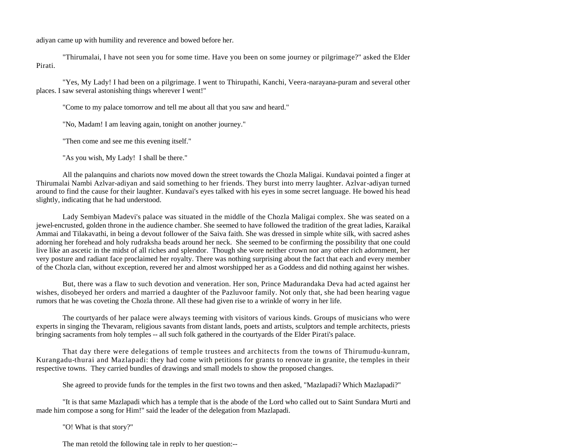adiyan came up with humility and reverence and bowed before her.

"Thirumalai, I have not seen you for some time. Have you been on some journey or pilgrimage?" asked the Elder Pirati.

"Yes, My Lady! I had been on a pilgrimage. I went to Thirupathi, Kanchi, Veera-narayana-puram and several other places. I saw several astonishing things wherever I went!"

"Come to my palace tomorrow and tell me about all that you saw and heard."

"No, Madam! I am leaving again, tonight on another journey."

"Then come and see me this evening itself."

"As you wish, My Lady! I shall be there."

All the palanquins and chariots now moved down the street towards the Chozla Maligai. Kundavai pointed a finger at Thirumalai Nambi Azlvar-adiyan and said something to her friends. They burst into merry laughter. Azlvar-adiyan turned around to find the cause for their laughter. Kundavai's eyes talked with his eyes in some secret language. He bowed his head slightly, indicating that he had understood.

Lady Sembiyan Madevi's palace was situated in the middle of the Chozla Maligai complex. She was seated on a jewel-encrusted, golden throne in the audience chamber. She seemed to have followed the tradition of the great ladies, Karaikal Ammai and Tilakavathi, in being a devout follower of the Saiva faith. She was dressed in simple white silk, with sacred ashes adorning her forehead and holy rudraksha beads around her neck. She seemed to be confirming the possibility that one could live like an ascetic in the midst of all riches and splendor. Though she wore neither crown nor any other rich adornment, her very posture and radiant face proclaimed her royalty. There was nothing surprising about the fact that each and every member of the Chozla clan, without exception, revered her and almost worshipped her as a Goddess and did nothing against her wishes.

But, there was a flaw to such devotion and veneration. Her son, Prince Madurandaka Deva had acted against her wishes, disobeyed her orders and married a daughter of the Pazluvoor family. Not only that, she had been hearing vague rumors that he was coveting the Chozla throne. All these had given rise to a wrinkle of worry in her life.

The courtyards of her palace were always teeming with visitors of various kinds. Groups of musicians who were experts in singing the Thevaram, religious savants from distant lands, poets and artists, sculptors and temple architects, priests bringing sacraments from holy temples -- all such folk gathered in the courtyards of the Elder Pirati's palace.

That day there were delegations of temple trustees and architects from the towns of Thirumudu-kunram, Kurangadu-thurai and Mazlapadi: they had come with petitions for grants to renovate in granite, the temples in their respective towns. They carried bundles of drawings and small models to show the proposed changes.

She agreed to provide funds for the temples in the first two towns and then asked, "Mazlapadi? Which Mazlapadi?"

"It is that same Mazlapadi which has a temple that is the abode of the Lord who called out to Saint Sundara Murti and made him compose a song for Him!" said the leader of the delegation from Mazlapadi.

"O! What is that story?"

The man retold the following tale in reply to her question:--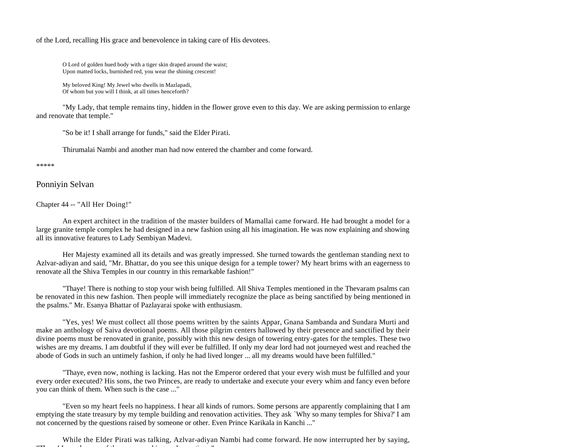of the Lord, recalling His grace and benevolence in taking care of His devotees.

O Lord of golden hued body with a tiger skin draped around the waist; Upon matted locks, burnished red, you wear the shining crescent!

My beloved King! My Jewel who dwells in Mazlapadi, Of whom but you will I think, at all times henceforth?

"My Lady, that temple remains tiny, hidden in the flower grove even to this day. We are asking permission to enlarge and renovate that temple."

"So be it! I shall arrange for funds," said the Elder Pirati.

Thirumalai Nambi and another man had now entered the chamber and come forward.

\*\*\*\*\*

Ponniyin Selvan

Chapter 44 -- "All Her Doing!"

An expert architect in the tradition of the master builders of Mamallai came forward. He had brought a model for a large granite temple complex he had designed in a new fashion using all his imagination. He was now explaining and showing all its innovative features to Lady Sembiyan Madevi.

Her Majesty examined all its details and was greatly impressed. She turned towards the gentleman standing next to Azlvar-adiyan and said, "Mr. Bhattar, do you see this unique design for a temple tower? My heart brims with an eagerness to renovate all the Shiva Temples in our country in this remarkable fashion!"

"Thaye! There is nothing to stop your wish being fulfilled. All Shiva Temples mentioned in the Thevaram psalms can be renovated in this new fashion. Then people will immediately recognize the place as being sanctified by being mentioned in the psalms." Mr. Esanya Bhattar of Pazlayarai spoke with enthusiasm.

"Yes, yes! We must collect all those poems written by the saints Appar, Gnana Sambanda and Sundara Murti and make an anthology of Saiva devotional poems. All those pilgrim centers hallowed by their presence and sanctified by their divine poems must be renovated in granite, possibly with this new design of towering entry-gates for the temples. These two wishes are my dreams. I am doubtful if they will ever be fulfilled. If only my dear lord had not journeyed west and reached the abode of Gods in such an untimely fashion, if only he had lived longer ... all my dreams would have been fulfilled."

"Thaye, even now, nothing is lacking. Has not the Emperor ordered that your every wish must be fulfilled and your every order executed? His sons, the two Princes, are ready to undertake and execute your every whim and fancy even before you can think of them. When such is the case ..."

"Even so my heart feels no happiness. I hear all kinds of rumors. Some persons are apparently complaining that I am emptying the state treasury by my temple building and renovation activities. They ask `Why so many temples for Shiva?' I am not concerned by the questions raised by someone or other. Even Prince Karikala in Kanchi ..."

While the Elder Pirati was talking, Azlvar-adiyan Nambi had come forward. He now interrupted her by saying,  $\mathbf{H}$  is a cone of the persons as a set the persons as a set the persons as a set the persons as a set the persons as a set the persons as a set the persons as a set of the persons as a set of the persons as a set of t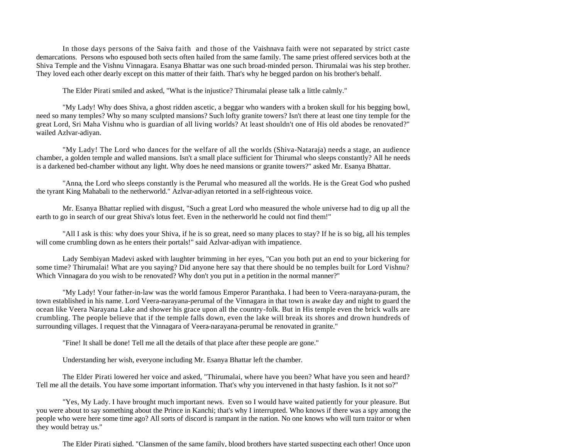In those days persons of the Saiva faith and those of the Vaishnava faith were not separated by strict caste demarcations. Persons who espoused both sects often hailed from the same family. The same priest offered services both at the Shiva Temple and the Vishnu Vinnagara. Esanya Bhattar was one such broad-minded person. Thirumalai was his step brother. They loved each other dearly except on this matter of their faith. That's why he begged pardon on his brother's behalf.

The Elder Pirati smiled and asked, "What is the injustice? Thirumalai please talk a little calmly."

"My Lady! Why does Shiva, a ghost ridden ascetic, a beggar who wanders with a broken skull for his begging bowl, need so many temples? Why so many sculpted mansions? Such lofty granite towers? Isn't there at least one tiny temple for the great Lord, Sri Maha Vishnu who is guardian of all living worlds? At least shouldn't one of His old abodes be renovated?" wailed Azlvar-adiyan.

"My Lady! The Lord who dances for the welfare of all the worlds (Shiva-Nataraja) needs a stage, an audience chamber, a golden temple and walled mansions. Isn't a small place sufficient for Thirumal who sleeps constantly? All he needs is a darkened bed-chamber without any light. Why does he need mansions or granite towers?" asked Mr. Esanya Bhattar.

"Anna, the Lord who sleeps constantly is the Perumal who measured all the worlds. He is the Great God who pushed the tyrant King Mahabali to the netherworld." Azlvar-adiyan retorted in a self-righteous voice.

Mr. Esanya Bhattar replied with disgust, "Such a great Lord who measured the whole universe had to dig up all the earth to go in search of our great Shiva's lotus feet. Even in the netherworld he could not find them!"

"All I ask is this: why does your Shiva, if he is so great, need so many places to stay? If he is so big, all his temples will come crumbling down as he enters their portals!" said Azlvar-adiyan with impatience.

Lady Sembiyan Madevi asked with laughter brimming in her eyes, "Can you both put an end to your bickering for some time? Thirumalai! What are you saying? Did anyone here say that there should be no temples built for Lord Vishnu? Which Vinnagara do you wish to be renovated? Why don't you put in a petition in the normal manner?"

"My Lady! Your father-in-law was the world famous Emperor Paranthaka. I had been to Veera-narayana-puram, the town established in his name. Lord Veera-narayana-perumal of the Vinnagara in that town is awake day and night to guard the ocean like Veera Narayana Lake and shower his grace upon all the country-folk. But in His temple even the brick walls are crumbling. The people believe that if the temple falls down, even the lake will break its shores and drown hundreds of surrounding villages. I request that the Vinnagara of Veera-narayana-perumal be renovated in granite."

"Fine! It shall be done! Tell me all the details of that place after these people are gone."

Understanding her wish, everyone including Mr. Esanya Bhattar left the chamber.

The Elder Pirati lowered her voice and asked, "Thirumalai, where have you been? What have you seen and heard? Tell me all the details. You have some important information. That's why you intervened in that hasty fashion. Is it not so?"

"Yes, My Lady. I have brought much important news. Even so I would have waited patiently for your pleasure. But you were about to say something about the Prince in Kanchi; that's why I interrupted. Who knows if there was a spy among the people who were here some time ago? All sorts of discord is rampant in the nation. No one knows who will turn traitor or when they would betray us."

The Elder Pirati sighed. "Clansmen of the same family, blood brothers have started suspecting each other! Once upon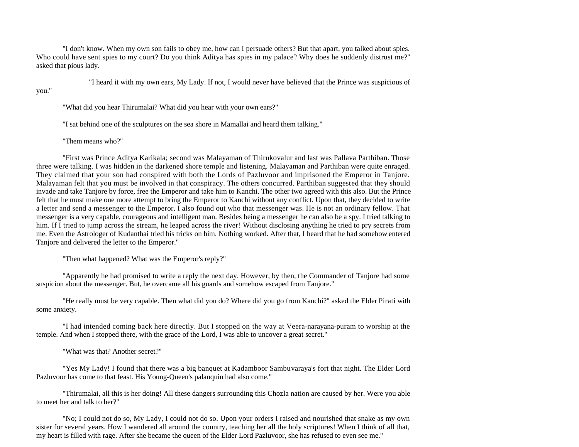"I don't know. When my own son fails to obey me, how can I persuade others? But that apart, you talked about spies. Who could have sent spies to my court? Do you think Aditya has spies in my palace? Why does he suddenly distrust me?" asked that pious lady.

"I heard it with my own ears, My Lady. If not, I would never have believed that the Prince was suspicious of you."

"What did you hear Thirumalai? What did you hear with your own ears?"

"I sat behind one of the sculptures on the sea shore in Mamallai and heard them talking."

"Them means who?"

"First was Prince Aditya Karikala; second was Malayaman of Thirukovalur and last was Pallava Parthiban. Those three were talking. I was hidden in the darkened shore temple and listening. Malayaman and Parthiban were quite enraged. They claimed that your son had conspired with both the Lords of Pazluvoor and imprisoned the Emperor in Tanjore. Malayaman felt that you must be involved in that conspiracy. The others concurred. Parthiban suggested that they should invade and take Tanjore by force, free the Emperor and take him to Kanchi. The other two agreed with this also. But the Prince felt that he must make one more attempt to bring the Emperor to Kanchi without any conflict. Upon that, they decided to write a letter and send a messenger to the Emperor. I also found out who that messenger was. He is not an ordinary fellow. That messenger is a very capable, courageous and intelligent man. Besides being a messenger he can also be a spy. I tried talking to him. If I tried to jump across the stream, he leaped across the river! Without disclosing anything he tried to pry secrets from me. Even the Astrologer of Kudanthai tried his tricks on him. Nothing worked. After that, I heard that he had somehow entered Tanjore and delivered the letter to the Emperor."

"Then what happened? What was the Emperor's reply?"

"Apparently he had promised to write a reply the next day. However, by then, the Commander of Tanjore had some suspicion about the messenger. But, he overcame all his guards and somehow escaped from Tanjore."

"He really must be very capable. Then what did you do? Where did you go from Kanchi?" asked the Elder Pirati with some anxiety.

"I had intended coming back here directly. But I stopped on the way at Veera-narayana-puram to worship at the temple. And when I stopped there, with the grace of the Lord, I was able to uncover a great secret."

"What was that? Another secret?"

"Yes My Lady! I found that there was a big banquet at Kadamboor Sambuvaraya's fort that night. The Elder Lord Pazluvoor has come to that feast. His Young-Queen's palanquin had also come."

"Thirumalai, all this is her doing! All these dangers surrounding this Chozla nation are caused by her. Were you able to meet her and talk to her?"

"No; I could not do so, My Lady, I could not do so. Upon your orders I raised and nourished that snake as my own sister for several years. How I wandered all around the country, teaching her all the holy scriptures! When I think of all that, my heart is filled with rage. After she became the queen of the Elder Lord Pazluvoor, she has refused to even see me."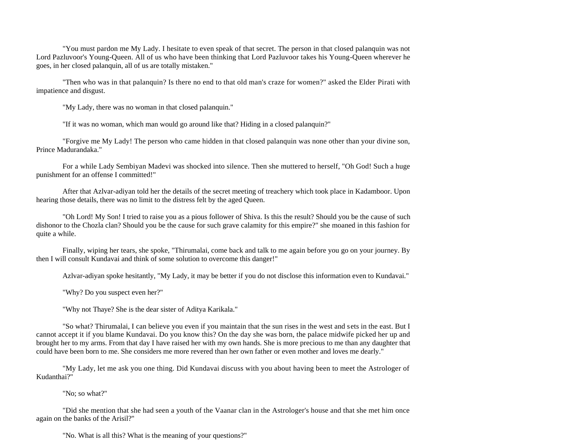"You must pardon me My Lady. I hesitate to even speak of that secret. The person in that closed palanquin was not Lord Pazluvoor's Young-Queen. All of us who have been thinking that Lord Pazluvoor takes his Young-Queen wherever he goes, in her closed palanquin, all of us are totally mistaken."

"Then who was in that palanquin? Is there no end to that old man's craze for women?" asked the Elder Pirati with impatience and disgust.

"My Lady, there was no woman in that closed palanquin."

"If it was no woman, which man would go around like that? Hiding in a closed palanquin?"

"Forgive me My Lady! The person who came hidden in that closed palanquin was none other than your divine son, Prince Madurandaka."

For a while Lady Sembiyan Madevi was shocked into silence. Then she muttered to herself, "Oh God! Such a huge punishment for an offense I committed!"

After that Azlvar-adiyan told her the details of the secret meeting of treachery which took place in Kadamboor. Upon hearing those details, there was no limit to the distress felt by the aged Queen.

"Oh Lord! My Son! I tried to raise you as a pious follower of Shiva. Is this the result? Should you be the cause of such dishonor to the Chozla clan? Should you be the cause for such grave calamity for this empire?" she moaned in this fashion for quite a while.

Finally, wiping her tears, she spoke, "Thirumalai, come back and talk to me again before you go on your journey. By then I will consult Kundavai and think of some solution to overcome this danger!"

Azlvar-adiyan spoke hesitantly, "My Lady, it may be better if you do not disclose this information even to Kundavai."

"Why? Do you suspect even her?"

"Why not Thaye? She is the dear sister of Aditya Karikala."

"So what? Thirumalai, I can believe you even if you maintain that the sun rises in the west and sets in the east. But I cannot accept it if you blame Kundavai. Do you know this? On the day she was born, the palace midwife picked her up and brought her to my arms. From that day I have raised her with my own hands. She is more precious to me than any daughter that could have been born to me. She considers me more revered than her own father or even mother and loves me dearly."

"My Lady, let me ask you one thing. Did Kundavai discuss with you about having been to meet the Astrologer of Kudanthai?"

"No; so what?"

"Did she mention that she had seen a youth of the Vaanar clan in the Astrologer's house and that she met him once again on the banks of the Arisil?"

"No. What is all this? What is the meaning of your questions?"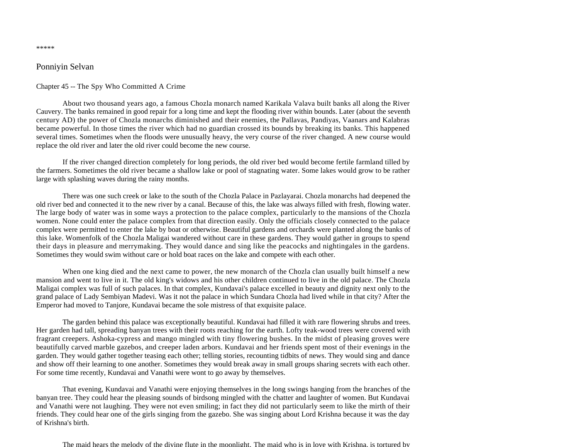\*\*\*\*\*

# Ponniyin Selvan

Chapter 45 -- The Spy Who Committed A Crime

About two thousand years ago, a famous Chozla monarch named Karikala Valava built banks all along the River Cauvery. The banks remained in good repair for a long time and kept the flooding river within bounds. Later (about the seventh century AD) the power of Chozla monarchs diminished and their enemies, the Pallavas, Pandiyas, Vaanars and Kalabras became powerful. In those times the river which had no guardian crossed its bounds by breaking its banks. This happened several times. Sometimes when the floods were unusually heavy, the very course of the river changed. A new course would replace the old river and later the old river could become the new course.

If the river changed direction completely for long periods, the old river bed would become fertile farmland tilled by the farmers. Sometimes the old river became a shallow lake or pool of stagnating water. Some lakes would grow to be rather large with splashing waves during the rainy months.

There was one such creek or lake to the south of the Chozla Palace in Pazlayarai. Chozla monarchs had deepened the old river bed and connected it to the new river by a canal. Because of this, the lake was always filled with fresh, flowing water. The large body of water was in some ways a protection to the palace complex, particularly to the mansions of the Chozla women. None could enter the palace complex from that direction easily. Only the officials closely connected to the palace complex were permitted to enter the lake by boat or otherwise. Beautiful gardens and orchards were planted along the banks of this lake. Womenfolk of the Chozla Maligai wandered without care in these gardens. They would gather in groups to spend their days in pleasure and merrymaking. They would dance and sing like the peacocks and nightingales in the gardens. Sometimes they would swim without care or hold boat races on the lake and compete with each other.

When one king died and the next came to power, the new monarch of the Chozla clan usually built himself a new mansion and went to live in it. The old king's widows and his other children continued to live in the old palace. The Chozla Maligai complex was full of such palaces. In that complex, Kundavai's palace excelled in beauty and dignity next only to the grand palace of Lady Sembiyan Madevi. Was it not the palace in which Sundara Chozla had lived while in that city? After the Emperor had moved to Tanjore, Kundavai became the sole mistress of that exquisite palace.

The garden behind this palace was exceptionally beautiful. Kundavai had filled it with rare flowering shrubs and trees. Her garden had tall, spreading banyan trees with their roots reaching for the earth. Lofty teak-wood trees were covered with fragrant creepers. Ashoka-cypress and mango mingled with tiny flowering bushes. In the midst of pleasing groves were beautifully carved marble gazebos, and creeper laden arbors. Kundavai and her friends spent most of their evenings in the garden. They would gather together teasing each other; telling stories, recounting tidbits of news. They would sing and dance and show off their learning to one another. Sometimes they would break away in small groups sharing secrets with each other. For some time recently, Kundavai and Vanathi were wont to go away by themselves.

That evening, Kundavai and Vanathi were enjoying themselves in the long swings hanging from the branches of the banyan tree. They could hear the pleasing sounds of birdsong mingled with the chatter and laughter of women. But Kundavai and Vanathi were not laughing. They were not even smiling; in fact they did not particularly seem to like the mirth of their friends. They could hear one of the girls singing from the gazebo. She was singing about Lord Krishna because it was the day of Krishna's birth.

The maid hears the melody of the divine flute in the moonlight. The maid who is in love with Krishna, is tortured by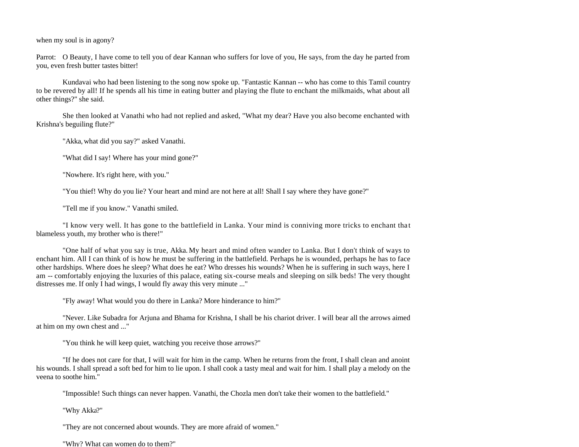when my soul is in agony?

Parrot: O Beauty, I have come to tell you of dear Kannan who suffers for love of you, He says, from the day he parted from you, even fresh butter tastes bitter!

Kundavai who had been listening to the song now spoke up. "Fantastic Kannan -- who has come to this Tamil country to be revered by all! If he spends all his time in eating butter and playing the flute to enchant the milkmaids, what about all other things?" she said.

She then looked at Vanathi who had not replied and asked, "What my dear? Have you also become enchanted with Krishna's beguiling flute?"

"Akka, what did you say?" asked Vanathi.

"What did I say! Where has your mind gone?"

"Nowhere. It's right here, with you."

"You thief! Why do you lie? Your heart and mind are not here at all! Shall I say where they have gone?"

"Tell me if you know." Vanathi smiled.

"I know very well. It has gone to the battlefield in Lanka. Your mind is conniving more tricks to enchant tha t blameless youth, my brother who is there!"

"One half of what you say is true, Akka. My heart and mind often wander to Lanka. But I don't think of ways to enchant him. All I can think of is how he must be suffering in the battlefield. Perhaps he is wounded, perhaps he has to face other hardships. Where does he sleep? What does he eat? Who dresses his wounds? When he is suffering in such ways, here I am -- comfortably enjoying the luxuries of this palace, eating six-course meals and sleeping on silk beds! The very thought distresses me. If only I had wings, I would fly away this very minute ..."

"Fly away! What would you do there in Lanka? More hinderance to him?"

"Never. Like Subadra for Arjuna and Bhama for Krishna, I shall be his chariot driver. I will bear all the arrows aimed at him on my own chest and ..."

"You think he will keep quiet, watching you receive those arrows?"

"If he does not care for that, I will wait for him in the camp. When he returns from the front, I shall clean and anoint his wounds. I shall spread a soft bed for him to lie upon. I shall cook a tasty meal and wait for him. I shall play a melody on the veena to soothe him."

"Impossible! Such things can never happen. Vanathi, the Chozla men don't take their women to the battlefield."

"Why Akka?"

"They are not concerned about wounds. They are more afraid of women."

"Why? What can women do to them?"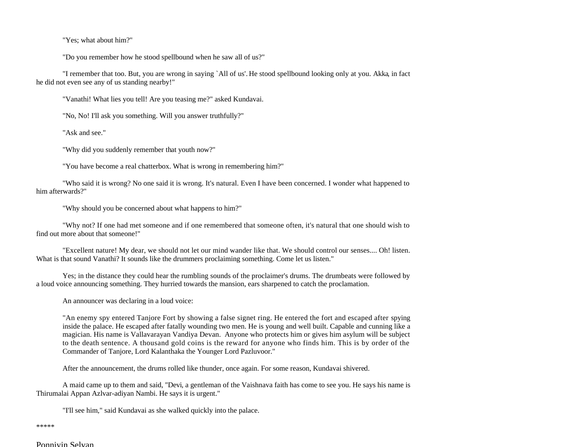"Yes; what about him?"

"Do you remember how he stood spellbound when he saw all of us?"

"I remember that too. But, you are wrong in saying `All of us'. He stood spellbound looking only at you. Akka, in fact he did not even see any of us standing nearby!"

"Vanathi! What lies you tell! Are you teasing me?" asked Kundavai.

"No, No! I'll ask you something. Will you answer truthfully?"

"Ask and see."

"Why did you suddenly remember that youth now?"

"You have become a real chatterbox. What is wrong in remembering him?"

"Who said it is wrong? No one said it is wrong. It's natural. Even I have been concerned. I wonder what happened to him afterwards?"

"Why should you be concerned about what happens to him?"

"Why not? If one had met someone and if one remembered that someone often, it's natural that one should wish to find out more about that someone!"

"Excellent nature! My dear, we should not let our mind wander like that. We should control our senses.... Oh! listen. What is that sound Vanathi? It sounds like the drummers proclaiming something. Come let us listen."

Yes; in the distance they could hear the rumbling sounds of the proclaimer's drums. The drumbeats were followed by a loud voice announcing something. They hurried towards the mansion, ears sharpened to catch the proclamation.

An announcer was declaring in a loud voice:

"An enemy spy entered Tanjore Fort by showing a false signet ring. He entered the fort and escaped after spying inside the palace. He escaped after fatally wounding two men. He is young and well built. Capable and cunning like a magician. His name is Vallavarayan Vandiya Devan. Anyone who protects him or gives him asylum will be subject to the death sentence. A thousand gold coins is the reward for anyone who finds him. This is by order of the Commander of Tanjore, Lord Kalanthaka the Younger Lord Pazluvoor."

After the announcement, the drums rolled like thunder, once again. For some reason, Kundavai shivered.

A maid came up to them and said, "Devi, a gentleman of the Vaishnava faith has come to see you. He says his name is Thirumalai Appan Azlvar-adiyan Nambi. He says it is urgent."

"I'll see him," said Kundavai as she walked quickly into the palace.

\*\*\*\*\*

#### Ponniyin Selvan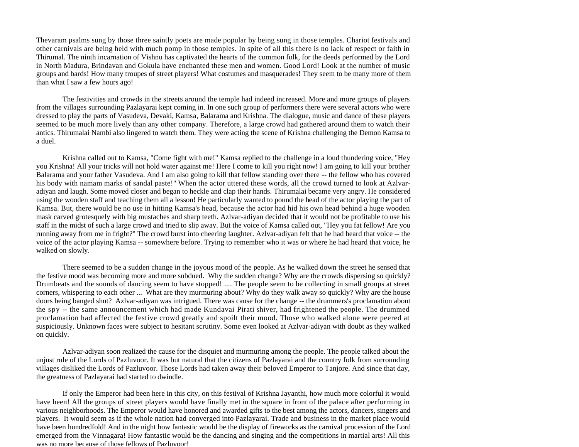Thevaram psalms sung by those three saintly poets are made popular by being sung in those temples. Chariot festivals and other carnivals are being held with much pomp in those temples. In spite of all this there is no lack of respect or faith in Thirumal. The ninth incarnation of Vishnu has captivated the hearts of the common folk, for the deeds performed by the Lord in North Madura, Brindavan and Gokula have enchanted these men and women. Good Lord! Look at the number of music groups and bards! How many troupes of street players! What costumes and masquerades! They seem to be many more of them than what I saw a few hours ago!

The festivities and crowds in the streets around the temple had indeed increased. More and more groups of players from the villages surrounding Pazlayarai kept coming in. In one such group of performers there were several actors who were dressed to play the parts of Vasudeva, Devaki, Kamsa, Balarama and Krishna. The dialogue, music and dance of these players seemed to be much more lively than any other company. Therefore, a large crowd had gathered around them to watch their antics. Thirumalai Nambi also lingered to watch them. They were acting the scene of Krishna challenging the Demon Kamsa to a duel.

Krishna called out to Kamsa, "Come fight with me!" Kamsa replied to the challenge in a loud thundering voice, "Hey you Krishna! All your tricks will not hold water against me! Here I come to kill you right now! I am going to kill your brother Balarama and your father Vasudeva. And I am also going to kill that fellow standing over there -- the fellow who has covered his body with namam marks of sandal paste!" When the actor uttered these words, all the crowd turned to look at Azlvaradiyan and laugh. Some moved closer and began to heckle and clap their hands. Thirumalai became very angry. He considered using the wooden staff and teaching them all a lesson! He particularly wanted to pound the head of the actor playing the part of Kamsa. But, there would be no use in hitting Kamsa's head, because the actor had hid his own head behind a huge wooden mask carved grotesquely with big mustaches and sharp teeth. Azlvar-adiyan decided that it would not be profitable to use his staff in the midst of such a large crowd and tried to slip away. But the voice of Kamsa called out, "Hey you fat fellow! Are you running away from me in fright?" The crowd burst into cheering laughter. Azlvar-adiyan felt that he had heard that voice -- the voice of the actor playing Kamsa -- somewhere before. Trying to remember who it was or where he had heard that voice, he walked on slowly.

There seemed to be a sudden change in the joyous mood of the people. As he walked down the street he sensed that the festive mood was becoming more and more subdued. Why the sudden change? Why are the crowds dispersing so quickly? Drumbeats and the sounds of dancing seem to have stopped! .... The people seem to be collecting in small groups at street corners, whispering to each other ... What are they murmuring about? Why do they walk away so quickly? Why are the house doors being banged shut? Azlvar-adiyan was intrigued. There was cause for the change -- the drummers's proclamation about the spy -- the same announcement which had made Kundavai Pirati shiver, had frightened the people. The drummed proclamation had affected the festive crowd greatly and spoilt their mood. Those who walked alone were peered at suspiciously. Unknown faces were subject to hesitant scrutiny. Some even looked at Azlvar-adiyan with doubt as they walked on quickly.

Azlvar-adiyan soon realized the cause for the disquiet and murmuring among the people. The people talked about the unjust rule of the Lords of Pazluvoor. It was but natural that the citizens of Pazlayarai and the country folk from surrounding villages disliked the Lords of Pazluvoor. Those Lords had taken away their beloved Emperor to Tanjore. And since that day, the greatness of Pazlayarai had started to dwindle.

If only the Emperor had been here in this city, on this festival of Krishna Jayanthi, how much more colorful it would have been! All the groups of street players would have finally met in the square in front of the palace after performing in various neighborhoods. The Emperor would have honored and awarded gifts to the best among the actors, dancers, singers and players. It would seem as if the whole nation had converged into Pazlayarai. Trade and business in the market place would have been hundredfold! And in the night how fantastic would be the display of fireworks as the carnival procession of the Lord emerged from the Vinnagara! How fantastic would be the dancing and singing and the competitions in martial arts! All this was no more because of those fellows of Pazluvoor!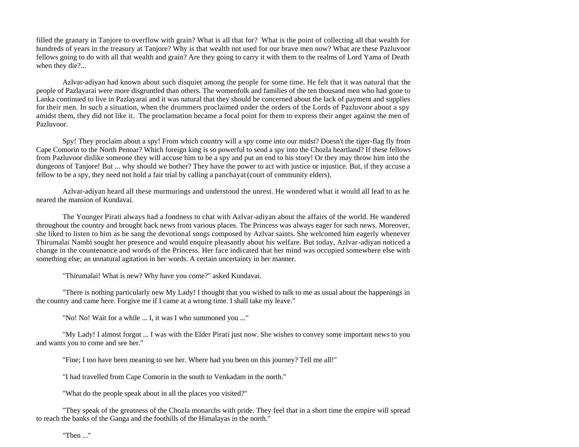filled the granary in Tanjore to overflow with grain? What is all that for? What is the point of collecting all that wealth for hundreds of years in the treasury at Tanjore? Why is that wealth not used for our brave men now? What are these Pazluvoor fellows going to do with all that wealth and grain? Are they going to carry it with them to the realms of Lord Yama of Death when they die?...

Azlvar-adiyan had known about such disquiet among the people for some time. He felt that it was natural that the people of Pazlayarai were more disgruntled than others. The womenfolk and families of the ten thousand men who had gone to Lanka continued to live in Pazlayarai and it was natural that they should be concerned about the lack of payment and supplies for their men. In such a situation, when the drummers proclaimed under the orders of the Lords of Pazluvoor about a spy amidst them, they did not like it. The proclamation became a focal point for them to express their anger against the men of Pazluvoor.

Spy! They proclaim about a spy! From which country will a spy come into our midst? Doesn't the tiger-flag fly from Cape Comorin to the North Pennar? Which foreign king is so powerful to send a spy into the Chozla heartland? If these fellows from Pazluvoor dislike someone they will accuse him to be a spy and put an end to his story! Or they may throw him into the dungeons of Tanjore! But ... why should we bother? They have the power to act with justice or injustice. But, if they accuse a fellow to be a spy, they need not hold a fair trial by calling a panchayat (court of community elders).

Azlvar-adiyan heard all these murmurings and understood the unrest. He wondered what it would all lead to as he neared the mansion of Kundavai.

The Younger Pirati always had a fondness to chat with Azlvar-adiyan about the affairs of the world. He wandered throughout the country and brought back news from various places. The Princess was always eager for such news. Moreover, she liked to listen to him as he sang the devotional songs composed by Azlvar saints. She welcomed him eagerly whenever Thirumalai Nambi sought her presence and would enquire pleasantly about his welfare. But today, Azlvar-adiyan noticed a change in the countenance and words of the Princess. Her face indicated that her mind was occupied somewhere else with something else; an unnatural agitation in her words. A certain uncertainty in her manner.

"Thirumalai! What is new? Why have you come?" asked Kundavai.

"There is nothing particularly new My Lady! I thought that you wished to talk to me as usual about the happenings in the country and came here. Forgive me if I came at a wrong time. I shall take my leave."

"No! No! Wait for a while ... I, it was I who summoned you ..."

"My Lady! I almost forgot ... I was with the Elder Pirati just now. She wishes to convey some important news to you and wants you to come and see her."

"Fine; I too have been meaning to see her. Where had you been on this journey? Tell me all!"

"I had travelled from Cape Comorin in the south to Venkadam in the north."

"What do the people speak about in all the places you visited?"

"They speak of the greatness of the Chozla monarchs with pride. They feel that in a short time the empire will spread to reach the banks of the Ganga and the foothills of the Himalayas in the north."

"Then ..."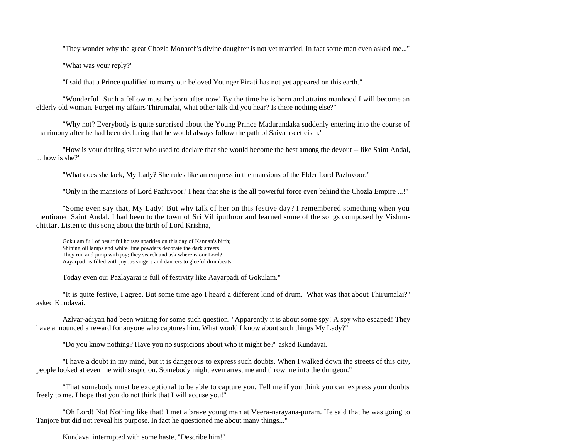"They wonder why the great Chozla Monarch's divine daughter is not yet married. In fact some men even asked me..."

"What was your reply?"

"I said that a Prince qualified to marry our beloved Younger Pirati has not yet appeared on this earth."

"Wonderful! Such a fellow must be born after now! By the time he is born and attains manhood I will become an elderly old woman. Forget my affairs Thirumalai, what other talk did you hear? Is there nothing else?"

"Why not? Everybody is quite surprised about the Young Prince Madurandaka suddenly entering into the course of matrimony after he had been declaring that he would always follow the path of Saiva asceticism."

"How is your darling sister who used to declare that she would become the best among the devout -- like Saint Andal, ... how is she?"

"What does she lack, My Lady? She rules like an empress in the mansions of the Elder Lord Pazluvoor."

"Only in the mansions of Lord Pazluvoor? I hear that she is the all powerful force even behind the Chozla Empire ...!"

"Some even say that, My Lady! But why talk of her on this festive day? I remembered something when you mentioned Saint Andal. I had been to the town of Sri Villiputhoor and learned some of the songs composed by Vishnuchittar. Listen to this song about the birth of Lord Krishna,

Gokulam full of beautiful houses sparkles on this day of Kannan's birth; Shining oil lamps and white lime powders decorate the dark streets. They run and jump with joy; they search and ask where is our Lord? Aayarpadi is filled with joyous singers and dancers to gleeful drumbeats.

Today even our Pazlayarai is full of festivity like Aayarpadi of Gokulam."

"It is quite festive, I agree. But some time ago I heard a different kind of drum. What was that about Thirumalai?" asked Kundavai.

Azlvar-adiyan had been waiting for some such question. "Apparently it is about some spy! A spy who escaped! They have announced a reward for anyone who captures him. What would I know about such things My Lady?"

"Do you know nothing? Have you no suspicions about who it might be?" asked Kundavai.

"I have a doubt in my mind, but it is dangerous to express such doubts. When I walked down the streets of this city, people looked at even me with suspicion. Somebody might even arrest me and throw me into the dungeon."

"That somebody must be exceptional to be able to capture you. Tell me if you think you can express your doubts freely to me. I hope that you do not think that I will accuse you!"

"Oh Lord! No! Nothing like that! I met a brave young man at Veera-narayana-puram. He said that he was going to Tanjore but did not reveal his purpose. In fact he questioned me about many things..."

Kundavai interrupted with some haste, "Describe him!"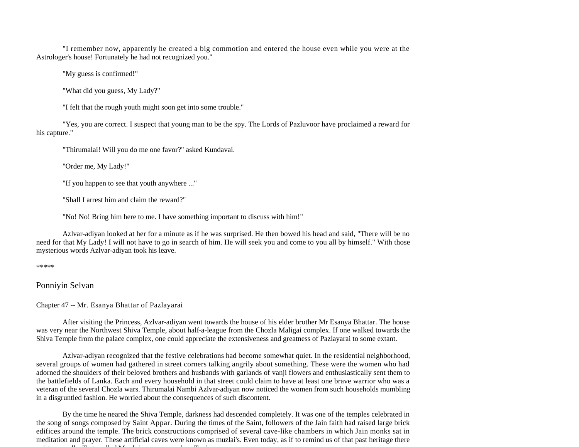"I remember now, apparently he created a big commotion and entered the house even while you were at the Astrologer's house! Fortunately he had not recognized you."

"My guess is confirmed!"

"What did you guess, My Lady?"

"I felt that the rough youth might soon get into some trouble."

"Yes, you are correct. I suspect that young man to be the spy. The Lords of Pazluvoor have proclaimed a reward for his capture."

"Thirumalai! Will you do me one favor?" asked Kundavai.

"Order me, My Lady!"

"If you happen to see that youth anywhere ..."

"Shall I arrest him and claim the reward?"

"No! No! Bring him here to me. I have something important to discuss with him!"

Azlvar-adiyan looked at her for a minute as if he was surprised. He then bowed his head and said, "There will be no need for that My Lady! I will not have to go in search of him. He will seek you and come to you all by himself." With those mysterious words Azlvar-adiyan took his leave.

\*\*\*\*\*

Ponniyin Selvan

Chapter 47 -- Mr. Esanya Bhattar of Pazlayarai

After visiting the Princess, Azlvar-adiyan went towards the house of his elder brother Mr Esanya Bhattar. The house was very near the Northwest Shiva Temple, about half-a-league from the Chozla Maligai complex. If one walked towards the Shiva Temple from the palace complex, one could appreciate the extensiveness and greatness of Pazlayarai to some extant.

Azlvar-adiyan recognized that the festive celebrations had become somewhat quiet. In the residential neighborhood, several groups of women had gathered in street corners talking angrily about something. These were the women who had adorned the shoulders of their beloved brothers and husbands with garlands of vanji flowers and enthusiastically sent them to the battlefields of Lanka. Each and every household in that street could claim to have at least one brave warrior who was a veteran of the several Chozla wars. Thirumalai Nambi Azlvar-adiyan now noticed the women from such households mumbling in a disgruntled fashion. He worried about the consequences of such discontent.

By the time he neared the Shiva Temple, darkness had descended completely. It was one of the temples celebrated in the song of songs composed by Saint Appar. During the times of the Saint, followers of the Jain faith had raised large brick edifices around the temple. The brick constructions comprised of several cave-like chambers in which Jain monks sat in meditation and prayer. These artificial caves were known as muzlai's. Even today, as if to remind us of that past heritage there exists a small village called Muzlai-oor near modern Tanjore.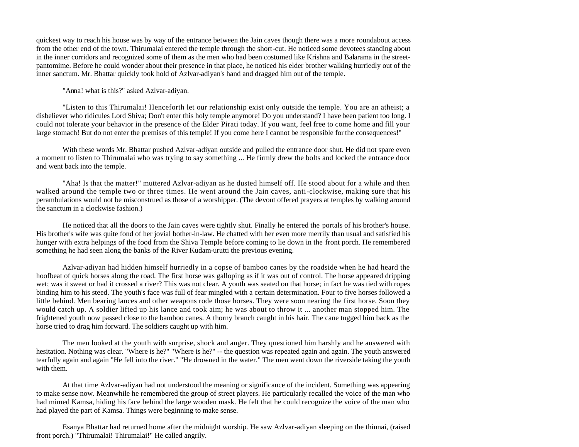quickest way to reach his house was by way of the entrance between the Jain caves though there was a more roundabout access from the other end of the town. Thirumalai entered the temple through the short-cut. He noticed some devotees standing about in the inner corridors and recognized some of them as the men who had been costumed like Krishna and Balarama in the streetpantomime. Before he could wonder about their presence in that place, he noticed his elder brother walking hurriedly out of the inner sanctum. Mr. Bhattar quickly took hold of Azlvar-adiyan's hand and dragged him out of the temple.

"Anna! what is this?" asked Azlvar-adiyan.

"Listen to this Thirumalai! Henceforth let our relationship exist only outside the temple. You are an atheist; a disbeliever who ridicules Lord Shiva; Don't enter this holy temple anymore! Do you understand? I have been patient too long. I could not tolerate your behavior in the presence of the Elder Pirati today. If you want, feel free to come home and fill your large stomach! But do not enter the premises of this temple! If you come here I cannot be responsible for the consequences!"

With these words Mr. Bhattar pushed Azlvar-adiyan outside and pulled the entrance door shut. He did not spare even a moment to listen to Thirumalai who was trying to say something ... He firmly drew the bolts and locked the entrance door and went back into the temple.

"Aha! Is that the matter!" muttered Azlvar-adiyan as he dusted himself off. He stood about for a while and then walked around the temple two or three times. He went around the Jain caves, anti-clockwise, making sure that his perambulations would not be misconstrued as those of a worshipper. (The devout offered prayers at temples by walking around the sanctum in a clockwise fashion.)

He noticed that all the doors to the Jain caves were tightly shut. Finally he entered the portals of his brother's house. His brother's wife was quite fond of her jovial bother-in-law. He chatted with her even more merrily than usual and satisfied his hunger with extra helpings of the food from the Shiva Temple before coming to lie down in the front porch. He remembered something he had seen along the banks of the River Kudam-urutti the previous evening.

Azlvar-adiyan had hidden himself hurriedly in a copse of bamboo canes by the roadside when he had heard the hoofbeat of quick horses along the road. The first horse was galloping as if it was out of control. The horse appeared dripping wet; was it sweat or had it crossed a river? This was not clear. A youth was seated on that horse; in fact he was tied with ropes binding him to his steed. The youth's face was full of fear mingled with a certain determination. Four to five horses followed a little behind. Men bearing lances and other weapons rode those horses. They were soon nearing the first horse. Soon they would catch up. A soldier lifted up his lance and took aim; he was about to throw it ... another man stopped him. The frightened youth now passed close to the bamboo canes. A thorny branch caught in his hair. The cane tugged him back as the horse tried to drag him forward. The soldiers caught up with him.

The men looked at the youth with surprise, shock and anger. They questioned him harshly and he answered with hesitation. Nothing was clear. "Where is he?" "Where is he?" -- the question was repeated again and again. The youth answered tearfully again and again "He fell into the river." "He drowned in the water." The men went down the riverside taking the youth with them.

At that time Azlvar-adiyan had not understood the meaning or significance of the incident. Something was appearing to make sense now. Meanwhile he remembered the group of street players. He particularly recalled the voice of the man who had mimed Kamsa, hiding his face behind the large wooden mask. He felt that he could recognize the voice of the man who had played the part of Kamsa. Things were beginning to make sense.

Esanya Bhattar had returned home after the midnight worship. He saw Azlvar-adiyan sleeping on the thinnai, (raised front porch.) "Thirumalai! Thirumalai!" He called angrily.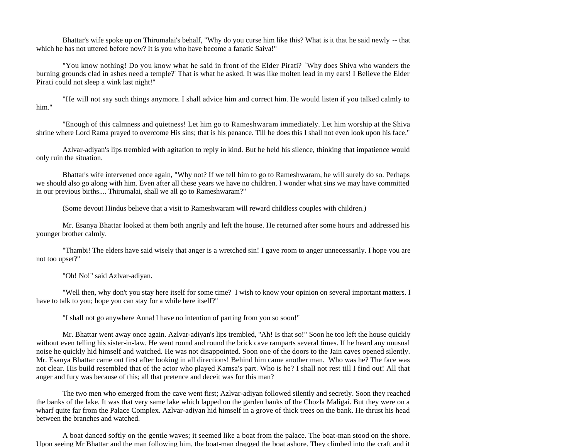Bhattar's wife spoke up on Thirumalai's behalf, "Why do you curse him like this? What is it that he said newly -- that which he has not uttered before now? It is you who have become a fanatic Saiva!"

"You know nothing! Do you know what he said in front of the Elder Pirati? `Why does Shiva who wanders the burning grounds clad in ashes need a temple?' That is what he asked. It was like molten lead in my ears! I Believe the Elder Pirati could not sleep a wink last night!"

"He will not say such things anymore. I shall advice him and correct him. He would listen if you talked calmly to him."

"Enough of this calmness and quietness! Let him go to Rameshwaram immediately. Let him worship at the Shiva shrine where Lord Rama prayed to overcome His sins; that is his penance. Till he does this I shall not even look upon his face."

Azlvar-adiyan's lips trembled with agitation to reply in kind. But he held his silence, thinking that impatience would only ruin the situation.

Bhattar's wife intervened once again, "Why not? If we tell him to go to Rameshwaram, he will surely do so. Perhaps we should also go along with him. Even after all these years we have no children. I wonder what sins we may have committed in our previous births.... Thirumalai, shall we all go to Rameshwaram?"

(Some devout Hindus believe that a visit to Rameshwaram will reward childless couples with children.)

Mr. Esanya Bhattar looked at them both angrily and left the house. He returned after some hours and addressed his younger brother calmly.

"Thambi! The elders have said wisely that anger is a wretched sin! I gave room to anger unnecessarily. I hope you are not too upset?"

"Oh! No!" said Azlvar-adiyan.

"Well then, why don't you stay here itself for some time? I wish to know your opinion on several important matters. I have to talk to you; hope you can stay for a while here itself?"

"I shall not go anywhere Anna! I have no intention of parting from you so soon!"

Mr. Bhattar went away once again. Azlvar-adiyan's lips trembled, "Ah! Is that so!" Soon he too left the house quickly without even telling his sister-in-law. He went round and round the brick cave ramparts several times. If he heard any unusual noise he quickly hid himself and watched. He was not disappointed. Soon one of the doors to the Jain caves opened silently. Mr. Esanya Bhattar came out first after looking in all directions! Behind him came another man. Who was he? The face was not clear. His build resembled that of the actor who played Kamsa's part. Who is he? I shall not rest till I find out! All that anger and fury was because of this; all that pretence and deceit was for this man?

The two men who emerged from the cave went first; Azlvar-adiyan followed silently and secretly. Soon they reached the banks of the lake. It was that very same lake which lapped on the garden banks of the Chozla Maligai. But they were on a wharf quite far from the Palace Complex. Azlvar-adiyan hid himself in a grove of thick trees on the bank. He thrust his head between the branches and watched.

A boat danced softly on the gentle waves; it seemed like a boat from the palace. The boat-man stood on the shore. Upon seeing Mr Bhattar and the man following him, the boat-man dragged the boat ashore. They climbed into the craft and it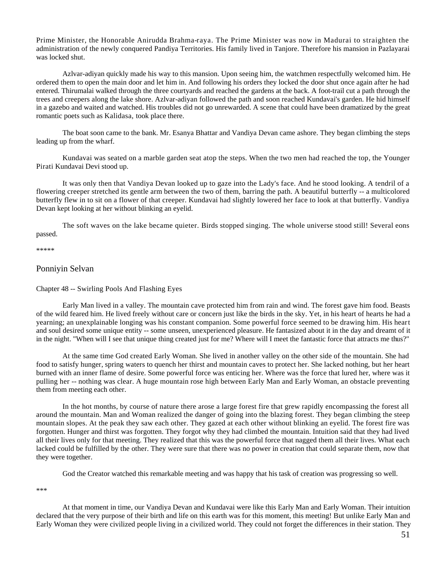Prime Minister, the Honorable Anirudda Brahma-raya. The Prime Minister was now in Madurai to straighten the administration of the newly conquered Pandiya Territories. His family lived in Tanjore. Therefore his mansion in Pazlayarai was locked shut.

Azlvar-adiyan quickly made his way to this mansion. Upon seeing him, the watchmen respectfully welcomed him. He ordered them to open the main door and let him in. And following his orders they locked the door shut once again after he had entered. Thirumalai walked through the three courtyards and reached the gardens at the back. A foot-trail cut a path through the trees and creepers along the lake shore. Azlvar-adiyan followed the path and soon reached Kundavai's garden. He hid himself in a gazebo and waited and watched. His troubles did not go unrewarded. A scene that could have been dramatized by the great romantic poets such as Kalidasa, took place there.

The boat soon came to the bank. Mr. Esanya Bhattar and Vandiya Devan came ashore. They began climbing the steps leading up from the wharf.

Kundavai was seated on a marble garden seat atop the steps. When the two men had reached the top, the Younger Pirati Kundavai Devi stood up.

It was only then that Vandiya Devan looked up to gaze into the Lady's face. And he stood looking. A tendril of a flowering creeper stretched its gentle arm between the two of them, barring the path. A beautiful butterfly -- a multicolored butterfly flew in to sit on a flower of that creeper. Kundavai had slightly lowered her face to look at that butterfly. Vandiya Devan kept looking at her without blinking an eyelid.

The soft waves on the lake became quieter. Birds stopped singing. The whole universe stood still! Several eons passed.

\*\*\*\*\*

## Ponniyin Selvan

Chapter 48 -- Swirling Pools And Flashing Eyes

Early Man lived in a valley. The mountain cave protected him from rain and wind. The forest gave him food. Beasts of the wild feared him. He lived freely without care or concern just like the birds in the sky. Yet, in his heart of hearts he had a yearning; an unexplainable longing was his constant companion. Some powerful force seemed to be drawing him. His heart and soul desired some unique entity -- some unseen, unexperienced pleasure. He fantasized about it in the day and dreamt of it in the night. "When will I see that unique thing created just for me? Where will I meet the fantastic force that attracts me thus?"

At the same time God created Early Woman. She lived in another valley on the other side of the mountain. She had food to satisfy hunger, spring waters to quench her thirst and mountain caves to protect her. She lacked nothing, but her heart burned with an inner flame of desire. Some powerful force was enticing her. Where was the force that lured her, where was it pulling her -- nothing was clear. A huge mountain rose high between Early Man and Early Woman, an obstacle preventing them from meeting each other.

In the hot months, by course of nature there arose a large forest fire that grew rapidly encompassing the forest all around the mountain. Man and Woman realized the danger of going into the blazing forest. They began climbing the steep mountain slopes. At the peak they saw each other. They gazed at each other without blinking an eyelid. The forest fire was forgotten. Hunger and thirst was forgotten. They forgot why they had climbed the mountain. Intuition said that they had lived all their lives only for that meeting. They realized that this was the powerful force that nagged them all their lives. What each lacked could be fulfilled by the other. They were sure that there was no power in creation that could separate them, now that they were together.

God the Creator watched this remarkable meeting and was happy that his task of creation was progressing so well.

\*\*\*

At that moment in time, our Vandiya Devan and Kundavai were like this Early Man and Early Woman. Their intuition declared that the very purpose of their birth and life on this earth was for this moment, this meeting! But unlike Early Man and Early Woman they were civilized people living in a civilized world. They could not forget the differences in their station. They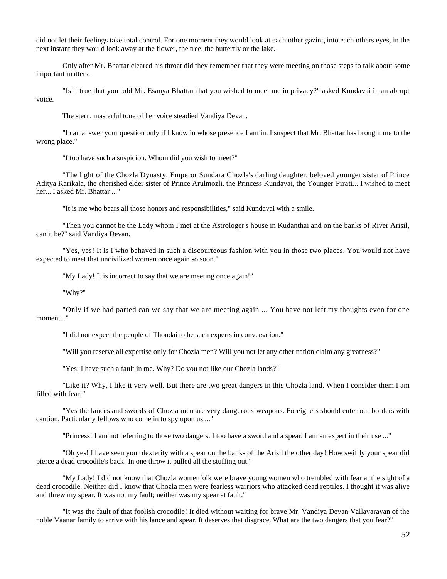did not let their feelings take total control. For one moment they would look at each other gazing into each others eyes, in the next instant they would look away at the flower, the tree, the butterfly or the lake.

Only after Mr. Bhattar cleared his throat did they remember that they were meeting on those steps to talk about some important matters.

"Is it true that you told Mr. Esanya Bhattar that you wished to meet me in privacy?" asked Kundavai in an abrupt voice.

The stern, masterful tone of her voice steadied Vandiya Devan.

"I can answer your question only if I know in whose presence I am in. I suspect that Mr. Bhattar has brought me to the wrong place."

"I too have such a suspicion. Whom did you wish to meet?"

"The light of the Chozla Dynasty, Emperor Sundara Chozla's darling daughter, beloved younger sister of Prince Aditya Karikala, the cherished elder sister of Prince Arulmozli, the Princess Kundavai, the Younger Pirati... I wished to meet her... I asked Mr. Bhattar ..."

"It is me who bears all those honors and responsibilities," said Kundavai with a smile.

"Then you cannot be the Lady whom I met at the Astrologer's house in Kudanthai and on the banks of River Arisil, can it be?" said Vandiya Devan.

"Yes, yes! It is I who behaved in such a discourteous fashion with you in those two places. You would not have expected to meet that uncivilized woman once again so soon."

"My Lady! It is incorrect to say that we are meeting once again!"

"Why?"

"Only if we had parted can we say that we are meeting again ... You have not left my thoughts even for one moment..."

"I did not expect the people of Thondai to be such experts in conversation."

"Will you reserve all expertise only for Chozla men? Will you not let any other nation claim any greatness?"

"Yes; I have such a fault in me. Why? Do you not like our Chozla lands?"

"Like it? Why, I like it very well. But there are two great dangers in this Chozla land. When I consider them I am filled with fear!"

"Yes the lances and swords of Chozla men are very dangerous weapons. Foreigners should enter our borders with caution. Particularly fellows who come in to spy upon us ..."

"Princess! I am not referring to those two dangers. I too have a sword and a spear. I am an expert in their use ..."

"Oh yes! I have seen your dexterity with a spear on the banks of the Arisil the other day! How swiftly your spear did pierce a dead crocodile's back! In one throw it pulled all the stuffing out."

"My Lady! I did not know that Chozla womenfolk were brave young women who trembled with fear at the sight of a dead crocodile. Neither did I know that Chozla men were fearless warriors who attacked dead reptiles. I thought it was alive and threw my spear. It was not my fault; neither was my spear at fault."

"It was the fault of that foolish crocodile! It died without waiting for brave Mr. Vandiya Devan Vallavarayan of the noble Vaanar family to arrive with his lance and spear. It deserves that disgrace. What are the two dangers that you fear?"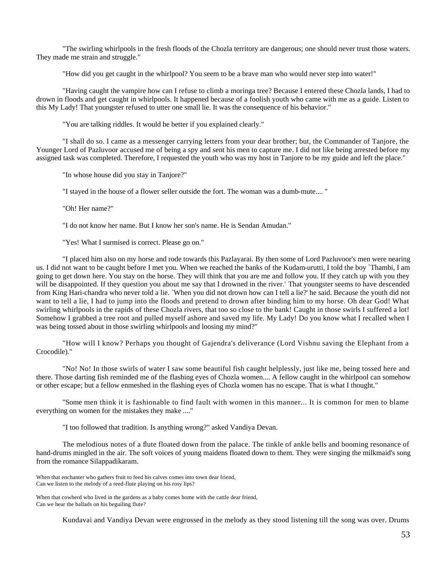"The swirling whirlpools in the fresh floods of the Chozla territory are dangerous; one should never trust those waters. They made me strain and struggle."

"How did you get caught in the whirlpool? You seem to be a brave man who would never step into water!"

"Having caught the vampire how can I refuse to climb a moringa tree? Because I entered these Chozla lands, I had to drown in floods and get caught in whirlpools. It happened because of a foolish youth who came with me as a guide. Listen to this My Lady! That youngster refused to utter one small lie. It was the consequence of his behavior."

"You are talking riddles. It would be better if you explained clearly."

"I shall do so. I came as a messenger carrying letters from your dear brother; but, the Commander of Tanjore, the Younger Lord of Pazluvoor accused me of being a spy and sent his men to capture me. I did not like being arrested before my assigned task was completed. Therefore, I requested the youth who was my host in Tanjore to be my guide and left the place."

"In whose house did you stay in Tanjore?"

"I stayed in the house of a flower seller outside the fort. The woman was a dumb-mute.... "

"Oh! Her name?"

"I do not know her name. But I know her son's name. He is Sendan Amudan."

"Yes! What I surmised is correct. Please go on."

"I placed him also on my horse and rode towards this Pazlayarai. By then some of Lord Pazluvoor's men were nearing us. I did not want to be caught before I met you. When we reached the banks of the Kudam-urutti, I told the boy `Thambi, I am going to get down here. You stay on the horse. They will think that you are me and follow you. If they catch up with you they will be disappointed. If they question you about me say that I drowned in the river.' That youngster seems to have descended from King Hari-chandra who never told a lie. `When you did not drown how can I tell a lie?' he said. Because the youth did not want to tell a lie, I had to jump into the floods and pretend to drown after binding him to my horse. Oh dear God! What swirling whirlpools in the rapids of these Chozla rivers, that too so close to the bank! Caught in those swirls I suffered a lot! Somehow I grabbed a tree root and pulled myself ashore and saved my life. My Lady! Do you know what I recalled when I was being tossed about in those swirling whirlpools and loosing my mind?"

"How will I know? Perhaps you thought of Gajendra's deliverance (Lord Vishnu saving the Elephant from a Crocodile)."

"No! No! In those swirls of water I saw some beautiful fish caught helplessly, just like me, being tossed here and there. Those darting fish reminded me of the flashing eyes of Chozla women.... A fellow caught in the whirlpool can somehow or other escape; but a fellow enmeshed in the flashing eyes of Chozla women has no escape. That is what I thought."

"Some men think it is fashionable to find fault with women in this manner... It is common for men to blame everything on women for the mistakes they make ...."

"I too followed that tradition. Is anything wrong?" asked Vandiya Devan.

The melodious notes of a flute floated down from the palace. The tinkle of ankle bells and booming resonance of hand-drums mingled in the air. The soft voices of young maidens floated down to them. They were singing the milkmaid's song from the romance Silappadikaram.

When that enchanter who gathers fruit to feed his calves comes into town dear friend. Can we listen to the melody of a reed-flute playing on his rosy lips?

When that cowherd who lived in the gardens as a baby comes home with the cattle dear friend, Can we hear the ballads on his beguiling flute?

Kundavai and Vandiya Devan were engrossed in the melody as they stood listening till the song was over. Drums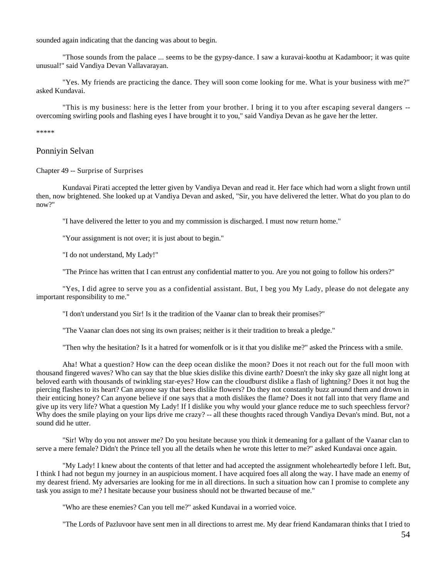sounded again indicating that the dancing was about to begin.

"Those sounds from the palace ... seems to be the gypsy-dance. I saw a kuravai-koothu at Kadamboor; it was quite unusual!" said Vandiya Devan Vallavarayan.

"Yes. My friends are practicing the dance. They will soon come looking for me. What is your business with me?" asked Kundavai.

"This is my business: here is the letter from your brother. I bring it to you after escaping several dangers - overcoming swirling pools and flashing eyes I have brought it to you," said Vandiya Devan as he gave her the letter.

\*\*\*\*\*

### Ponniyin Selvan

Chapter 49 -- Surprise of Surprises

Kundavai Pirati accepted the letter given by Vandiya Devan and read it. Her face which had worn a slight frown until then, now brightened. She looked up at Vandiya Devan and asked, "Sir, you have delivered the letter. What do you plan to do now?"

"I have delivered the letter to you and my commission is discharged. I must now return home."

"Your assignment is not over; it is just about to begin."

"I do not understand, My Lady!"

"The Prince has written that I can entrust any confidential matter to you. Are you not going to follow his orders?"

"Yes, I did agree to serve you as a confidential assistant. But, I beg you My Lady, please do not delegate any important responsibility to me."

"I don't understand you Sir! Is it the tradition of the Vaanar clan to break their promises?"

"The Vaanar clan does not sing its own praises; neither is it their tradition to break a pledge."

"Then why the hesitation? Is it a hatred for womenfolk or is it that you dislike me?" asked the Princess with a smile.

Aha! What a question? How can the deep ocean dislike the moon? Does it not reach out for the full moon with thousand fingered waves? Who can say that the blue skies dislike this divine earth? Doesn't the inky sky gaze all night long at beloved earth with thousands of twinkling star-eyes? How can the cloudburst dislike a flash of lightning? Does it not hug the piercing flashes to its heart? Can anyone say that bees dislike flowers? Do they not constantly buzz around them and drown in their enticing honey? Can anyone believe if one says that a moth dislikes the flame? Does it not fall into that very flame and give up its very life? What a question My Lady! If I dislike you why would your glance reduce me to such speechless fervor? Why does the smile playing on your lips drive me crazy? -- all these thoughts raced through Vandiya Devan's mind. But, not a sound did he utter.

"Sir! Why do you not answer me? Do you hesitate because you think it demeaning for a gallant of the Vaanar clan to serve a mere female? Didn't the Prince tell you all the details when he wrote this letter to me?" asked Kundavai once again.

"My Lady! I knew about the contents of that letter and had accepted the assignment wholeheartedly before I left. But, I think I had not begun my journey in an auspicious moment. I have acquired foes all along the way. I have made an enemy of my dearest friend. My adversaries are looking for me in all directions. In such a situation how can I promise to complete any task you assign to me? I hesitate because your business should not be thwarted because of me."

"Who are these enemies? Can you tell me?" asked Kundavai in a worried voice.

"The Lords of Pazluvoor have sent men in all directions to arrest me. My dear friend Kandamaran thinks that I tried to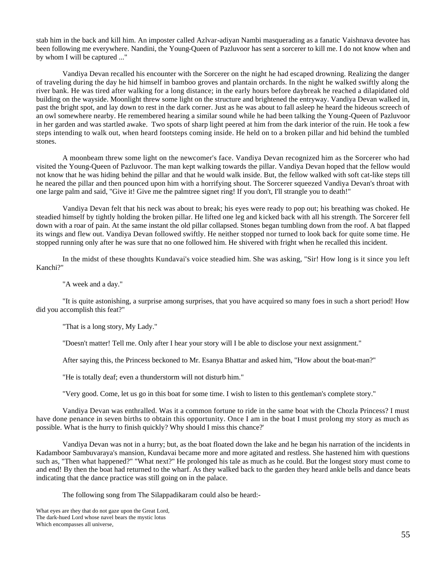stab him in the back and kill him. An imposter called Azlvar-adiyan Nambi masquerading as a fanatic Vaishnava devotee has been following me everywhere. Nandini, the Young-Queen of Pazluvoor has sent a sorcerer to kill me. I do not know when and by whom I will be captured ..."

Vandiya Devan recalled his encounter with the Sorcerer on the night he had escaped drowning. Realizing the danger of traveling during the day he hid himself in bamboo groves and plantain orchards. In the night he walked swiftly along the river bank. He was tired after walking for a long distance; in the early hours before daybreak he reached a dilapidated old building on the wayside. Moonlight threw some light on the structure and brightened the entryway. Vandiya Devan walked in, past the bright spot, and lay down to rest in the dark corner. Just as he was about to fall asleep he heard the hideous screech of an owl somewhere nearby. He remembered hearing a similar sound while he had been talking the Young-Queen of Pazluvoor in her garden and was startled awake. Two spots of sharp light peered at him from the dark interior of the ruin. He took a few steps intending to walk out, when heard footsteps coming inside. He held on to a broken pillar and hid behind the tumbled stones.

A moonbeam threw some light on the newcomer's face. Vandiya Devan recognized him as the Sorcerer who had visited the Young-Queen of Pazluvoor. The man kept walking towards the pillar. Vandiya Devan hoped that the fellow would not know that he was hiding behind the pillar and that he would walk inside. But, the fellow walked with soft cat-like steps till he neared the pillar and then pounced upon him with a horrifying shout. The Sorcerer squeezed Vandiya Devan's throat with one large palm and said, "Give it! Give me the palmtree signet ring! If you don't, I'll strangle you to death!"

Vandiya Devan felt that his neck was about to break; his eyes were ready to pop out; his breathing was choked. He steadied himself by tightly holding the broken pillar. He lifted one leg and kicked back with all his strength. The Sorcerer fell down with a roar of pain. At the same instant the old pillar collapsed. Stones began tumbling down from the roof. A bat flapped its wings and flew out. Vandiya Devan followed swiftly. He neither stopped nor turned to look back for quite some time. He stopped running only after he was sure that no one followed him. He shivered with fright when he recalled this incident.

In the midst of these thoughts Kundavai's voice steadied him. She was asking, "Sir! How long is it since you left Kanchi?"

"A week and a day."

"It is quite astonishing, a surprise among surprises, that you have acquired so many foes in such a short period! How did you accomplish this feat?"

"That is a long story, My Lady."

"Doesn't matter! Tell me. Only after I hear your story will I be able to disclose your next assignment."

After saying this, the Princess beckoned to Mr. Esanya Bhattar and asked him, "How about the boat-man?"

"He is totally deaf; even a thunderstorm will not disturb him."

"Very good. Come, let us go in this boat for some time. I wish to listen to this gentleman's complete story."

Vandiya Devan was enthralled. Was it a common fortune to ride in the same boat with the Chozla Princess? I must have done penance in seven births to obtain this opportunity. Once I am in the boat I must prolong my story as much as possible. What is the hurry to finish quickly? Why should I miss this chance?'

Vandiya Devan was not in a hurry; but, as the boat floated down the lake and he began his narration of the incidents in Kadamboor Sambuvaraya's mansion, Kundavai became more and more agitated and restless. She hastened him with questions such as, "Then what happened?" "What next?" He prolonged his tale as much as he could. But the longest story must come to and end! By then the boat had returned to the wharf. As they walked back to the garden they heard ankle bells and dance beats indicating that the dance practice was still going on in the palace.

The following song from The Silappadikaram could also be heard:-

What eyes are they that do not gaze upon the Great Lord, The dark-hued Lord whose navel bears the mystic lotus Which encompasses all universe,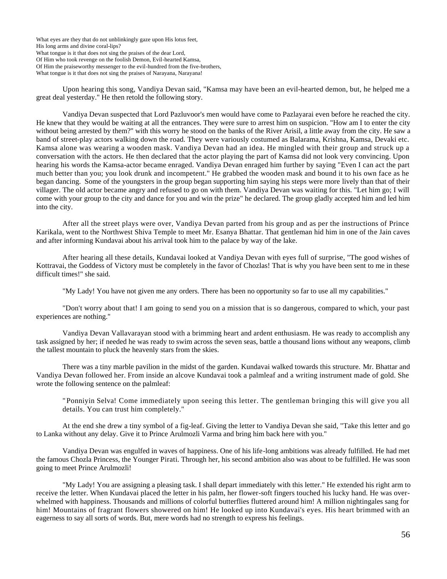What eyes are they that do not unblinkingly gaze upon His lotus feet, His long arms and divine coral-lips? What tongue is it that does not sing the praises of the dear Lord, Of Him who took revenge on the foolish Demon, Evil-hearted Kamsa, Of Him the praiseworthy messenger to the evil-hundred from the five-brothers, What tongue is it that does not sing the praises of Narayana, Narayana!

Upon hearing this song, Vandiya Devan said, "Kamsa may have been an evil-hearted demon, but, he helped me a great deal yesterday." He then retold the following story.

Vandiya Devan suspected that Lord Pazluvoor's men would have come to Pazlayarai even before he reached the city. He knew that they would be waiting at all the entrances. They were sure to arrest him on suspicion. "How am I to enter the city without being arrested by them?" with this worry he stood on the banks of the River Arisil, a little away from the city. He saw a band of street-play actors walking down the road. They were variously costumed as Balarama, Krishna, Kamsa, Devaki etc. Kamsa alone was wearing a wooden mask. Vandiya Devan had an idea. He mingled with their group and struck up a conversation with the actors. He then declared that the actor playing the part of Kamsa did not look very convincing. Upon hearing his words the Kamsa-actor became enraged. Vandiya Devan enraged him further by saying "Even I can act the part much better than you; you look drunk and incompetent." He grabbed the wooden mask and bound it to his own face as he began dancing. Some of the youngsters in the group began supporting him saying his steps were more lively than that of their villager. The old actor became angry and refused to go on with them. Vandiya Devan was waiting for this. "Let him go; I will come with your group to the city and dance for you and win the prize" he declared. The group gladly accepted him and led him into the city.

After all the street plays were over, Vandiya Devan parted from his group and as per the instructions of Prince Karikala, went to the Northwest Shiva Temple to meet Mr. Esanya Bhattar. That gentleman hid him in one of the Jain caves and after informing Kundavai about his arrival took him to the palace by way of the lake.

After hearing all these details, Kundavai looked at Vandiya Devan with eyes full of surprise, "The good wishes of Kottravai, the Goddess of Victory must be completely in the favor of Chozlas! That is why you have been sent to me in these difficult times!" she said.

"My Lady! You have not given me any orders. There has been no opportunity so far to use all my capabilities."

"Don't worry about that! I am going to send you on a mission that is so dangerous, compared to which, your past experiences are nothing."

Vandiya Devan Vallavarayan stood with a brimming heart and ardent enthusiasm. He was ready to accomplish any task assigned by her; if needed he was ready to swim across the seven seas, battle a thousand lions without any weapons, climb the tallest mountain to pluck the heavenly stars from the skies.

There was a tiny marble pavilion in the midst of the garden. Kundavai walked towards this structure. Mr. Bhattar and Vandiya Devan followed her. From inside an alcove Kundavai took a palmleaf and a writing instrument made of gold. She wrote the following sentence on the palmleaf:

"Ponniyin Selva! Come immediately upon seeing this letter. The gentleman bringing this will give you all details. You can trust him completely."

At the end she drew a tiny symbol of a fig-leaf. Giving the letter to Vandiya Devan she said, "Take this letter and go to Lanka without any delay. Give it to Prince Arulmozli Varma and bring him back here with you."

Vandiya Devan was engulfed in waves of happiness. One of his life-long ambitions was already fulfilled. He had met the famous Chozla Princess, the Younger Pirati. Through her, his second ambition also was about to be fulfilled. He was soon going to meet Prince Arulmozli!

"My Lady! You are assigning a pleasing task. I shall depart immediately with this letter." He extended his right arm to receive the letter. When Kundavai placed the letter in his palm, her flower-soft fingers touched his lucky hand. He was overwhelmed with happiness. Thousands and millions of colorful butterflies fluttered around him! A million nightingales sang for him! Mountains of fragrant flowers showered on him! He looked up into Kundavai's eyes. His heart brimmed with an eagerness to say all sorts of words. But, mere words had no strength to express his feelings.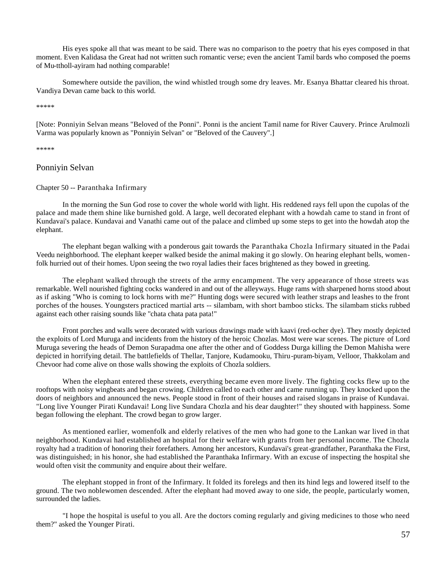His eyes spoke all that was meant to be said. There was no comparison to the poetry that his eyes composed in that moment. Even Kalidasa the Great had not written such romantic verse; even the ancient Tamil bards who composed the poems of Mu-ttholl-ayiram had nothing comparable!

Somewhere outside the pavilion, the wind whistled trough some dry leaves. Mr. Esanya Bhattar cleared his throat. Vandiya Devan came back to this world.

\*\*\*\*\*

[Note: Ponniyin Selvan means "Beloved of the Ponni". Ponni is the ancient Tamil name for River Cauvery. Prince Arulmozli Varma was popularly known as "Ponniyin Selvan" or "Beloved of the Cauvery".]

\*\*\*\*\*

## Ponniyin Selvan

## Chapter 50 -- Paranthaka Infirmary

In the morning the Sun God rose to cover the whole world with light. His reddened rays fell upon the cupolas of the palace and made them shine like burnished gold. A large, well decorated elephant with a howdah came to stand in front of Kundavai's palace. Kundavai and Vanathi came out of the palace and climbed up some steps to get into the howdah atop the elephant.

The elephant began walking with a ponderous gait towards the Paranthaka Chozla Infirmary situated in the Padai Veedu neighborhood. The elephant keeper walked beside the animal making it go slowly. On hearing elephant bells, womenfolk hurried out of their homes. Upon seeing the two royal ladies their faces brightened as they bowed in greeting.

The elephant walked through the streets of the army encampment. The very appearance of those streets was remarkable. Well nourished fighting cocks wandered in and out of the alleyways. Huge rams with sharpened horns stood about as if asking "Who is coming to lock horns with me?" Hunting dogs were secured with leather straps and leashes to the front porches of the houses. Youngsters practiced martial arts -- silambam, with short bamboo sticks. The silambam sticks rubbed against each other raising sounds like "chata chata pata pata!"

Front porches and walls were decorated with various drawings made with kaavi (red-ocher dye). They mostly depicted the exploits of Lord Muruga and incidents from the history of the heroic Chozlas. Most were war scenes. The picture of Lord Muruga severing the heads of Demon Surapadma one after the other and of Goddess Durga killing the Demon Mahisha were depicted in horrifying detail. The battlefields of Thellar, Tanjore, Kudamooku, Thiru-puram-biyam, Velloor, Thakkolam and Chevoor had come alive on those walls showing the exploits of Chozla soldiers.

When the elephant entered these streets, everything became even more lively. The fighting cocks flew up to the rooftops with noisy wingbeats and began crowing. Children called to each other and came running up. They knocked upon the doors of neighbors and announced the news. People stood in front of their houses and raised slogans in praise of Kundavai. "Long live Younger Pirati Kundavai! Long live Sundara Chozla and his dear daughter!" they shouted with happiness. Some began following the elephant. The crowd began to grow larger.

As mentioned earlier, womenfolk and elderly relatives of the men who had gone to the Lankan war lived in that neighborhood. Kundavai had established an hospital for their welfare with grants from her personal income. The Chozla royalty had a tradition of honoring their forefathers. Among her ancestors, Kundavai's great-grandfather, Paranthaka the First, was distinguished; in his honor, she had established the Paranthaka Infirmary. With an excuse of inspecting the hospital she would often visit the community and enquire about their welfare.

The elephant stopped in front of the Infirmary. It folded its forelegs and then its hind legs and lowered itself to the ground. The two noblewomen descended. After the elephant had moved away to one side, the people, particularly women, surrounded the ladies.

"I hope the hospital is useful to you all. Are the doctors coming regularly and giving medicines to those who need them?" asked the Younger Pirati.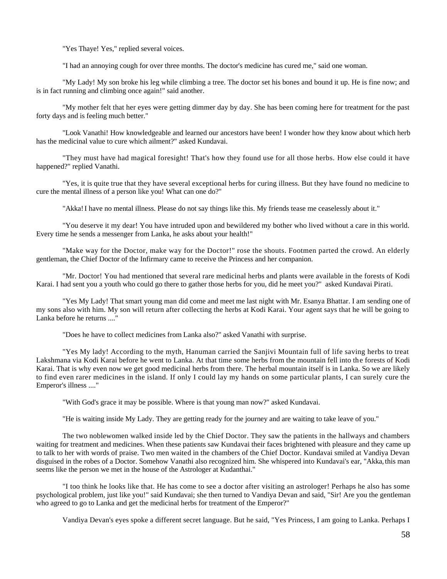"Yes Thaye! Yes," replied several voices.

"I had an annoying cough for over three months. The doctor's medicine has cured me," said one woman.

"My Lady! My son broke his leg while climbing a tree. The doctor set his bones and bound it up. He is fine now; and is in fact running and climbing once again!" said another.

"My mother felt that her eyes were getting dimmer day by day. She has been coming here for treatment for the past forty days and is feeling much better."

"Look Vanathi! How knowledgeable and learned our ancestors have been! I wonder how they know about which herb has the medicinal value to cure which ailment?" asked Kundavai.

"They must have had magical foresight! That's how they found use for all those herbs. How else could it have happened?" replied Vanathi.

"Yes, it is quite true that they have several exceptional herbs for curing illness. But they have found no medicine to cure the mental illness of a person like you! What can one do?"

"Akka! I have no mental illness. Please do not say things like this. My friends tease me ceaselessly about it."

"You deserve it my dear! You have intruded upon and bewildered my bother who lived without a care in this world. Every time he sends a messenger from Lanka, he asks about your health!"

"Make way for the Doctor, make way for the Doctor!" rose the shouts. Footmen parted the crowd. An elderly gentleman, the Chief Doctor of the Infirmary came to receive the Princess and her companion.

"Mr. Doctor! You had mentioned that several rare medicinal herbs and plants were available in the forests of Kodi Karai. I had sent you a youth who could go there to gather those herbs for you, did he meet you?" asked Kundavai Pirati.

"Yes My Lady! That smart young man did come and meet me last night with Mr. Esanya Bhattar. I am sending one of my sons also with him. My son will return after collecting the herbs at Kodi Karai. Your agent says that he will be going to Lanka before he returns ...."

"Does he have to collect medicines from Lanka also?" asked Vanathi with surprise.

"Yes My lady! According to the myth, Hanuman carried the Sanjivi Mountain full of life saving herbs to treat Lakshmana via Kodi Karai before he went to Lanka. At that time some herbs from the mountain fell into the forests of Kodi Karai. That is why even now we get good medicinal herbs from there. The herbal mountain itself is in Lanka. So we are likely to find even rarer medicines in the island. If only I could lay my hands on some particular plants, I can surely cure the Emperor's illness ...."

"With God's grace it may be possible. Where is that young man now?" asked Kundavai.

"He is waiting inside My Lady. They are getting ready for the journey and are waiting to take leave of you."

The two noblewomen walked inside led by the Chief Doctor. They saw the patients in the hallways and chambers waiting for treatment and medicines. When these patients saw Kundavai their faces brightened with pleasure and they came up to talk to her with words of praise. Two men waited in the chambers of the Chief Doctor. Kundavai smiled at Vandiya Devan disguised in the robes of a Doctor. Somehow Vanathi also recognized him. She whispered into Kundavai's ear, "Akka, this man seems like the person we met in the house of the Astrologer at Kudanthai."

"I too think he looks like that. He has come to see a doctor after visiting an astrologer! Perhaps he also has some psychological problem, just like you!" said Kundavai; she then turned to Vandiya Devan and said, "Sir! Are you the gentleman who agreed to go to Lanka and get the medicinal herbs for treatment of the Emperor?"

Vandiya Devan's eyes spoke a different secret language. But he said, "Yes Princess, I am going to Lanka. Perhaps I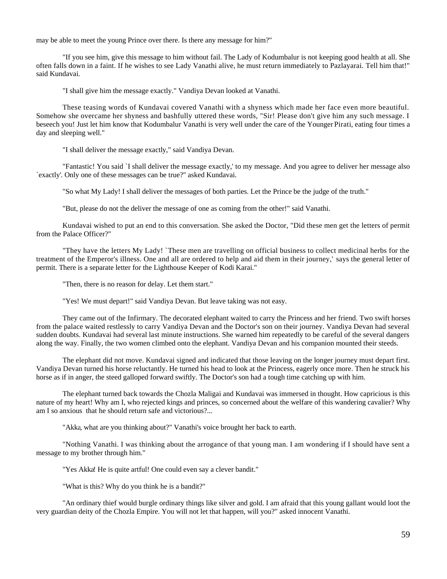may be able to meet the young Prince over there. Is there any message for him?"

"If you see him, give this message to him without fail. The Lady of Kodumbalur is not keeping good health at all. She often falls down in a faint. If he wishes to see Lady Vanathi alive, he must return immediately to Pazlayarai. Tell him that!" said Kundavai.

"I shall give him the message exactly." Vandiya Devan looked at Vanathi.

These teasing words of Kundavai covered Vanathi with a shyness which made her face even more beautiful. Somehow she overcame her shyness and bashfully uttered these words, "Sir! Please don't give him any such message. I beseech you! Just let him know that Kodumbalur Vanathi is very well under the care of the Younger Pirati, eating four times a day and sleeping well."

"I shall deliver the message exactly," said Vandiya Devan.

"Fantastic! You said `I shall deliver the message exactly,' to my message. And you agree to deliver her message also `exactly'. Only one of these messages can be true?" asked Kundavai.

"So what My Lady! I shall deliver the messages of both parties. Let the Prince be the judge of the truth."

"But, please do not the deliver the message of one as coming from the other!" said Vanathi.

Kundavai wished to put an end to this conversation. She asked the Doctor, "Did these men get the letters of permit from the Palace Officer?"

"They have the letters My Lady! `These men are travelling on official business to collect medicinal herbs for the treatment of the Emperor's illness. One and all are ordered to help and aid them in their journey,' says the general letter of permit. There is a separate letter for the Lighthouse Keeper of Kodi Karai."

"Then, there is no reason for delay. Let them start."

"Yes! We must depart!" said Vandiya Devan. But leave taking was not easy.

They came out of the Infirmary. The decorated elephant waited to carry the Princess and her friend. Two swift horses from the palace waited restlessly to carry Vandiya Devan and the Doctor's son on their journey. Vandiya Devan had several sudden doubts. Kundavai had several last minute instructions. She warned him repeatedly to be careful of the several dangers along the way. Finally, the two women climbed onto the elephant. Vandiya Devan and his companion mounted their steeds.

The elephant did not move. Kundavai signed and indicated that those leaving on the longer journey must depart first. Vandiya Devan turned his horse reluctantly. He turned his head to look at the Princess, eagerly once more. Then he struck his horse as if in anger, the steed galloped forward swiftly. The Doctor's son had a tough time catching up with him.

The elephant turned back towards the Chozla Maligai and Kundavai was immersed in thought. How capricious is this nature of my heart! Why am I, who rejected kings and princes, so concerned about the welfare of this wandering cavalier? Why am I so anxious that he should return safe and victorious?...

"Akka, what are you thinking about?" Vanathi's voice brought her back to earth.

"Nothing Vanathi. I was thinking about the arrogance of that young man. I am wondering if I should have sent a message to my brother through him."

"Yes Akka! He is quite artful! One could even say a clever bandit."

"What is this? Why do you think he is a bandit?"

"An ordinary thief would burgle ordinary things like silver and gold. I am afraid that this young gallant would loot the very guardian deity of the Chozla Empire. You will not let that happen, will you?" asked innocent Vanathi.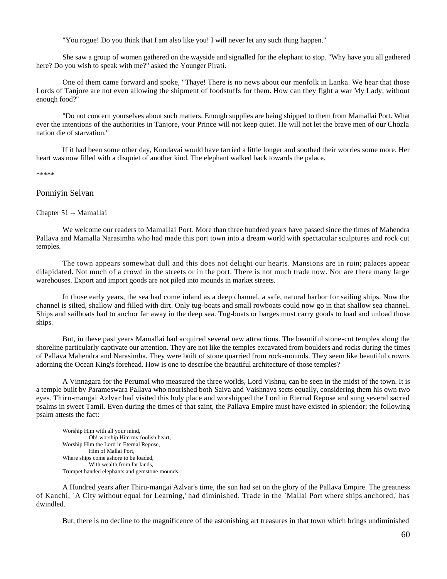"You rogue! Do you think that I am also like you! I will never let any such thing happen."

She saw a group of women gathered on the wayside and signalled for the elephant to stop. "Why have you all gathered here? Do you wish to speak with me?" asked the Younger Pirati.

One of them came forward and spoke, "Thaye! There is no news about our menfolk in Lanka. We hear that those Lords of Tanjore are not even allowing the shipment of foodstuffs for them. How can they fight a war My Lady, without enough food?"

"Do not concern yourselves about such matters. Enough supplies are being shipped to them from Mamallai Port. What ever the intentions of the authorities in Tanjore, your Prince will not keep quiet. He will not let the brave men of our Chozla nation die of starvation."

If it had been some other day, Kundavai would have tarried a little longer and soothed their worries some more. Her heart was now filled with a disquiet of another kind. The elephant walked back towards the palace.

#### \*\*\*\*\*

## Ponniyin Selvan

### Chapter 51 -- Mamallai

We welcome our readers to Mamallai Port. More than three hundred years have passed since the times of Mahendra Pallava and Mamalla Narasimha who had made this port town into a dream world with spectacular sculptures and rock cut temples.

The town appears somewhat dull and this does not delight our hearts. Mansions are in ruin; palaces appear dilapidated. Not much of a crowd in the streets or in the port. There is not much trade now. Nor are there many large warehouses. Export and import goods are not piled into mounds in market streets.

In those early years, the sea had come inland as a deep channel, a safe, natural harbor for sailing ships. Now the channel is silted, shallow and filled with dirt. Only tug-boats and small rowboats could now go in that shallow sea channel. Ships and sailboats had to anchor far away in the deep sea. Tug-boats or barges must carry goods to load and unload those ships.

But, in these past years Mamallai had acquired several new attractions. The beautiful stone-cut temples along the shoreline particularly captivate our attention. They are not like the temples excavated from boulders and rocks during the times of Pallava Mahendra and Narasimha. They were built of stone quarried from rock-mounds. They seem like beautiful crowns adorning the Ocean King's forehead. How is one to describe the beautiful architecture of those temples?

A Vinnagara for the Perumal who measured the three worlds, Lord Vishnu, can be seen in the midst of the town. It is a temple built by Parameswara Pallava who nourished both Saiva and Vaishnava sects equally, considering them his own two eyes. Thiru-mangai Azlvar had visited this holy place and worshipped the Lord in Eternal Repose and sung several sacred psalms in sweet Tamil. Even during the times of that saint, the Pallava Empire must have existed in splendor; the following psalm attests the fact:

Worship Him with all your mind, Oh! worship Him my foolish heart, Worship Him the Lord in Eternal Repose, Him of Mallai Port, Where ships come ashore to be loaded, With wealth from far lands, Trumpet handed elephants and gemstone mounds.

A Hundred years after Thiru-mangai Azlvar's time, the sun had set on the glory of the Pallava Empire. The greatness of Kanchi, `A City without equal for Learning,' had diminished. Trade in the `Mallai Port where ships anchored,' has dwindled.

But, there is no decline to the magnificence of the astonishing art treasures in that town which brings undiminished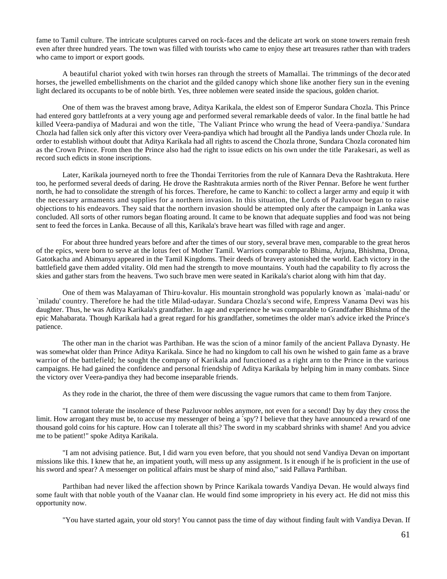fame to Tamil culture. The intricate sculptures carved on rock-faces and the delicate art work on stone towers remain fresh even after three hundred years. The town was filled with tourists who came to enjoy these art treasures rather than with traders who came to import or export goods.

A beautiful chariot yoked with twin horses ran through the streets of Mamallai. The trimmings of the decor ated horses, the jewelled embellishments on the chariot and the gilded canopy which shone like another fiery sun in the evening light declared its occupants to be of noble birth. Yes, three noblemen were seated inside the spacious, golden chariot.

One of them was the bravest among brave, Aditya Karikala, the eldest son of Emperor Sundara Chozla. This Prince had entered gory battlefronts at a very young age and performed several remarkable deeds of valor. In the final battle he had killed Veera-pandiya of Madurai and won the title, `The Valiant Prince who wrung the head of Veera-pandiya.' Sundara Chozla had fallen sick only after this victory over Veera-pandiya which had brought all the Pandiya lands under Chozla rule. In order to establish without doubt that Aditya Karikala had all rights to ascend the Chozla throne, Sundara Chozla coronated him as the Crown Prince. From then the Prince also had the right to issue edicts on his own under the title Parakesari, as well as record such edicts in stone inscriptions.

Later, Karikala journeyed north to free the Thondai Territories from the rule of Kannara Deva the Rashtrakuta. Here too, he performed several deeds of daring. He drove the Rashtrakuta armies north of the River Pennar. Before he went further north, he had to consolidate the strength of his forces. Therefore, he came to Kanchi: to collect a larger army and equip it with the necessary armaments and supplies for a northern invasion. In this situation, the Lords of Pazluvoor began to raise objections to his endeavors. They said that the northern invasion should be attempted only after the campaign in Lanka was concluded. All sorts of other rumors began floating around. It came to be known that adequate supplies and food was not being sent to feed the forces in Lanka. Because of all this, Karikala's brave heart was filled with rage and anger.

For about three hundred years before and after the times of our story, several brave men, comparable to the great heros of the epics, were born to serve at the lotus feet of Mother Tamil. Warriors comparable to Bhima, Arjuna, Bhishma, Drona, Gatotkacha and Abimanyu appeared in the Tamil Kingdoms. Their deeds of bravery astonished the world. Each victory in the battlefield gave them added vitality. Old men had the strength to move mountains. Youth had the capability to fly across the skies and gather stars from the heavens. Two such brave men were seated in Karikala's chariot along with him that day.

One of them was Malayaman of Thiru-kovalur. His mountain stronghold was popularly known as `malai-nadu' or `miladu' country. Therefore he had the title Milad-udayar. Sundara Chozla's second wife, Empress Vanama Devi was his daughter. Thus, he was Aditya Karikala's grandfather. In age and experience he was comparable to Grandfather Bhishma of the epic Mahabarata. Though Karikala had a great regard for his grandfather, sometimes the older man's advice irked the Prince's patience.

The other man in the chariot was Parthiban. He was the scion of a minor family of the ancient Pallava Dynasty. He was somewhat older than Prince Aditya Karikala. Since he had no kingdom to call his own he wished to gain fame as a brave warrior of the battlefield; he sought the company of Karikala and functioned as a right arm to the Prince in the various campaigns. He had gained the confidence and personal friendship of Aditya Karikala by helping him in many combats. Since the victory over Veera-pandiya they had become inseparable friends.

As they rode in the chariot, the three of them were discussing the vague rumors that came to them from Tanjore.

"I cannot tolerate the insolence of these Pazluvoor nobles anymore, not even for a second! Day by day they cross the limit. How arrogant they must be, to accuse my messenger of being a `spy'? I believe that they have announced a reward of one thousand gold coins for his capture. How can I tolerate all this? The sword in my scabbard shrinks with shame! And you advice me to be patient!" spoke Aditya Karikala.

"I am not advising patience. But, I did warn you even before, that you should not send Vandiya Devan on important missions like this. I knew that he, an impatient youth, will mess up any assignment. Is it enough if he is proficient in the use of his sword and spear? A messenger on political affairs must be sharp of mind also," said Pallava Parthiban.

Parthiban had never liked the affection shown by Prince Karikala towards Vandiya Devan. He would always find some fault with that noble youth of the Vaanar clan. He would find some impropriety in his every act. He did not miss this opportunity now.

"You have started again, your old story! You cannot pass the time of day without finding fault with Vandiya Devan. If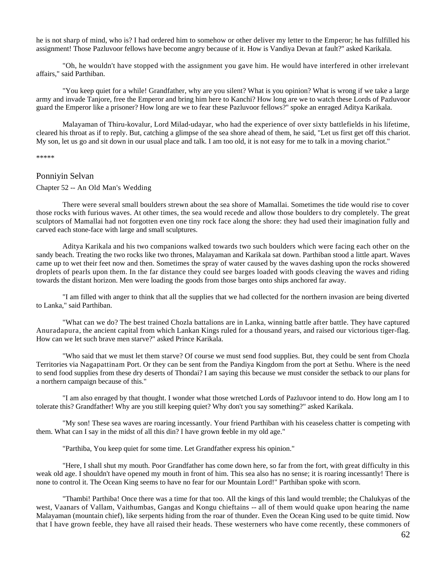he is not sharp of mind, who is? I had ordered him to somehow or other deliver my letter to the Emperor; he has fulfilled his assignment! Those Pazluvoor fellows have become angry because of it. How is Vandiya Devan at fault?" asked Karikala.

"Oh, he wouldn't have stopped with the assignment you gave him. He would have interfered in other irrelevant affairs," said Parthiban.

"You keep quiet for a while! Grandfather, why are you silent? What is you opinion? What is wrong if we take a large army and invade Tanjore, free the Emperor and bring him here to Kanchi? How long are we to watch these Lords of Pazluvoor guard the Emperor like a prisoner? How long are we to fear these Pazluvoor fellows?" spoke an enraged Aditya Karikala.

Malayaman of Thiru-kovalur, Lord Milad-udayar, who had the experience of over sixty battlefields in his lifetime, cleared his throat as if to reply. But, catching a glimpse of the sea shore ahead of them, he said, "Let us first get off this chariot. My son, let us go and sit down in our usual place and talk. I am too old, it is not easy for me to talk in a moving chariot."

\*\*\*\*\*

## Ponniyin Selvan

### Chapter 52 -- An Old Man's Wedding

There were several small boulders strewn about the sea shore of Mamallai. Sometimes the tide would rise to cover those rocks with furious waves. At other times, the sea would recede and allow those boulders to dry completely. The great sculptors of Mamallai had not forgotten even one tiny rock face along the shore: they had used their imagination fully and carved each stone-face with large and small sculptures.

Aditya Karikala and his two companions walked towards two such boulders which were facing each other on the sandy beach. Treating the two rocks like two thrones, Malayaman and Karikala sat down. Parthiban stood a little apart. Waves came up to wet their feet now and then. Sometimes the spray of water caused by the waves dashing upon the rocks showered droplets of pearls upon them. In the far distance they could see barges loaded with goods cleaving the waves and riding towards the distant horizon. Men were loading the goods from those barges onto ships anchored far away.

"I am filled with anger to think that all the supplies that we had collected for the northern invasion are being diverted to Lanka," said Parthiban.

"What can we do? The best trained Chozla battalions are in Lanka, winning battle after battle. They have captured Anuradapura, the ancient capital from which Lankan Kings ruled for a thousand years, and raised our victorious tiger-flag. How can we let such brave men starve?" asked Prince Karikala.

"Who said that we must let them starve? Of course we must send food supplies. But, they could be sent from Chozla Territories via Nagapattinam Port. Or they can be sent from the Pandiya Kingdom from the port at Sethu. Where is the need to send food supplies from these dry deserts of Thondai? I am saying this because we must consider the setback to our plans for a northern campaign because of this."

"I am also enraged by that thought. I wonder what those wretched Lords of Pazluvoor intend to do. How long am I to tolerate this? Grandfather! Why are you still keeping quiet? Why don't you say something?" asked Karikala.

"My son! These sea waves are roaring incessantly. Your friend Parthiban with his ceaseless chatter is competing with them. What can I say in the midst of all this din? I have grown feeble in my old age."

"Parthiba, You keep quiet for some time. Let Grandfather express his opinion."

"Here, I shall shut my mouth. Poor Grandfather has come down here, so far from the fort, with great difficulty in this weak old age. I shouldn't have opened my mouth in front of him. This sea also has no sense; it is roaring incessantly! There is none to control it. The Ocean King seems to have no fear for our Mountain Lord!" Parthiban spoke with scorn.

"Thambi! Parthiba! Once there was a time for that too. All the kings of this land would tremble; the Chalukyas of the west, Vaanars of Vallam, Vaithumbas, Gangas and Kongu chieftains -- all of them would quake upon hearing the name Malayaman (mountain chief), like serpents hiding from the roar of thunder. Even the Ocean King used to be quite timid. Now that I have grown feeble, they have all raised their heads. These westerners who have come recently, these commoners of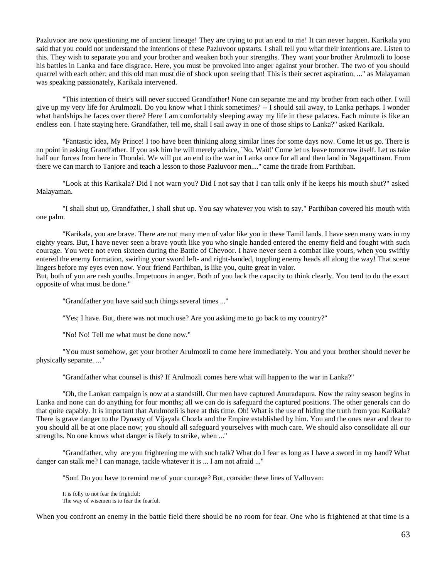Pazluvoor are now questioning me of ancient lineage! They are trying to put an end to me! It can never happen. Karikala you said that you could not understand the intentions of these Pazluvoor upstarts. I shall tell you what their intentions are. Listen to this. They wish to separate you and your brother and weaken both your strengths. They want your brother Arulmozli to loose his battles in Lanka and face disgrace. Here, you must be provoked into anger against your brother. The two of you should quarrel with each other; and this old man must die of shock upon seeing that! This is their secret aspiration, ..." as Malayaman was speaking passionately, Karikala intervened.

"This intention of their's will never succeed Grandfather! None can separate me and my brother from each other. I will give up my very life for Arulmozli. Do you know what I think sometimes? -- I should sail away, to Lanka perhaps. I wonder what hardships he faces over there? Here I am comfortably sleeping away my life in these palaces. Each minute is like an endless eon. I hate staying here. Grandfather, tell me, shall I sail away in one of those ships to Lanka?" asked Karikala.

"Fantastic idea, My Prince! I too have been thinking along similar lines for some days now. Come let us go. There is no point in asking Grandfather. If you ask him he will merely advice, `No. Wait!' Come let us leave tomorrow itself. Let us take half our forces from here in Thondai. We will put an end to the war in Lanka once for all and then land in Nagapattinam. From there we can march to Tanjore and teach a lesson to those Pazluvoor men...." came the tirade from Parthiban.

"Look at this Karikala? Did I not warn you? Did I not say that I can talk only if he keeps his mouth shut?" asked Malayaman.

"I shall shut up, Grandfather, I shall shut up. You say whatever you wish to say." Parthiban covered his mouth with one palm.

"Karikala, you are brave. There are not many men of valor like you in these Tamil lands. I have seen many wars in my eighty years. But, I have never seen a brave youth like you who single handed entered the enemy field and fought with such courage. You were not even sixteen during the Battle of Chevoor. I have never seen a combat like yours, when you swiftly entered the enemy formation, swirling your sword left- and right-handed, toppling enemy heads all along the way! That scene lingers before my eyes even now. Your friend Parthiban, is like you, quite great in valor.

But, both of you are rash youths. Impetuous in anger. Both of you lack the capacity to think clearly. You tend to do the exact opposite of what must be done."

"Grandfather you have said such things several times ..."

"Yes; I have. But, there was not much use? Are you asking me to go back to my country?"

"No! No! Tell me what must be done now."

"You must somehow, get your brother Arulmozli to come here immediately. You and your brother should never be physically separate. ..."

"Grandfather what counsel is this? If Arulmozli comes here what will happen to the war in Lanka?"

"Oh, the Lankan campaign is now at a standstill. Our men have captured Anuradapura. Now the rainy season begins in Lanka and none can do anything for four months; all we can do is safeguard the captured positions. The other generals can do that quite capably. It is important that Arulmozli is here at this time. Oh! What is the use of hiding the truth from you Karikala? There is grave danger to the Dynasty of Vijayala Chozla and the Empire established by him. You and the ones near and dear to you should all be at one place now; you should all safeguard yourselves with much care. We should also consolidate all our strengths. No one knows what danger is likely to strike, when ..."

"Grandfather, why are you frightening me with such talk? What do I fear as long as I have a sword in my hand? What danger can stalk me? I can manage, tackle whatever it is ... I am not afraid ..."

"Son! Do you have to remind me of your courage? But, consider these lines of Valluvan:

It is folly to not fear the frightful; The way of wisemen is to fear the fearful.

When you confront an enemy in the battle field there should be no room for fear. One who is frightened at that time is a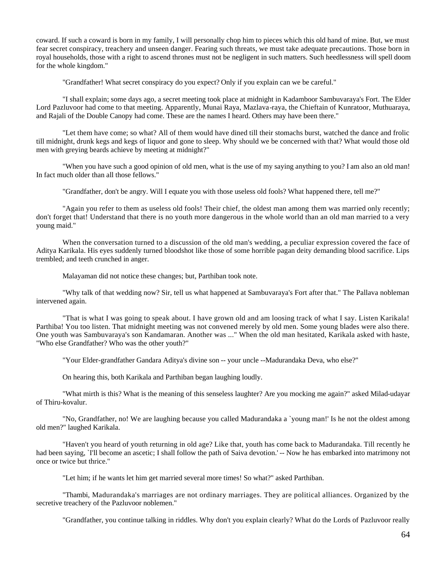coward. If such a coward is born in my family, I will personally chop him to pieces which this old hand of mine. But, we must fear secret conspiracy, treachery and unseen danger. Fearing such threats, we must take adequate precautions. Those born in royal households, those with a right to ascend thrones must not be negligent in such matters. Such heedlessness will spell doom for the whole kingdom."

"Grandfather! What secret conspiracy do you expect? Only if you explain can we be careful."

"I shall explain; some days ago, a secret meeting took place at midnight in Kadamboor Sambuvaraya's Fort. The Elder Lord Pazluvoor had come to that meeting. Apparently, Munai Raya, Mazlava-raya, the Chieftain of Kunratoor, Muthuaraya, and Rajali of the Double Canopy had come. These are the names I heard. Others may have been there."

"Let them have come; so what? All of them would have dined till their stomachs burst, watched the dance and frolic till midnight, drunk kegs and kegs of liquor and gone to sleep. Why should we be concerned with that? What would those old men with greying beards achieve by meeting at midnight?"

"When you have such a good opinion of old men, what is the use of my saying anything to you? I am also an old man! In fact much older than all those fellows."

"Grandfather, don't be angry. Will I equate you with those useless old fools? What happened there, tell me?"

"Again you refer to them as useless old fools! Their chief, the oldest man among them was married only recently; don't forget that! Understand that there is no youth more dangerous in the whole world than an old man married to a very young maid."

When the conversation turned to a discussion of the old man's wedding, a peculiar expression covered the face of Aditya Karikala. His eyes suddenly turned bloodshot like those of some horrible pagan deity demanding blood sacrifice. Lips trembled; and teeth crunched in anger.

Malayaman did not notice these changes; but, Parthiban took note.

"Why talk of that wedding now? Sir, tell us what happened at Sambuvaraya's Fort after that." The Pallava nobleman intervened again.

"That is what I was going to speak about. I have grown old and am loosing track of what I say. Listen Karikala! Parthiba! You too listen. That midnight meeting was not convened merely by old men. Some young blades were also there. One youth was Sambuvaraya's son Kandamaran. Another was ..." When the old man hesitated, Karikala asked with haste, "Who else Grandfather? Who was the other youth?"

"Your Elder-grandfather Gandara Aditya's divine son -- your uncle --Madurandaka Deva, who else?"

On hearing this, both Karikala and Parthiban began laughing loudly.

"What mirth is this? What is the meaning of this senseless laughter? Are you mocking me again?" asked Milad-udayar of Thiru-kovalur.

"No, Grandfather, no! We are laughing because you called Madurandaka a `young man!' Is he not the oldest among old men?" laughed Karikala.

"Haven't you heard of youth returning in old age? Like that, youth has come back to Madurandaka. Till recently he had been saying, `I'll become an ascetic; I shall follow the path of Saiva devotion.' -- Now he has embarked into matrimony not once or twice but thrice."

"Let him; if he wants let him get married several more times! So what?" asked Parthiban.

"Thambi, Madurandaka's marriages are not ordinary marriages. They are political alliances. Organized by the secretive treachery of the Pazluvoor noblemen."

"Grandfather, you continue talking in riddles. Why don't you explain clearly? What do the Lords of Pazluvoor really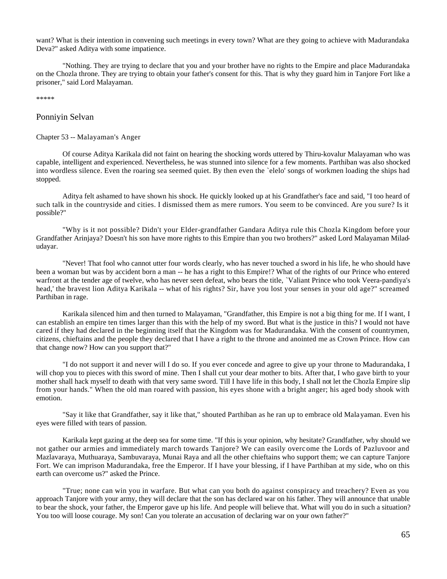want? What is their intention in convening such meetings in every town? What are they going to achieve with Madurandaka Deva?" asked Aditya with some impatience.

"Nothing. They are trying to declare that you and your brother have no rights to the Empire and place Madurandaka on the Chozla throne. They are trying to obtain your father's consent for this. That is why they guard him in Tanjore Fort like a prisoner," said Lord Malayaman.

\*\*\*\*\*

# Ponniyin Selvan

Chapter 53 -- Malayaman's Anger

Of course Aditya Karikala did not faint on hearing the shocking words uttered by Thiru-kovalur Malayaman who was capable, intelligent and experienced. Nevertheless, he was stunned into silence for a few moments. Parthiban was also shocked into wordless silence. Even the roaring sea seemed quiet. By then even the `elelo' songs of workmen loading the ships had stopped.

Aditya felt ashamed to have shown his shock. He quickly looked up at his Grandfather's face and said, "I too heard of such talk in the countryside and cities. I dismissed them as mere rumors. You seem to be convinced. Are you sure? Is it possible?"

"Why is it not possible? Didn't your Elder-grandfather Gandara Aditya rule this Chozla Kingdom before your Grandfather Arinjaya? Doesn't his son have more rights to this Empire than you two brothers?" asked Lord Malayaman Miladudayar.

"Never! That fool who cannot utter four words clearly, who has never touched a sword in his life, he who should have been a woman but was by accident born a man -- he has a right to this Empire!? What of the rights of our Prince who entered warfront at the tender age of twelve, who has never seen defeat, who bears the title, `Valiant Prince who took Veera-pandiya's head,' the bravest lion Aditya Karikala -- what of his rights? Sir, have you lost your senses in your old age?" screamed Parthiban in rage.

Karikala silenced him and then turned to Malayaman, "Grandfather, this Empire is not a big thing for me. If I want, I can establish an empire ten times larger than this with the help of my sword. But what is the justice in this? I would not have cared if they had declared in the beginning itself that the Kingdom was for Madurandaka. With the consent of countrymen, citizens, chieftains and the people they declared that I have a right to the throne and anointed me as Crown Prince. How can that change now? How can you support that?"

"I do not support it and never will I do so. If you ever concede and agree to give up your throne to Madurandaka, I will chop you to pieces with this sword of mine. Then I shall cut your dear mother to bits. After that, I who gave birth to your mother shall hack myself to death with that very same sword. Till I have life in this body, I shall not let the Chozla Empire slip from your hands." When the old man roared with passion, his eyes shone with a bright anger; his aged body shook with emotion.

"Say it like that Grandfather, say it like that," shouted Parthiban as he ran up to embrace old Malayaman. Even his eyes were filled with tears of passion.

Karikala kept gazing at the deep sea for some time. "If this is your opinion, why hesitate? Grandfather, why should we not gather our armies and immediately march towards Tanjore? We can easily overcome the Lords of Pazluvoor and Mazlavaraya, Muthuaraya, Sambuvaraya, Munai Raya and all the other chieftains who support them; we can capture Tanjore Fort. We can imprison Madurandaka, free the Emperor. If I have your blessing, if I have Parthiban at my side, who on this earth can overcome us?" asked the Prince.

"True; none can win you in warfare. But what can you both do against conspiracy and treachery? Even as you approach Tanjore with your army, they will declare that the son has declared war on his father. They will announce that unable to bear the shock, your father, the Emperor gave up his life. And people will believe that. What will you do in such a situation? You too will loose courage. My son! Can you tolerate an accusation of declaring war on your own father?"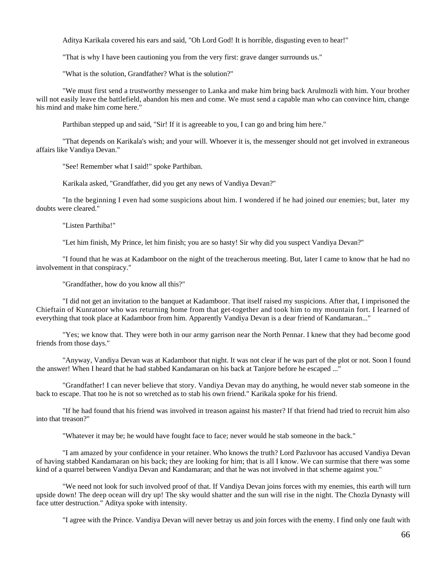Aditya Karikala covered his ears and said, "Oh Lord God! It is horrible, disgusting even to hear!"

"That is why I have been cautioning you from the very first: grave danger surrounds us."

"What is the solution, Grandfather? What is the solution?"

"We must first send a trustworthy messenger to Lanka and make him bring back Arulmozli with him. Your brother will not easily leave the battlefield, abandon his men and come. We must send a capable man who can convince him, change his mind and make him come here."

Parthiban stepped up and said, "Sir! If it is agreeable to you, I can go and bring him here."

"That depends on Karikala's wish; and your will. Whoever it is, the messenger should not get involved in extraneous affairs like Vandiya Devan."

"See! Remember what I said!" spoke Parthiban.

Karikala asked, "Grandfather, did you get any news of Vandiya Devan?"

"In the beginning I even had some suspicions about him. I wondered if he had joined our enemies; but, later my doubts were cleared."

"Listen Parthiba!"

"Let him finish, My Prince, let him finish; you are so hasty! Sir why did you suspect Vandiya Devan?"

"I found that he was at Kadamboor on the night of the treacherous meeting. But, later I came to know that he had no involvement in that conspiracy."

"Grandfather, how do you know all this?"

"I did not get an invitation to the banquet at Kadamboor. That itself raised my suspicions. After that, I imprisoned the Chieftain of Kunratoor who was returning home from that get-together and took him to my mountain fort. I learned of everything that took place at Kadamboor from him. Apparently Vandiya Devan is a dear friend of Kandamaran..."

"Yes; we know that. They were both in our army garrison near the North Pennar. I knew that they had become good friends from those days."

"Anyway, Vandiya Devan was at Kadamboor that night. It was not clear if he was part of the plot or not. Soon I found the answer! When I heard that he had stabbed Kandamaran on his back at Tanjore before he escaped ..."

"Grandfather! I can never believe that story. Vandiya Devan may do anything, he would never stab someone in the back to escape. That too he is not so wretched as to stab his own friend." Karikala spoke for his friend.

"If he had found that his friend was involved in treason against his master? If that friend had tried to recruit him also into that treason?"

"Whatever it may be; he would have fought face to face; never would he stab someone in the back."

"I am amazed by your confidence in your retainer. Who knows the truth? Lord Pazluvoor has accused Vandiya Devan of having stabbed Kandamaran on his back; they are looking for him; that is all I know. We can surmise that there was some kind of a quarrel between Vandiya Devan and Kandamaran; and that he was not involved in that scheme against you."

"We need not look for such involved proof of that. If Vandiya Devan joins forces with my enemies, this earth will turn upside down! The deep ocean will dry up! The sky would shatter and the sun will rise in the night. The Chozla Dynasty will face utter destruction." Aditya spoke with intensity.

"I agree with the Prince. Vandiya Devan will never betray us and join forces with the enemy. I find only one fault with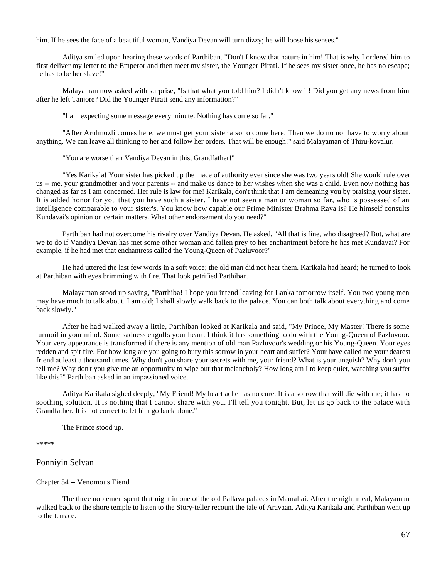him. If he sees the face of a beautiful woman, Vandiya Devan will turn dizzy; he will loose his senses."

Aditya smiled upon hearing these words of Parthiban. "Don't I know that nature in him! That is why I ordered him to first deliver my letter to the Emperor and then meet my sister, the Younger Pirati. If he sees my sister once, he has no escape; he has to be her slave!"

Malayaman now asked with surprise, "Is that what you told him? I didn't know it! Did you get any news from him after he left Tanjore? Did the Younger Pirati send any information?"

"I am expecting some message every minute. Nothing has come so far."

"After Arulmozli comes here, we must get your sister also to come here. Then we do no not have to worry about anything. We can leave all thinking to her and follow her orders. That will be enough!" said Malayaman of Thiru-kovalur.

"You are worse than Vandiya Devan in this, Grandfather!"

"Yes Karikala! Your sister has picked up the mace of authority ever since she was two years old! She would rule over us -- me, your grandmother and your parents -- and make us dance to her wishes when she was a child. Even now nothing has changed as far as I am concerned. Her rule is law for me! Karikala, don't think that I am demeaning you by praising your sister. It is added honor for you that you have such a sister. I have not seen a man or woman so far, who is possessed of an intelligence comparable to your sister's. You know how capable our Prime Minister Brahma Raya is? He himself consults Kundavai's opinion on certain matters. What other endorsement do you need?"

Parthiban had not overcome his rivalry over Vandiya Devan. He asked, "All that is fine, who disagreed? But, what are we to do if Vandiya Devan has met some other woman and fallen prey to her enchantment before he has met Kundavai? For example, if he had met that enchantress called the Young-Queen of Pazluvoor?"

He had uttered the last few words in a soft voice; the old man did not hear them. Karikala had heard; he turned to look at Parthiban with eyes brimming with fire. That look petrified Parthiban.

Malayaman stood up saying, "Parthiba! I hope you intend leaving for Lanka tomorrow itself. You two young men may have much to talk about. I am old; I shall slowly walk back to the palace. You can both talk about everything and come back slowly."

After he had walked away a little, Parthiban looked at Karikala and said, "My Prince, My Master! There is some turmoil in your mind. Some sadness engulfs your heart. I think it has something to do with the Young-Queen of Pazluvoor. Your very appearance is transformed if there is any mention of old man Pazluvoor's wedding or his Young-Queen. Your eyes redden and spit fire. For how long are you going to bury this sorrow in your heart and suffer? Your have called me your dearest friend at least a thousand times. Why don't you share your secrets with me, your friend? What is your anguish? Why don't you tell me? Why don't you give me an opportunity to wipe out that melancholy? How long am I to keep quiet, watching you suffer like this?" Parthiban asked in an impassioned voice.

Aditya Karikala sighed deeply, "My Friend! My heart ache has no cure. It is a sorrow that will die with me; it has no soothing solution. It is nothing that I cannot share with you. I'll tell you tonight. But, let us go back to the palace with Grandfather. It is not correct to let him go back alone."

The Prince stood up.

\*\*\*\*\*

Ponniyin Selvan

Chapter 54 -- Venomous Fiend

The three noblemen spent that night in one of the old Pallava palaces in Mamallai. After the night meal, Malayaman walked back to the shore temple to listen to the Story-teller recount the tale of Aravaan. Aditya Karikala and Parthiban went up to the terrace.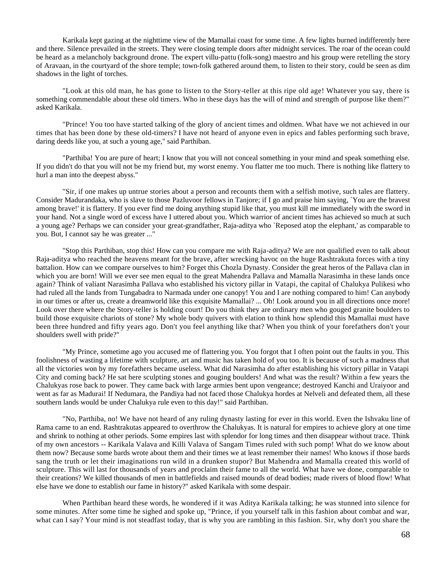Karikala kept gazing at the nighttime view of the Mamallai coast for some time. A few lights burned indifferently here and there. Silence prevailed in the streets. They were closing temple doors after midnight services. The roar of the ocean could be heard as a melancholy background drone. The expert villu-pattu (folk-song) maestro and his group were retelling the story of Aravaan, in the courtyard of the shore temple; town-folk gathered around them, to listen to their story, could be seen as dim shadows in the light of torches.

"Look at this old man, he has gone to listen to the Story-teller at this ripe old age! Whatever you say, there is something commendable about these old timers. Who in these days has the will of mind and strength of purpose like them?" asked Karikala.

"Prince! You too have started talking of the glory of ancient times and oldmen. What have we not achieved in our times that has been done by these old-timers? I have not heard of anyone even in epics and fables performing such brave, daring deeds like you, at such a young age," said Parthiban.

"Parthiba! You are pure of heart; I know that you will not conceal something in your mind and speak something else. If you didn't do that you will not be my friend but, my worst enemy. You flatter me too much. There is nothing like flattery to hurl a man into the deepest abyss."

"Sir, if one makes up untrue stories about a person and recounts them with a selfish motive, such tales are flattery. Consider Madurandaka, who is slave to those Pazluvoor fellows in Tanjore; if I go and praise him saying, `You are the bravest among brave!' it is flattery. If you ever find me doing anything stupid like that, you must kill me immediately with the sword in your hand. Not a single word of excess have I uttered about you. Which warrior of ancient times has achieved so much at such a young age? Perhaps we can consider your great-grandfather, Raja-aditya who `Reposed atop the elephant,' as comparable to you. But, I cannot say he was greater ..."

"Stop this Parthiban, stop this! How can you compare me with Raja-aditya? We are not qualified even to talk about Raja-aditya who reached the heavens meant for the brave, after wrecking havoc on the huge Rashtrakuta forces with a tiny battalion. How can we compare ourselves to him? Forget this Chozla Dynasty. Consider the great heros of the Pallava clan in which you are born! Will we ever see men equal to the great Mahendra Pallava and Mamalla Narasimha in these lands once again? Think of valiant Narasimha Pallava who established his victory pillar in Vatapi, the capital of Chalukya Pulikesi who had ruled all the lands from Tungabadra to Narmada under one canopy! You and I are nothing compared to him! Can anybody in our times or after us, create a dreamworld like this exquisite Mamallai? ... Oh! Look around you in all directions once more! Look over there where the Story-teller is holding court! Do you think they are ordinary men who gouged granite boulders to build those exquisite chariots of stone? My whole body quivers with elation to think how splendid this Mamallai must have been three hundred and fifty years ago. Don't you feel anything like that? When you think of your forefathers don't your shoulders swell with pride?"

"My Prince, sometime ago you accused me of flattering you. You forgot that I often point out the faults in you. This foolishness of wasting a lifetime with sculpture, art and music has taken hold of you too. It is because of such a madness that all the victories won by my forefathers became useless. What did Narasimha do after establishing his victory pillar in Vatapi City and coming back? He sat here sculpting stones and gouging boulders! And what was the result? Within a few years the Chalukyas rose back to power. They came back with large armies bent upon vengeance; destroyed Kanchi and Uraiyoor and went as far as Madurai! If Nedumara, the Pandiya had not faced those Chalukya hordes at Nelveli and defeated them, all these southern lands would be under Chalukya rule even to this day!" said Parthiban.

"No, Parthiba, no! We have not heard of any ruling dynasty lasting for ever in this world. Even the Ishvaku line of Rama came to an end. Rashtrakutas appeared to overthrow the Chalukyas. It is natural for empires to achieve glory at one time and shrink to nothing at other periods. Some empires last with splendor for long times and then disappear without trace. Think of my own ancestors -- Karikala Valava and Killi Valava of Sangam Times ruled with such pomp! What do we know about them now? Because some bards wrote about them and their times we at least remember their names! Who knows if those bards sang the truth or let their imaginations run wild in a drunken stupor? But Mahendra and Mamalla created this world of sculpture. This will last for thousands of years and proclaim their fame to all the world. What have we done, comparable to their creations? We killed thousands of men in battlefields and raised mounds of dead bodies; made rivers of blood flow! What else have we done to establish our fame in history?" asked Karikala with some despair.

When Parthiban heard these words, he wondered if it was Aditya Karikala talking; he was stunned into silence for some minutes. After some time he sighed and spoke up, "Prince, if you yourself talk in this fashion about combat and war, what can I say? Your mind is not steadfast today, that is why you are rambling in this fashion. Sir, why don't you share the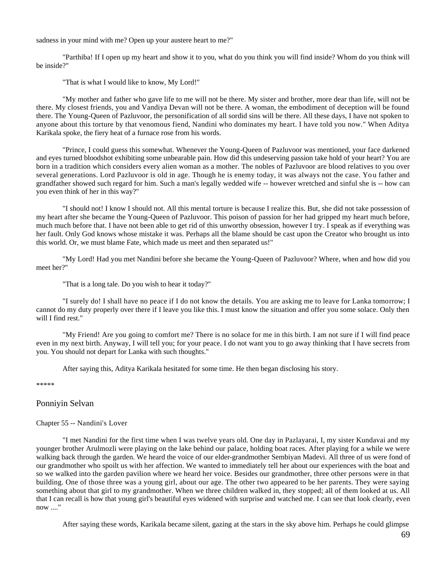sadness in your mind with me? Open up your austere heart to me?"

"Parthiba! If I open up my heart and show it to you, what do you think you will find inside? Whom do you think will be inside?"

"That is what I would like to know, My Lord!"

"My mother and father who gave life to me will not be there. My sister and brother, more dear than life, will not be there. My closest friends, you and Vandiya Devan will not be there. A woman, the embodiment of deception will be found there. The Young-Queen of Pazluvoor, the personification of all sordid sins will be there. All these days, I have not spoken to anyone about this torture by that venomous fiend, Nandini who dominates my heart. I have told you now." When Aditya Karikala spoke, the fiery heat of a furnace rose from his words.

"Prince, I could guess this somewhat. Whenever the Young-Queen of Pazluvoor was mentioned, your face darkened and eyes turned bloodshot exhibiting some unbearable pain. How did this undeserving passion take hold of your heart? You are born in a tradition which considers every alien woman as a mother. The nobles of Pazluvoor are blood relatives to you over several generations. Lord Pazluvoor is old in age. Though he is enemy today, it was always not the case. You father and grandfather showed such regard for him. Such a man's legally wedded wife -- however wretched and sinful she is -- how can you even think of her in this way?"

"I should not! I know I should not. All this mental torture is because I realize this. But, she did not take possession of my heart after she became the Young-Queen of Pazluvoor. This poison of passion for her had gripped my heart much before, much much before that. I have not been able to get rid of this unworthy obsession, however I try. I speak as if everything was her fault. Only God knows whose mistake it was. Perhaps all the blame should be cast upon the Creator who brought us into this world. Or, we must blame Fate, which made us meet and then separated us!"

"My Lord! Had you met Nandini before she became the Young-Queen of Pazluvoor? Where, when and how did you meet her?"

"That is a long tale. Do you wish to hear it today?"

"I surely do! I shall have no peace if I do not know the details. You are asking me to leave for Lanka tomorrow; I cannot do my duty properly over there if I leave you like this. I must know the situation and offer you some solace. Only then will I find rest."

"My Friend! Are you going to comfort me? There is no solace for me in this birth. I am not sure if I will find peace even in my next birth. Anyway, I will tell you; for your peace. I do not want you to go away thinking that I have secrets from you. You should not depart for Lanka with such thoughts."

After saying this, Aditya Karikala hesitated for some time. He then began disclosing his story.

\*\*\*\*\*

# Ponniyin Selvan

Chapter 55 -- Nandini's Lover

"I met Nandini for the first time when I was twelve years old. One day in Pazlayarai, I, my sister Kundavai and my younger brother Arulmozli were playing on the lake behind our palace, holding boat races. After playing for a while we were walking back through the garden. We heard the voice of our elder-grandmother Sembiyan Madevi. All three of us were fond of our grandmother who spoilt us with her affection. We wanted to immediately tell her about our experiences with the boat and so we walked into the garden pavilion where we heard her voice. Besides our grandmother, three other persons were in that building. One of those three was a young girl, about our age. The other two appeared to be her parents. They were saying something about that girl to my grandmother. When we three children walked in, they stopped; all of them looked at us. All that I can recall is how that young girl's beautiful eyes widened with surprise and watched me. I can see that look clearly, even now ...."

After saying these words, Karikala became silent, gazing at the stars in the sky above him. Perhaps he could glimpse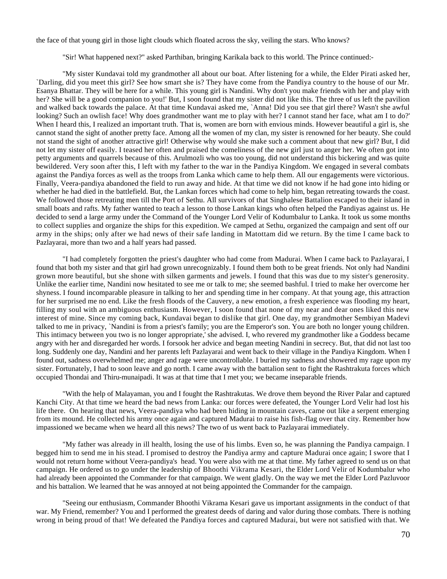the face of that young girl in those light clouds which floated across the sky, veiling the stars. Who knows?

"Sir! What happened next?" asked Parthiban, bringing Karikala back to this world. The Prince continued:-

"My sister Kundavai told my grandmother all about our boat. After listening for a while, the Elder Pirati asked her, `Darling, did you meet this girl? See how smart she is? They have come from the Pandiya country to the house of our Mr. Esanya Bhattar. They will be here for a while. This young girl is Nandini. Why don't you make friends with her and play with her? She will be a good companion to you!' But, I soon found that my sister did not like this. The three of us left the pavilion and walked back towards the palace. At that time Kundavai asked me, `Anna! Did you see that girl there? Wasn't she awful looking? Such an owlish face! Why does grandmother want me to play with her? I cannot stand her face, what am I to do?' When I heard this, I realized an important truth. That is, women are born with envious minds. However beautiful a girl is, she cannot stand the sight of another pretty face. Among all the women of my clan, my sister is renowned for her beauty. She could not stand the sight of another attractive girl! Otherwise why would she make such a comment about that new girl? But, I did not let my sister off easily. I teased her often and praised the comeliness of the new girl just to anger her. We often got into petty arguments and quarrels because of this. Arulmozli who was too young, did not understand this bickering and was quite bewildered. Very soon after this, I left with my father to the war in the Pandiya Kingdom. We engaged in several combats against the Pandiya forces as well as the troops from Lanka which came to help them. All our engagements were victorious. Finally, Veera-pandiya abandoned the field to run away and hide. At that time we did not know if he had gone into hiding or whether he had died in the battlefield. But, the Lankan forces which had come to help him, began retreating towards the coast. We followed those retreating men till the Port of Sethu. All survivors of that Singhalese Battalion escaped to their island in small boats and rafts. My father wanted to teach a lesson to those Lankan kings who often helped the Pandiyas against us. He decided to send a large army under the Command of the Younger Lord Velir of Kodumbalur to Lanka. It took us some months to collect supplies and organize the ships for this expedition. We camped at Sethu, organized the campaign and sent off our army in the ships; only after we had news of their safe landing in Matottam did we return. By the time I came back to Pazlayarai, more than two and a half years had passed.

"I had completely forgotten the priest's daughter who had come from Madurai. When I came back to Pazlayarai, I found that both my sister and that girl had grown unrecognizably. I found them both to be great friends. Not only had Nandini grown more beautiful, but she shone with silken garments and jewels. I found that this was due to my sister's generosity. Unlike the earlier time, Nandini now hesitated to see me or talk to me; she seemed bashful. I tried to make her overcome her shyness. I found incomparable pleasure in talking to her and spending time in her company. At that young age, this attraction for her surprised me no end. Like the fresh floods of the Cauvery, a new emotion, a fresh experience was flooding my heart, filling my soul with an ambiguous enthusiasm. However, I soon found that none of my near and dear ones liked this new interest of mine. Since my coming back, Kundavai began to dislike that girl. One day, my grandmother Sembiyan Madevi talked to me in privacy, `Nandini is from a priest's family; you are the Emperor's son. You are both no longer young children. This intimacy between you two is no longer appropriate,' she advised. I, who revered my grandmother like a Goddess became angry with her and disregarded her words. I forsook her advice and began meeting Nandini in secrecy. But, that did not last too long. Suddenly one day, Nandini and her parents left Pazlayarai and went back to their village in the Pandiya Kingdom. When I found out, sadness overwhelmed me; anger and rage were uncontrollable. I buried my sadness and showered my rage upon my sister. Fortunately, I had to soon leave and go north. I came away with the battalion sent to fight the Rashtrakuta forces which occupied Thondai and Thiru-munaipadi. It was at that time that I met you; we became inseparable friends.

"With the help of Malayaman, you and I fought the Rashtrakutas. We drove them beyond the River Palar and captured Kanchi City. At that time we heard the bad news from Lanka: our forces were defeated, the Younger Lord Velir had lost his life there. On hearing that news, Veera-pandiya who had been hiding in mountain caves, came out like a serpent emerging from its mound. He collected his army once again and captured Madurai to raise his fish-flag over that city. Remember how impassioned we became when we heard all this news? The two of us went back to Pazlayarai immediately.

"My father was already in ill health, losing the use of his limbs. Even so, he was planning the Pandiya campaign. I begged him to send me in his stead. I promised to destroy the Pandiya army and capture Madurai once again; I swore that I would not return home without Veera-pandiya's head. You were also with me at that time. My father agreed to send us on that campaign. He ordered us to go under the leadership of Bhoothi Vikrama Kesari, the Elder Lord Velir of Kodumbalur who had already been appointed the Commander for that campaign. We went gladly. On the way we met the Elder Lord Pazluvoor and his battalion. We learned that he was annoyed at not being appointed the Commander for the campaign.

"Seeing our enthusiasm, Commander Bhoothi Vikrama Kesari gave us important assignments in the conduct of that war. My Friend, remember? You and I performed the greatest deeds of daring and valor during those combats. There is nothing wrong in being proud of that! We defeated the Pandiya forces and captured Madurai, but were not satisfied with that. We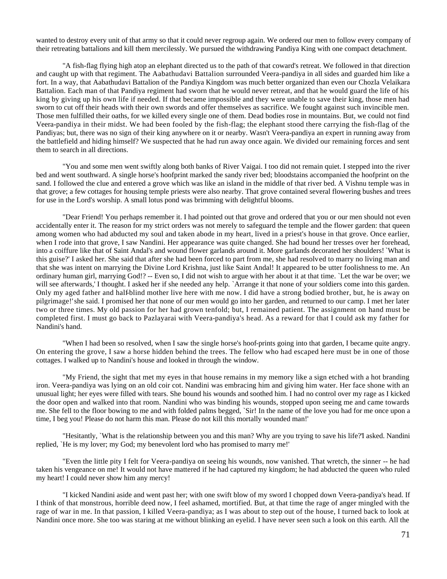wanted to destroy every unit of that army so that it could never regroup again. We ordered our men to follow every company of their retreating battalions and kill them mercilessly. We pursued the withdrawing Pandiya King with one compact detachment.

"A fish-flag flying high atop an elephant directed us to the path of that coward's retreat. We followed in that direction and caught up with that regiment. The Aabathudavi Battalion surrounded Veera-pandiya in all sides and guarded him like a fort. In a way, that Aabathudavi Battalion of the Pandiya Kingdom was much better organized than even our Chozla Velaikara Battalion. Each man of that Pandiya regiment had sworn that he would never retreat, and that he would guard the life of his king by giving up his own life if needed. If that became impossible and they were unable to save their king, those men had sworn to cut off their heads with their own swords and offer themselves as sacrifice. We fought against such invincible men. Those men fulfilled their oaths, for we killed every single one of them. Dead bodies rose in mountains. But, we could not find Veera-pandiya in their midst. We had been fooled by the fish-flag; the elephant stood there carrying the fish-flag of the Pandiyas; but, there was no sign of their king anywhere on it or nearby. Wasn't Veera-pandiya an expert in running away from the battlefield and hiding himself? We suspected that he had run away once again. We divided our remaining forces and sent them to search in all directions.

"You and some men went swiftly along both banks of River Vaigai. I too did not remain quiet. I stepped into the river bed and went southward. A single horse's hoofprint marked the sandy river bed; bloodstains accompanied the hoofprint on the sand. I followed the clue and entered a grove which was like an island in the middle of that river bed. A Vishnu temple was in that grove; a few cottages for housing temple priests were also nearby. That grove contained several flowering bushes and trees for use in the Lord's worship. A small lotus pond was brimming with delightful blooms.

"Dear Friend! You perhaps remember it. I had pointed out that grove and ordered that you or our men should not even accidentally enter it. The reason for my strict orders was not merely to safeguard the temple and the flower garden: that queen among women who had abducted my soul and taken abode in my heart, lived in a priest's house in that grove. Once earlier, when I rode into that grove, I saw Nandini. Her appearance was quite changed. She had bound her tresses over her forehead, into a coiffure like that of Saint Andal's and wound flower garlands around it. More garlands decorated her shoulders! `What is this guise?' I asked her. She said that after she had been forced to part from me, she had resolved to marry no living man and that she was intent on marrying the Divine Lord Krishna, just like Saint Andal! It appeared to be utter foolishness to me. An ordinary human girl, marrying God!? -- Even so, I did not wish to argue with her about it at that time. `Let the war be over; we will see afterwards,' I thought. I asked her if she needed any help. `Arrange it that none of your soldiers come into this garden. Only my aged father and half-blind mother live here with me now. I did have a strong bodied brother, but, he is away on pilgrimage!' she said. I promised her that none of our men would go into her garden, and returned to our camp. I met her later two or three times. My old passion for her had grown tenfold; but, I remained patient. The assignment on hand must be completed first. I must go back to Pazlayarai with Veera-pandiya's head. As a reward for that I could ask my father for Nandini's hand.

"When I had been so resolved, when I saw the single horse's hoof-prints going into that garden, I became quite angry. On entering the grove, I saw a horse hidden behind the trees. The fellow who had escaped here must be in one of those cottages. I walked up to Nandini's house and looked in through the window.

"My Friend, the sight that met my eyes in that house remains in my memory like a sign etched with a hot branding iron. Veera-pandiya was lying on an old coir cot. Nandini was embracing him and giving him water. Her face shone with an unusual light; her eyes were filled with tears. She bound his wounds and soothed him. I had no control over my rage as I kicked the door open and walked into that room. Nandini who was binding his wounds, stopped upon seeing me and came towards me. She fell to the floor bowing to me and with folded palms begged, `Sir! In the name of the love you had for me once upon a time, I beg you! Please do not harm this man. Please do not kill this mortally wounded man!'

"Hesitantly, `What is the relationship between you and this man? Why are you trying to save his life?'I asked. Nandini replied, `He is my lover; my God; my benevolent lord who has promised to marry me!'

"Even the little pity I felt for Veera-pandiya on seeing his wounds, now vanished. That wretch, the sinner -- he had taken his vengeance on me! It would not have mattered if he had captured my kingdom; he had abducted the queen who ruled my heart! I could never show him any mercy!

"I kicked Nandini aside and went past her; with one swift blow of my sword I chopped down Veera-pandiya's head. If I think of that monstrous, horrible deed now, I feel ashamed, mortified. But, at that time the rage of anger mingled with the rage of war in me. In that passion, I killed Veera-pandiya; as I was about to step out of the house, I turned back to look at Nandini once more. She too was staring at me without blinking an eyelid. I have never seen such a look on this earth. All the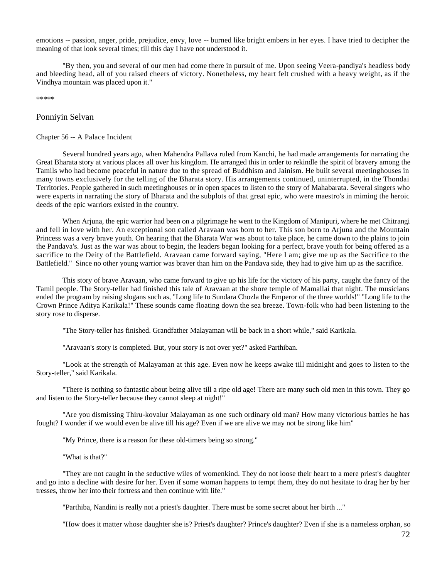emotions -- passion, anger, pride, prejudice, envy, love -- burned like bright embers in her eyes. I have tried to decipher the meaning of that look several times; till this day I have not understood it.

"By then, you and several of our men had come there in pursuit of me. Upon seeing Veera-pandiya's headless body and bleeding head, all of you raised cheers of victory. Nonetheless, my heart felt crushed with a heavy weight, as if the Vindhya mountain was placed upon it."

\*\*\*\*\*

Ponniyin Selvan

Chapter 56 -- A Palace Incident

Several hundred years ago, when Mahendra Pallava ruled from Kanchi, he had made arrangements for narrating the Great Bharata story at various places all over his kingdom. He arranged this in order to rekindle the spirit of bravery among the Tamils who had become peaceful in nature due to the spread of Buddhism and Jainism. He built several meetinghouses in many towns exclusively for the telling of the Bharata story. His arrangements continued, uninterrupted, in the Thondai Territories. People gathered in such meetinghouses or in open spaces to listen to the story of Mahabarata. Several singers who were experts in narrating the story of Bharata and the subplots of that great epic, who were maestro's in miming the heroic deeds of the epic warriors existed in the country.

When Arjuna, the epic warrior had been on a pilgrimage he went to the Kingdom of Manipuri, where he met Chitrangi and fell in love with her. An exceptional son called Aravaan was born to her. This son born to Arjuna and the Mountain Princess was a very brave youth. On hearing that the Bharata War was about to take place, he came down to the plains to join the Pandava's. Just as the war was about to begin, the leaders began looking for a perfect, brave youth for being offered as a sacrifice to the Deity of the Battlefield. Aravaan came forward saying, "Here I am; give me up as the Sacrifice to the Battlefield." Since no other young warrior was braver than him on the Pandava side, they had to give him up as the sacrifice.

This story of brave Aravaan, who came forward to give up his life for the victory of his party, caught the fancy of the Tamil people. The Story-teller had finished this tale of Aravaan at the shore temple of Mamallai that night. The musicians ended the program by raising slogans such as, "Long life to Sundara Chozla the Emperor of the three worlds!" "Long life to the Crown Prince Aditya Karikala!" These sounds came floating down the sea breeze. Town-folk who had been listening to the story rose to disperse.

"The Story-teller has finished. Grandfather Malayaman will be back in a short while," said Karikala.

"Aravaan's story is completed. But, your story is not over yet?" asked Parthiban.

"Look at the strength of Malayaman at this age. Even now he keeps awake till midnight and goes to listen to the Story-teller," said Karikala.

"There is nothing so fantastic about being alive till a ripe old age! There are many such old men in this town. They go and listen to the Story-teller because they cannot sleep at night!"

"Are you dismissing Thiru-kovalur Malayaman as one such ordinary old man? How many victorious battles he has fought? I wonder if we would even be alive till his age? Even if we are alive we may not be strong like him"

"My Prince, there is a reason for these old-timers being so strong."

"What is that?"

"They are not caught in the seductive wiles of womenkind. They do not loose their heart to a mere priest's daughter and go into a decline with desire for her. Even if some woman happens to tempt them, they do not hesitate to drag her by her tresses, throw her into their fortress and then continue with life."

"Parthiba, Nandini is really not a priest's daughter. There must be some secret about her birth ..."

"How does it matter whose daughter she is? Priest's daughter? Prince's daughter? Even if she is a nameless orphan, so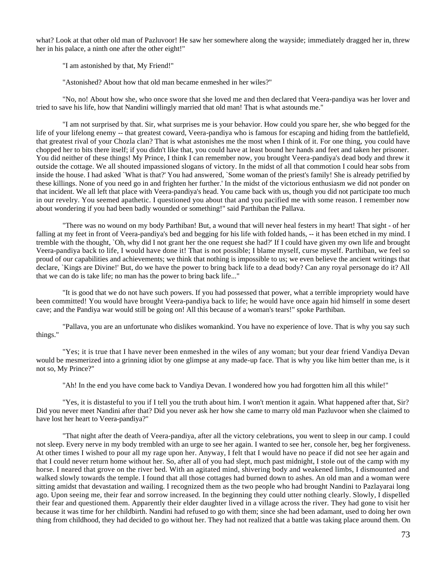what? Look at that other old man of Pazluvoor! He saw her somewhere along the wayside; immediately dragged her in, threw her in his palace, a ninth one after the other eight!"

"I am astonished by that, My Friend!"

"Astonished? About how that old man became enmeshed in her wiles?"

"No, no! About how she, who once swore that she loved me and then declared that Veera-pandiya was her lover and tried to save his life, how that Nandini willingly married that old man! That is what astounds me."

"I am not surprised by that. Sir, what surprises me is your behavior. How could you spare her, she who begged for the life of your lifelong enemy -- that greatest coward, Veera-pandiya who is famous for escaping and hiding from the battlefield, that greatest rival of your Chozla clan? That is what astonishes me the most when I think of it. For one thing, you could have chopped her to bits there itself; if you didn't like that, you could have at least bound her hands and feet and taken her prisoner. You did neither of these things! My Prince, I think I can remember now, you brought Veera-pandiya's dead body and threw it outside the cottage. We all shouted impassioned slogans of victory. In the midst of all that commotion I could hear sobs from inside the house. I had asked `What is that?' You had answered, `Some woman of the priest's family! She is already petrified by these killings. None of you need go in and frighten her further.' In the midst of the victorious enthusiasm we did not ponder on that incident. We all left that place with Veera-pandiya's head. You came back with us, though you did not participate too much in our revelry. You seemed apathetic. I questioned you about that and you pacified me with some reason. I remember now about wondering if you had been badly wounded or something!" said Parthiban the Pallava.

"There was no wound on my body Parthiban! But, a wound that will never heal festers in my heart! That sight - of her falling at my feet in front of Veera-pandiya's bed and begging for his life with folded hands, -- it has been etched in my mind. I tremble with the thought, `Oh, why did I not grant her the one request she had?' If I could have given my own life and brought Veera-pandiya back to life, I would have done it! That is not possible; I blame myself, curse myself. Parthiban, we feel so proud of our capabilities and achievements; we think that nothing is impossible to us; we even believe the ancient writings that declare, `Kings are Divine!' But, do we have the power to bring back life to a dead body? Can any royal personage do it? All that we can do is take life; no man has the power to bring back life..."

"It is good that we do not have such powers. If you had possessed that power, what a terrible impropriety would have been committed! You would have brought Veera-pandiya back to life; he would have once again hid himself in some desert cave; and the Pandiya war would still be going on! All this because of a woman's tears!" spoke Parthiban.

"Pallava, you are an unfortunate who dislikes womankind. You have no experience of love. That is why you say such things."

"Yes; it is true that I have never been enmeshed in the wiles of any woman; but your dear friend Vandiya Devan would be mesmerized into a grinning idiot by one glimpse at any made-up face. That is why you like him better than me, is it not so, My Prince?"

"Ah! In the end you have come back to Vandiya Devan. I wondered how you had forgotten him all this while!"

"Yes, it is distasteful to you if I tell you the truth about him. I won't mention it again. What happened after that, Sir? Did you never meet Nandini after that? Did you never ask her how she came to marry old man Pazluvoor when she claimed to have lost her heart to Veera-pandiya?"

"That night after the death of Veera-pandiya, after all the victory celebrations, you went to sleep in our camp. I could not sleep. Every nerve in my body trembled with an urge to see her again. I wanted to see her, console her, beg her forgiveness. At other times I wished to pour all my rage upon her. Anyway, I felt that I would have no peace if did not see her again and that I could never return home without her. So, after all of you had slept, much past midnight, I stole out of the camp with my horse. I neared that grove on the river bed. With an agitated mind, shivering body and weakened limbs, I dismounted and walked slowly towards the temple. I found that all those cottages had burned down to ashes. An old man and a woman were sitting amidst that devastation and wailing. I recognized them as the two people who had brought Nandini to Pazlayarai long ago. Upon seeing me, their fear and sorrow increased. In the beginning they could utter nothing clearly. Slowly, I dispelled their fear and questioned them. Apparently their elder daughter lived in a village across the river. They had gone to visit her because it was time for her childbirth. Nandini had refused to go with them; since she had been adamant, used to doing her own thing from childhood, they had decided to go without her. They had not realized that a battle was taking place around them. On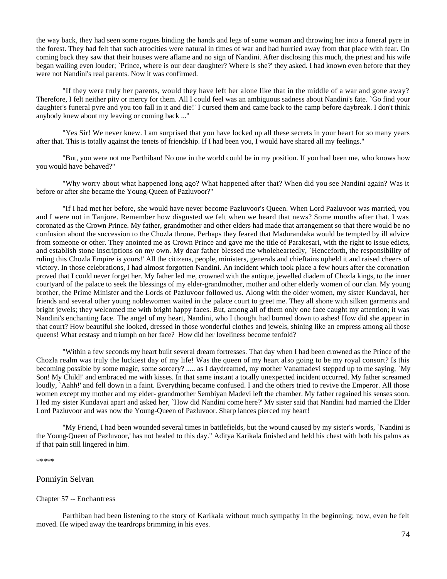the way back, they had seen some rogues binding the hands and legs of some woman and throwing her into a funeral pyre in the forest. They had felt that such atrocities were natural in times of war and had hurried away from that place with fear. On coming back they saw that their houses were aflame and no sign of Nandini. After disclosing this much, the priest and his wife began wailing even louder; `Prince, where is our dear daughter? Where is she?' they asked. I had known even before that they were not Nandini's real parents. Now it was confirmed.

"If they were truly her parents, would they have left her alone like that in the middle of a war and gone away? Therefore, I felt neither pity or mercy for them. All I could feel was an ambiguous sadness about Nandini's fate. `Go find your daughter's funeral pyre and you too fall in it and die!' I cursed them and came back to the camp before daybreak. I don't think anybody knew about my leaving or coming back ..."

"Yes Sir! We never knew. I am surprised that you have locked up all these secrets in your heart for so many years after that. This is totally against the tenets of friendship. If I had been you, I would have shared all my feelings."

"But, you were not me Parthiban! No one in the world could be in my position. If you had been me, who knows how you would have behaved?"

"Why worry about what happened long ago? What happened after that? When did you see Nandini again? Was it before or after she became the Young-Queen of Pazluvoor?"

"If I had met her before, she would have never become Pazluvoor's Queen. When Lord Pazluvoor was married, you and I were not in Tanjore. Remember how disgusted we felt when we heard that news? Some months after that, I was coronated as the Crown Prince. My father, grandmother and other elders had made that arrangement so that there would be no confusion about the succession to the Chozla throne. Perhaps they feared that Madurandaka would be tempted by ill advice from someone or other. They anointed me as Crown Prince and gave me the title of Parakesari, with the right to issue edicts, and establish stone inscriptions on my own. My dear father blessed me wholeheartedly, `Henceforth, the responsibility of ruling this Chozla Empire is yours!' All the citizens, people, ministers, generals and chieftains upheld it and raised cheers of victory. In those celebrations, I had almost forgotten Nandini. An incident which took place a few hours after the coronation proved that I could never forget her. My father led me, crowned with the antique, jewelled diadem of Chozla kings, to the inner courtyard of the palace to seek the blessings of my elder-grandmother, mother and other elderly women of our clan. My young brother, the Prime Minister and the Lords of Pazluvoor followed us. Along with the older women, my sister Kundavai, her friends and several other young noblewomen waited in the palace court to greet me. They all shone with silken garments and bright jewels; they welcomed me with bright happy faces. But, among all of them only one face caught my attention; it was Nandini's enchanting face. The angel of my heart, Nandini, who I thought had burned down to ashes! How did she appear in that court? How beautiful she looked, dressed in those wonderful clothes and jewels, shining like an empress among all those queens! What ecstasy and triumph on her face? How did her loveliness become tenfold?

"Within a few seconds my heart built several dream fortresses. That day when I had been crowned as the Prince of the Chozla realm was truly the luckiest day of my life! Was the queen of my heart also going to be my royal consort? Is this becoming possible by some magic, some sorcery? ..... as I daydreamed, my mother Vanamadevi stepped up to me saying, `My Son! My Child!' and embraced me with kisses. In that same instant a totally unexpected incident occurred. My father screamed loudly, `Aahh!' and fell down in a faint. Everything became confused. I and the others tried to revive the Emperor. All those women except my mother and my elder- grandmother Sembiyan Madevi left the chamber. My father regained his senses soon. I led my sister Kundavai apart and asked her, `How did Nandini come here?' My sister said that Nandini had married the Elder Lord Pazluvoor and was now the Young-Queen of Pazluvoor. Sharp lances pierced my heart!

"My Friend, I had been wounded several times in battlefields, but the wound caused by my sister's words, `Nandini is the Young-Queen of Pazluvoor,' has not healed to this day." Aditya Karikala finished and held his chest with both his palms as if that pain still lingered in him.

\*\*\*\*\*

## Ponniyin Selvan

## Chapter 57 -- Enchantress

Parthiban had been listening to the story of Karikala without much sympathy in the beginning; now, even he felt moved. He wiped away the teardrops brimming in his eyes.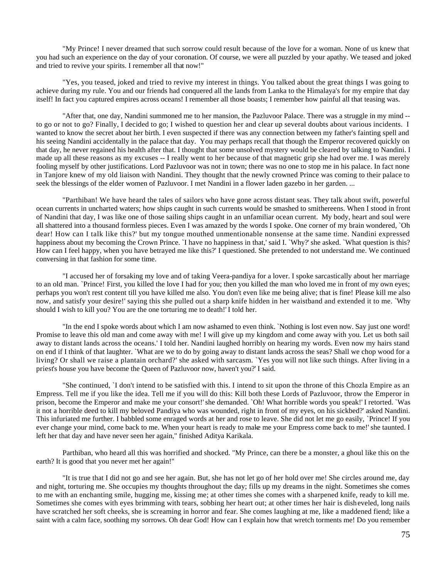"My Prince! I never dreamed that such sorrow could result because of the love for a woman. None of us knew that you had such an experience on the day of your coronation. Of course, we were all puzzled by your apathy. We teased and joked and tried to revive your spirits. I remember all that now!"

"Yes, you teased, joked and tried to revive my interest in things. You talked about the great things I was going to achieve during my rule. You and our friends had conquered all the lands from Lanka to the Himalaya's for my empire that day itself! In fact you captured empires across oceans! I remember all those boasts; I remember how painful all that teasing was.

"After that, one day, Nandini summoned me to her mansion, the Pazluvoor Palace. There was a struggle in my mind - to go or not to go? Finally, I decided to go; I wished to question her and clear up several doubts about various incidents. I wanted to know the secret about her birth. I even suspected if there was any connection between my father's fainting spell and his seeing Nandini accidentally in the palace that day. You may perhaps recall that though the Emperor recovered quickly on that day, he never regained his health after that. I thought that some unsolved mystery would be cleared by talking to Nandini. I made up all these reasons as my excuses -- I really went to her because of that magnetic grip she had over me. I was merely fooling myself by other justifications. Lord Pazluvoor was not in town; there was no one to stop me in his palace. In fact none in Tanjore knew of my old liaison with Nandini. They thought that the newly crowned Prince was coming to their palace to seek the blessings of the elder women of Pazluvoor. I met Nandini in a flower laden gazebo in her garden. ...

"Parthiban! We have heard the tales of sailors who have gone across distant seas. They talk about swift, powerful ocean currents in uncharted waters; how ships caught in such currents would be smashed to smithereens. When I stood in front of Nandini that day, I was like one of those sailing ships caught in an unfamiliar ocean current. My body, heart and soul were all shattered into a thousand formless pieces. Even I was amazed by the words I spoke. One corner of my brain wondered, `Oh dear! How can I talk like this?' but my tongue mouthed unmentionable nonsense at the same time. Nandini expressed happiness about my becoming the Crown Prince. `I have no happiness in that,' said I. `Why?' she asked. `What question is this? How can I feel happy, when you have betrayed me like this?' I questioned. She pretended to not understand me. We continued conversing in that fashion for some time.

"I accused her of forsaking my love and of taking Veera-pandiya for a lover. I spoke sarcastically about her marriage to an old man. `Prince! First, you killed the love I had for you; then you killed the man who loved me in front of my own eyes; perhaps you won't rest content till you have killed me also. You don't even like me being alive; that is fine! Please kill me also now, and satisfy your desire!' saying this she pulled out a sharp knife hidden in her waistband and extended it to me. `Why should I wish to kill you? You are the one torturing me to death!' I told her.

"In the end I spoke words about which I am now ashamed to even think. `Nothing is lost even now. Say just one word! Promise to leave this old man and come away with me! I will give up my kingdom and come away with you. Let us both sail away to distant lands across the oceans.' I told her. Nandini laughed horribly on hearing my words. Even now my hairs stand on end if I think of that laughter. `What are we to do by going away to distant lands across the seas? Shall we chop wood for a living? Or shall we raise a plantain orchard?' she asked with sarcasm. `Yes you will not like such things. After living in a priest's house you have become the Queen of Pazluvoor now, haven't you?' I said.

"She continued, `I don't intend to be satisfied with this. I intend to sit upon the throne of this Chozla Empire as an Empress. Tell me if you like the idea. Tell me if you will do this: Kill both these Lords of Pazluvoor, throw the Emperor in prison, become the Emperor and make me your consort!' she demanded. `Oh! What horrible words you speak!' I retorted. `Was it not a horrible deed to kill my beloved Pandiya who was wounded, right in front of my eyes, on his sickbed?' asked Nandini. This infuriated me further. I babbled some enraged words at her and rose to leave. She did not let me go easily, `Prince! If you ever change your mind, come back to me. When your heart is ready to make me your Empress come back to me!' she taunted. I left her that day and have never seen her again," finished Aditya Karikala.

Parthiban, who heard all this was horrified and shocked. "My Prince, can there be a monster, a ghoul like this on the earth? It is good that you never met her again!"

"It is true that I did not go and see her again. But, she has not let go of her hold over me! She circles around me, day and night, torturing me. She occupies my thoughts throughout the day; fills up my dreams in the night. Sometimes she comes to me with an enchanting smile, hugging me, kissing me; at other times she comes with a sharpened knife, ready to kill me. Sometimes she comes with eyes brimming with tears, sobbing her heart out; at other times her hair is disheveled, long nails have scratched her soft cheeks, she is screaming in horror and fear. She comes laughing at me, like a maddened fiend; like a saint with a calm face, soothing my sorrows. Oh dear God! How can I explain how that wretch torments me! Do you remember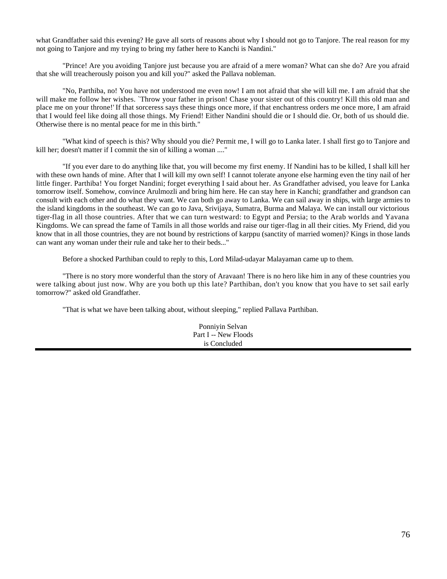what Grandfather said this evening? He gave all sorts of reasons about why I should not go to Tanjore. The real reason for my not going to Tanjore and my trying to bring my father here to Kanchi is Nandini."

"Prince! Are you avoiding Tanjore just because you are afraid of a mere woman? What can she do? Are you afraid that she will treacherously poison you and kill you?" asked the Pallava nobleman.

"No, Parthiba, no! You have not understood me even now! I am not afraid that she will kill me. I am afraid that she will make me follow her wishes. `Throw your father in prison! Chase your sister out of this country! Kill this old man and place me on your throne!' If that sorceress says these things once more, if that enchantress orders me once more, I am afraid that I would feel like doing all those things. My Friend! Either Nandini should die or I should die. Or, both of us should die. Otherwise there is no mental peace for me in this birth."

"What kind of speech is this? Why should you die? Permit me, I will go to Lanka later. I shall first go to Tanjore and kill her; doesn't matter if I commit the sin of killing a woman ...."

"If you ever dare to do anything like that, you will become my first enemy. If Nandini has to be killed, I shall kill her with these own hands of mine. After that I will kill my own self! I cannot tolerate anyone else harming even the tiny nail of her little finger. Parthiba! You forget Nandini; forget everything I said about her. As Grandfather advised, you leave for Lanka tomorrow itself. Somehow, convince Arulmozli and bring him here. He can stay here in Kanchi; grandfather and grandson can consult with each other and do what they want. We can both go away to Lanka. We can sail away in ships, with large armies to the island kingdoms in the southeast. We can go to Java, Srivijaya, Sumatra, Burma and Malaya. We can install our victorious tiger-flag in all those countries. After that we can turn westward: to Egypt and Persia; to the Arab worlds and Yavana Kingdoms. We can spread the fame of Tamils in all those worlds and raise our tiger-flag in all their cities. My Friend, did you know that in all those countries, they are not bound by restrictions of karppu (sanctity of married women)? Kings in those lands can want any woman under their rule and take her to their beds..."

Before a shocked Parthiban could to reply to this, Lord Milad-udayar Malayaman came up to them.

"There is no story more wonderful than the story of Aravaan! There is no hero like him in any of these countries you were talking about just now. Why are you both up this late? Parthiban, don't you know that you have to set sail early tomorrow?" asked old Grandfather.

"That is what we have been talking about, without sleeping," replied Pallava Parthiban.

Ponniyin Selvan Part I -- New Floods is Concluded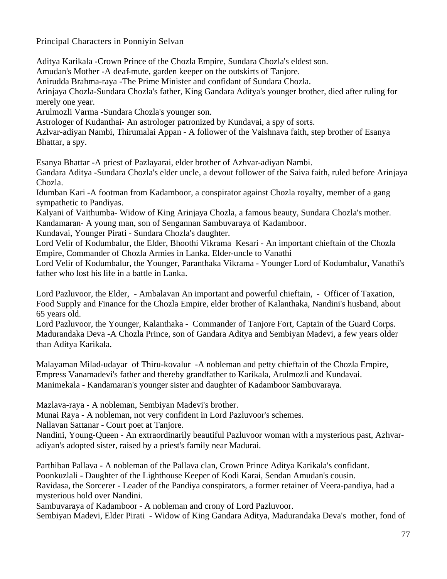Principal Characters in Ponniyin Selvan

Aditya Karikala -Crown Prince of the Chozla Empire, Sundara Chozla's eldest son. Amudan's Mother -A deaf-mute, garden keeper on the outskirts of Tanjore. Anirudda Brahma-raya -The Prime Minister and confidant of Sundara Chozla. Arinjaya Chozla-Sundara Chozla's father, King Gandara Aditya's younger brother, died after ruling for merely one year. Arulmozli Varma -Sundara Chozla's younger son. Astrologer of Kudanthai- An astrologer patronized by Kundavai, a spy of sorts. Azlvar-adiyan Nambi, Thirumalai Appan - A follower of the Vaishnava faith, step brother of Esanya Bhattar, a spy.

Esanya Bhattar -A priest of Pazlayarai, elder brother of Azhvar-adiyan Nambi. Gandara Aditya -Sundara Chozla's elder uncle, a devout follower of the Saiva faith, ruled before Arinjaya Chozla.

Idumban Kari -A footman from Kadamboor, a conspirator against Chozla royalty, member of a gang sympathetic to Pandiyas.

Kalyani of Vaithumba- Widow of King Arinjaya Chozla, a famous beauty, Sundara Chozla's mother. Kandamaran- A young man, son of Sengannan Sambuvaraya of Kadamboor.

Kundavai, Younger Pirati - Sundara Chozla's daughter.

Lord Velir of Kodumbalur, the Elder, Bhoothi Vikrama Kesari - An important chieftain of the Chozla Empire, Commander of Chozla Armies in Lanka. Elder-uncle to Vanathi

Lord Velir of Kodumbalur, the Younger, Paranthaka Vikrama - Younger Lord of Kodumbalur, Vanathi's father who lost his life in a battle in Lanka.

Lord Pazluvoor, the Elder, - Ambalavan An important and powerful chieftain, - Officer of Taxation, Food Supply and Finance for the Chozla Empire, elder brother of Kalanthaka, Nandini's husband, about 65 years old.

Lord Pazluvoor, the Younger, Kalanthaka - Commander of Tanjore Fort, Captain of the Guard Corps. Madurandaka Deva -A Chozla Prince, son of Gandara Aditya and Sembiyan Madevi, a few years older than Aditya Karikala.

Malayaman Milad-udayar of Thiru-kovalur -A nobleman and petty chieftain of the Chozla Empire, Empress Vanamadevi's father and thereby grandfather to Karikala, Arulmozli and Kundavai. Manimekala - Kandamaran's younger sister and daughter of Kadamboor Sambuvaraya.

Mazlava-raya - A nobleman, Sembiyan Madevi's brother.

Munai Raya - A nobleman, not very confident in Lord Pazluvoor's schemes.

Nallavan Sattanar - Court poet at Tanjore.

Nandini, Young-Queen - An extraordinarily beautiful Pazluvoor woman with a mysterious past, Azhvaradiyan's adopted sister, raised by a priest's family near Madurai.

Parthiban Pallava - A nobleman of the Pallava clan, Crown Prince Aditya Karikala's confidant. Poonkuzlali - Daughter of the Lighthouse Keeper of Kodi Karai, Sendan Amudan's cousin. Ravidasa, the Sorcerer - Leader of the Pandiya conspirators, a former retainer of Veera-pandiya, had a mysterious hold over Nandini.

Sambuvaraya of Kadamboor - A nobleman and crony of Lord Pazluvoor.

Sembiyan Madevi, Elder Pirati - Widow of King Gandara Aditya, Madurandaka Deva's mother, fond of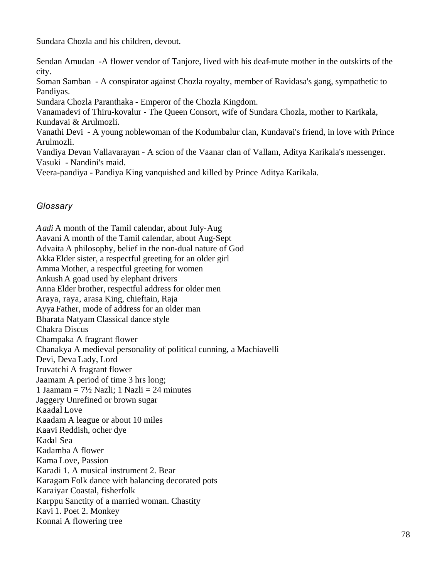Sundara Chozla and his children, devout.

Sendan Amudan -A flower vendor of Tanjore, lived with his deaf-mute mother in the outskirts of the city.

Soman Samban - A conspirator against Chozla royalty, member of Ravidasa's gang, sympathetic to Pandiyas.

Sundara Chozla Paranthaka - Emperor of the Chozla Kingdom.

Vanamadevi of Thiru-kovalur - The Queen Consort, wife of Sundara Chozla, mother to Karikala, Kundavai & Arulmozli.

Vanathi Devi - A young noblewoman of the Kodumbalur clan, Kundavai's friend, in love with Prince Arulmozli.

Vandiya Devan Vallavarayan - A scion of the Vaanar clan of Vallam, Aditya Karikala's messenger. Vasuki - Nandini's maid.

Veera-pandiya - Pandiya King vanquished and killed by Prince Aditya Karikala.

## *Glossary*

*Aadi* A month of the Tamil calendar, about July-Aug Aavani A month of the Tamil calendar, about Aug-Sept Advaita A philosophy, belief in the non-dual nature of God Akka Elder sister, a respectful greeting for an older girl Amma Mother, a respectful greeting for women Ankush A goad used by elephant drivers Anna Elder brother, respectful address for older men Araya, raya, arasa King, chieftain, Raja Ayya Father, mode of address for an older man Bharata Natyam Classical dance style Chakra Discus Champaka A fragrant flower Chanakya A medieval personality of political cunning, a Machiavelli Devi, Deva Lady, Lord Iruvatchi A fragrant flower Jaamam A period of time 3 hrs long; 1 Jaamam =  $7\frac{1}{2}$  Nazli: 1 Nazli = 24 minutes Jaggery Unrefined or brown sugar Kaadal Love Kaadam A league or about 10 miles Kaavi Reddish, ocher dye Kadal Sea Kadamba A flower Kama Love, Passion Karadi 1. A musical instrument 2. Bear Karagam Folk dance with balancing decorated pots Karaiyar Coastal, fisherfolk Karppu Sanctity of a married woman. Chastity Kavi 1. Poet 2. Monkey Konnai A flowering tree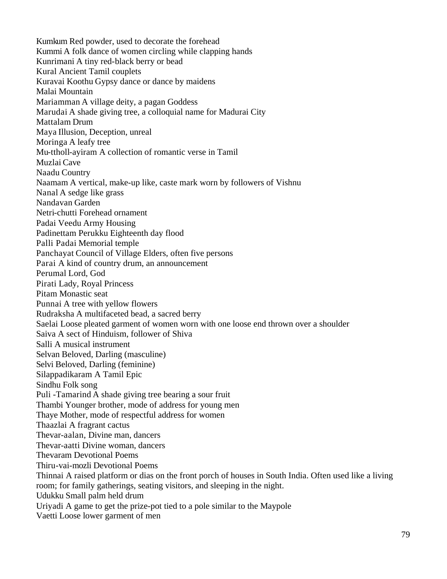Kumkum Red powder, used to decorate the forehead Kummi A folk dance of women circling while clapping hands Kunrimani A tiny red-black berry or bead Kural Ancient Tamil couplets Kuravai Koothu Gypsy dance or dance by maidens Malai Mountain Mariamman A village deity, a pagan Goddess Marudai A shade giving tree, a colloquial name for Madurai City Mattalam Drum Maya Illusion, Deception, unreal Moringa A leafy tree Mu-ttholl-ayiram A collection of romantic verse in Tamil Muzlai Cave Naadu Country Naamam A vertical, make-up like, caste mark worn by followers of Vishnu Nanal A sedge like grass Nandavan Garden Netri-chutti Forehead ornament Padai Veedu Army Housing Padinettam Perukku Eighteenth day flood Palli Padai Memorial temple Panchayat Council of Village Elders, often five persons Parai A kind of country drum, an announcement Perumal Lord, God Pirati Lady, Royal Princess Pitam Monastic seat Punnai A tree with yellow flowers Rudraksha A multifaceted bead, a sacred berry Saelai Loose pleated garment of women worn with one loose end thrown over a shoulder Saiva A sect of Hinduism, follower of Shiva Salli A musical instrument Selvan Beloved, Darling (masculine) Selvi Beloved, Darling (feminine) Silappadikaram A Tamil Epic Sindhu Folk song Puli -Tamarind A shade giving tree bearing a sour fruit Thambi Younger brother, mode of address for young men Thaye Mother, mode of respectful address for women Thaazlai A fragrant cactus Thevar-aalan, Divine man, dancers Thevar-aatti Divine woman, dancers Thevaram Devotional Poems Thiru-vai-mozli Devotional Poems Thinnai A raised platform or dias on the front porch of houses in South India. Often used like a living room; for family gatherings, seating visitors, and sleeping in the night. Udukku Small palm held drum Uriyadi A game to get the prize-pot tied to a pole similar to the Maypole Vaetti Loose lower garment of men